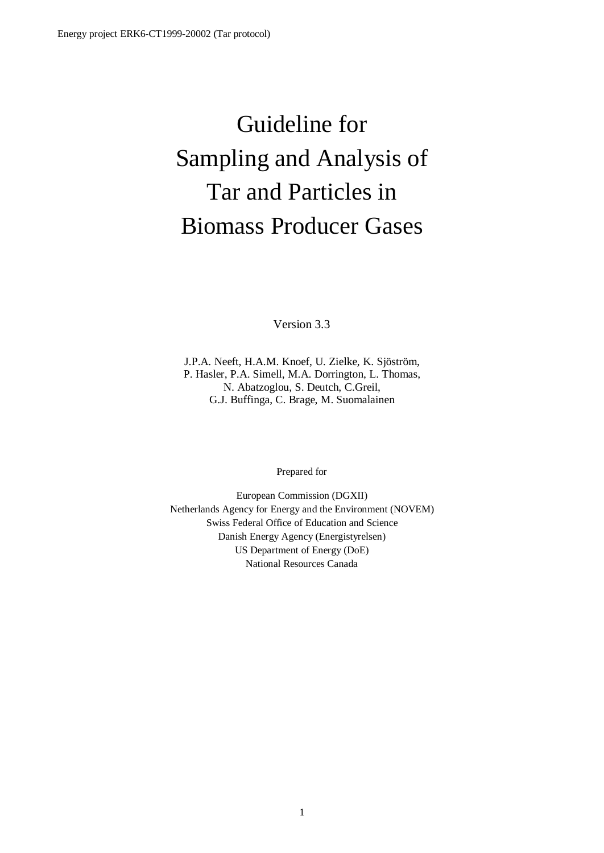# Guideline for Sampling and Analysis of Tar and Particles in Biomass Producer Gases

Version 3.3

J.P.A. Neeft, H.A.M. Knoef, U. Zielke, K. Sjöström, P. Hasler, P.A. Simell, M.A. Dorrington, L. Thomas, N. Abatzoglou, S. Deutch, C.Greil, G.J. Buffinga, C. Brage, M. Suomalainen

Prepared for

European Commission (DGXII) Netherlands Agency for Energy and the Environment (NOVEM) Swiss Federal Office of Education and Science Danish Energy Agency (Energistyrelsen) US Department of Energy (DoE) National Resources Canada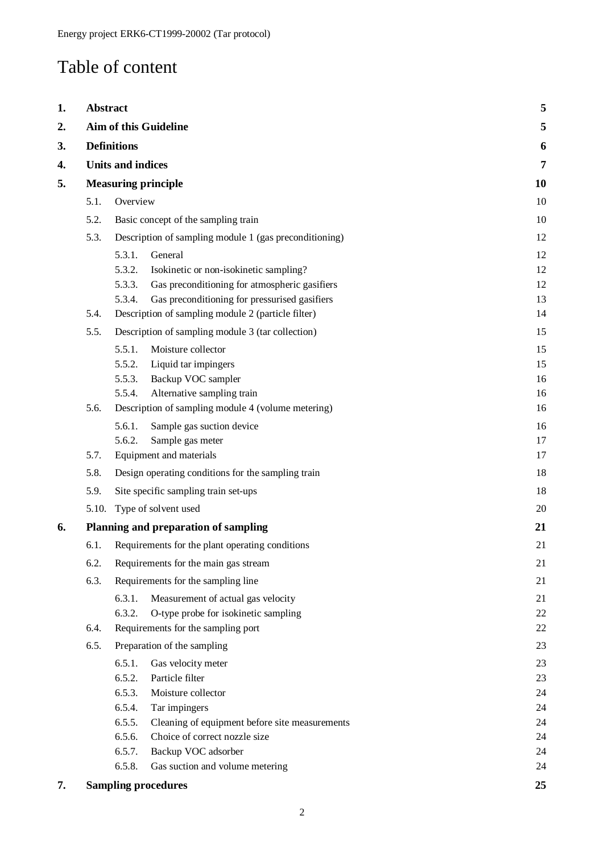## Table of content

| 1. | <b>Abstract</b>    |                                      |                                                        | 5        |
|----|--------------------|--------------------------------------|--------------------------------------------------------|----------|
| 2. |                    |                                      | Aim of this Guideline                                  | 5        |
| 3. | <b>Definitions</b> |                                      | 6                                                      |          |
| 4. |                    | <b>Units and indices</b>             |                                                        | 7        |
| 5. |                    |                                      | <b>Measuring principle</b>                             | 10       |
|    | 5.1.               | Overview                             |                                                        | 10       |
|    | 5.2.               |                                      | Basic concept of the sampling train                    | 10       |
|    | 5.3.               |                                      | Description of sampling module 1 (gas preconditioning) | 12       |
|    |                    | 5.3.1.                               | General                                                | 12       |
|    |                    | 5.3.2.                               | Isokinetic or non-isokinetic sampling?                 | 12       |
|    |                    | 5.3.3.                               | Gas preconditioning for atmospheric gasifiers          | 12       |
|    |                    | 5.3.4.                               | Gas preconditioning for pressurised gasifiers          | 13       |
|    | 5.4.               |                                      | Description of sampling module 2 (particle filter)     | 14       |
|    | 5.5.               |                                      | Description of sampling module 3 (tar collection)      | 15       |
|    |                    | 5.5.1.                               | Moisture collector                                     | 15       |
|    |                    | 5.5.2.                               | Liquid tar impingers                                   | 15       |
|    |                    | 5.5.3.                               | Backup VOC sampler                                     | 16       |
|    |                    | 5.5.4.                               | Alternative sampling train                             | 16       |
|    | 5.6.               |                                      | Description of sampling module 4 (volume metering)     | 16       |
|    |                    | 5.6.1.                               | Sample gas suction device                              | 16       |
|    |                    | 5.6.2.                               | Sample gas meter                                       | 17       |
|    | 5.7.               |                                      | Equipment and materials                                | 17       |
|    | 5.8.               |                                      | Design operating conditions for the sampling train     | 18       |
|    | 5.9.               | Site specific sampling train set-ups |                                                        | 18       |
|    | 5.10.              |                                      | Type of solvent used                                   | 20       |
| 6. |                    |                                      | Planning and preparation of sampling                   | 21       |
|    | 6.1.               |                                      | Requirements for the plant operating conditions        | 21       |
|    | 6.2.               |                                      | Requirements for the main gas stream                   | 21       |
|    | 6.3.               |                                      | Requirements for the sampling line                     | 21       |
|    |                    | 6.3.1.                               | Measurement of actual gas velocity                     | 21       |
|    |                    | 6.3.2.                               | O-type probe for isokinetic sampling                   | 22       |
|    | 6.4.               |                                      | Requirements for the sampling port                     | 22       |
|    | 6.5.               |                                      | Preparation of the sampling                            | 23       |
|    |                    | 6.5.1.                               | Gas velocity meter                                     | 23       |
|    |                    | 6.5.2.                               | Particle filter                                        | 23       |
|    |                    | 6.5.3.                               | Moisture collector                                     | 24       |
|    |                    | 6.5.4.                               | Tar impingers                                          | 24       |
|    |                    | 6.5.5.                               | Cleaning of equipment before site measurements         | 24       |
|    |                    | 6.5.6.<br>6.5.7.                     | Choice of correct nozzle size                          | 24       |
|    |                    | 6.5.8.                               | Backup VOC adsorber<br>Gas suction and volume metering | 24<br>24 |
|    |                    |                                      |                                                        |          |
| 7. |                    |                                      | <b>Sampling procedures</b>                             | 25       |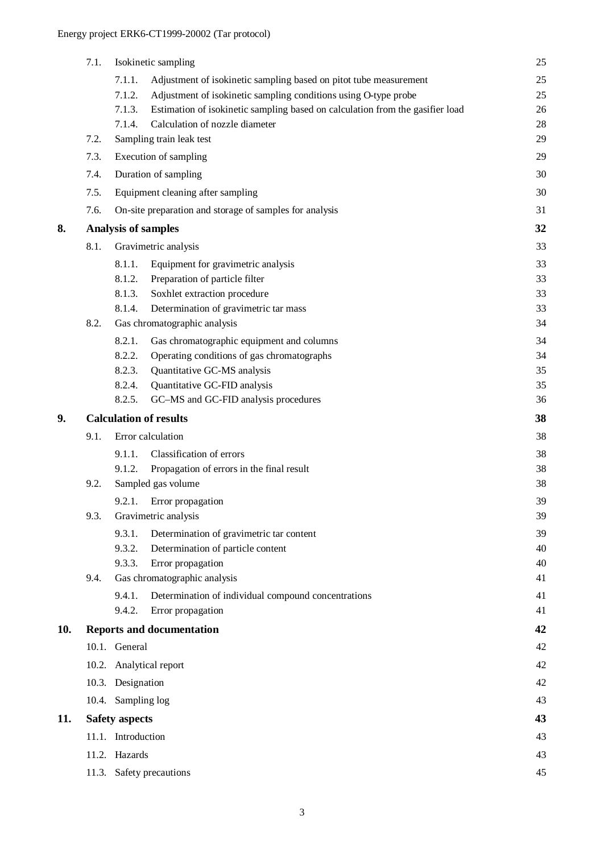|     | 7.1.                       |                       | Isokinetic sampling                                                           | 25 |
|-----|----------------------------|-----------------------|-------------------------------------------------------------------------------|----|
|     |                            | 7.1.1.                | Adjustment of isokinetic sampling based on pitot tube measurement             | 25 |
|     |                            | 7.1.2.                | Adjustment of isokinetic sampling conditions using O-type probe               | 25 |
|     |                            | 7.1.3.                | Estimation of isokinetic sampling based on calculation from the gasifier load | 26 |
|     |                            | 7.1.4.                | Calculation of nozzle diameter                                                | 28 |
|     | 7.2.                       |                       | Sampling train leak test                                                      | 29 |
|     | 7.3.                       |                       | Execution of sampling                                                         | 29 |
|     | 7.4.                       |                       | Duration of sampling                                                          | 30 |
|     | 7.5.                       |                       | Equipment cleaning after sampling                                             | 30 |
|     | 7.6.                       |                       | On-site preparation and storage of samples for analysis                       | 31 |
| 8.  |                            |                       | <b>Analysis of samples</b>                                                    | 32 |
|     | 8.1.                       |                       | Gravimetric analysis                                                          | 33 |
|     |                            | 8.1.1.                | Equipment for gravimetric analysis                                            | 33 |
|     |                            | 8.1.2.                | Preparation of particle filter                                                | 33 |
|     |                            | 8.1.3.                | Soxhlet extraction procedure                                                  | 33 |
|     |                            | 8.1.4.                | Determination of gravimetric tar mass                                         | 33 |
|     | 8.2.                       |                       | Gas chromatographic analysis                                                  | 34 |
|     |                            | 8.2.1.                | Gas chromatographic equipment and columns                                     | 34 |
|     |                            | 8.2.2.                | Operating conditions of gas chromatographs                                    | 34 |
|     |                            | 8.2.3.                | Quantitative GC-MS analysis                                                   | 35 |
|     |                            | 8.2.4.                | Quantitative GC-FID analysis                                                  | 35 |
|     |                            | 8.2.5.                | GC-MS and GC-FID analysis procedures                                          | 36 |
| 9.  |                            |                       | <b>Calculation of results</b>                                                 | 38 |
|     | 9.1.                       |                       | Error calculation                                                             | 38 |
|     |                            | 9.1.1.                | Classification of errors                                                      | 38 |
|     |                            | 9.1.2.                | Propagation of errors in the final result                                     | 38 |
|     | Sampled gas volume<br>9.2. |                       | 38                                                                            |    |
|     |                            | 9.2.1.                | Error propagation                                                             | 39 |
|     | 9.3.                       |                       | Gravimetric analysis                                                          | 39 |
|     |                            | 9.3.1.                | Determination of gravimetric tar content                                      | 39 |
|     |                            | 9.3.2.                | Determination of particle content                                             | 40 |
|     |                            | 9.3.3.                | Error propagation                                                             | 40 |
|     | 9.4.                       |                       | Gas chromatographic analysis                                                  | 41 |
|     |                            | 9.4.1.                | Determination of individual compound concentrations                           | 41 |
|     |                            | 9.4.2.                | Error propagation                                                             | 41 |
| 10. |                            |                       | <b>Reports and documentation</b>                                              | 42 |
|     |                            | 10.1. General         |                                                                               | 42 |
|     |                            |                       | 10.2. Analytical report                                                       | 42 |
|     |                            | 10.3. Designation     |                                                                               | 42 |
|     |                            | 10.4. Sampling log    |                                                                               | 43 |
| 11. |                            | <b>Safety aspects</b> |                                                                               | 43 |
|     |                            | 11.1. Introduction    |                                                                               | 43 |
|     |                            | 11.2. Hazards         |                                                                               | 43 |
|     |                            |                       | 11.3. Safety precautions                                                      | 45 |
|     |                            |                       |                                                                               |    |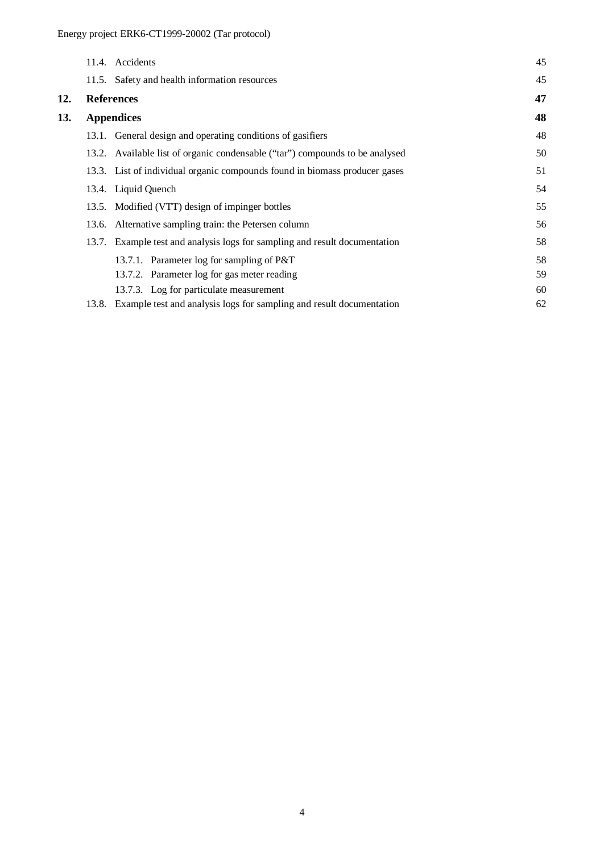|     |       | 11.4. Accidents                                                              | 45 |
|-----|-------|------------------------------------------------------------------------------|----|
|     |       | 11.5. Safety and health information resources                                | 45 |
| 12. |       | <b>References</b>                                                            | 47 |
| 13. |       | <b>Appendices</b>                                                            | 48 |
|     |       | 13.1. General design and operating conditions of gasifiers                   | 48 |
|     |       | 13.2. Available list of organic condensable ("tar") compounds to be analysed | 50 |
|     |       | 13.3. List of individual organic compounds found in biomass producer gases   | 51 |
|     |       | 13.4. Liquid Quench                                                          | 54 |
|     |       | 13.5. Modified (VTT) design of impinger bottles                              | 55 |
|     |       | 13.6. Alternative sampling train: the Petersen column                        | 56 |
|     | 13.7. | Example test and analysis logs for sampling and result documentation         | 58 |
|     |       | 13.7.1. Parameter log for sampling of P&T                                    | 58 |
|     |       | 13.7.2. Parameter log for gas meter reading                                  | 59 |
|     |       | 13.7.3. Log for particulate measurement                                      | 60 |
|     | 13.8. | Example test and analysis logs for sampling and result documentation         | 62 |
|     |       |                                                                              |    |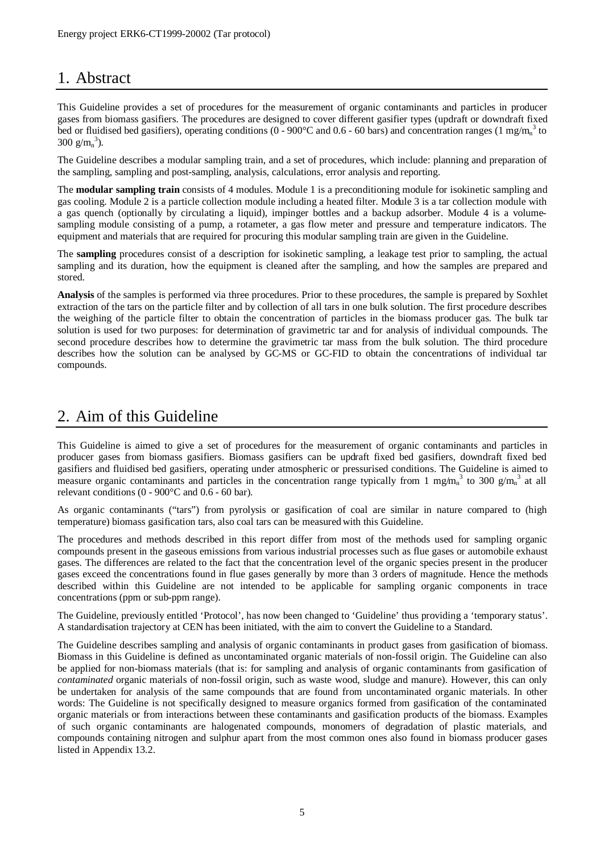## 1. Abstract

This Guideline provides a set of procedures for the measurement of organic contaminants and particles in producer gases from biomass gasifiers. The procedures are designed to cover different gasifier types (updraft or downdraft fixed bed or fluidised bed gasifiers), operating conditions ( $0 - 900$ °C and  $0.6 - 60$  bars) and concentration ranges (1 mg/m<sub>n</sub><sup>3</sup> to 300  $g/m_n^3$ ).

The Guideline describes a modular sampling train, and a set of procedures, which include: planning and preparation of the sampling, sampling and post-sampling, analysis, calculations, error analysis and reporting.

The **modular sampling train** consists of 4 modules. Module 1 is a preconditioning module for isokinetic sampling and gas cooling. Module 2 is a particle collection module including a heated filter. Module 3 is a tar collection module with a gas quench (optionally by circulating a liquid), impinger bottles and a backup adsorber. Module 4 is a volumesampling module consisting of a pump, a rotameter, a gas flow meter and pressure and temperature indicators. The equipment and materials that are required for procuring this modular sampling train are given in the Guideline.

The **sampling** procedures consist of a description for isokinetic sampling, a leakage test prior to sampling, the actual sampling and its duration, how the equipment is cleaned after the sampling, and how the samples are prepared and stored.

**Analysis** of the samples is performed via three procedures. Prior to these procedures, the sample is prepared by Soxhlet extraction of the tars on the particle filter and by collection of all tars in one bulk solution. The first procedure describes the weighing of the particle filter to obtain the concentration of particles in the biomass producer gas. The bulk tar solution is used for two purposes: for determination of gravimetric tar and for analysis of individual compounds. The second procedure describes how to determine the gravimetric tar mass from the bulk solution. The third procedure describes how the solution can be analysed by GC-MS or GC-FID to obtain the concentrations of individual tar compounds.

## 2. Aim of this Guideline

This Guideline is aimed to give a set of procedures for the measurement of organic contaminants and particles in producer gases from biomass gasifiers. Biomass gasifiers can be updraft fixed bed gasifiers, downdraft fixed bed gasifiers and fluidised bed gasifiers, operating under atmospheric or pressurised conditions. The Guideline is aimed to measure organic contaminants and particles in the concentration range typically from 1 mg/m<sub>n</sub><sup>3</sup> to 300 g/m<sub>n</sub><sup>3</sup> at all relevant conditions (0 - 900°C and 0.6 - 60 bar).

As organic contaminants ("tars") from pyrolysis or gasification of coal are similar in nature compared to (high temperature) biomass gasification tars, also coal tars can be measured with this Guideline.

The procedures and methods described in this report differ from most of the methods used for sampling organic compounds present in the gaseous emissions from various industrial processes such as flue gases or automobile exhaust gases. The differences are related to the fact that the concentration level of the organic species present in the producer gases exceed the concentrations found in flue gases generally by more than 3 orders of magnitude. Hence the methods described within this Guideline are not intended to be applicable for sampling organic components in trace concentrations (ppm or sub-ppm range).

The Guideline, previously entitled 'Protocol', has now been changed to 'Guideline' thus providing a 'temporary status'. A standardisation trajectory at CEN has been initiated, with the aim to convert the Guideline to a Standard.

The Guideline describes sampling and analysis of organic contaminants in product gases from gasification of biomass. Biomass in this Guideline is defined as uncontaminated organic materials of non-fossil origin. The Guideline can also be applied for non-biomass materials (that is: for sampling and analysis of organic contaminants from gasification of *contaminated* organic materials of non-fossil origin, such as waste wood, sludge and manure). However, this can only be undertaken for analysis of the same compounds that are found from uncontaminated organic materials. In other words: The Guideline is not specifically designed to measure organics formed from gasification of the contaminated organic materials or from interactions between these contaminants and gasification products of the biomass. Examples of such organic contaminants are halogenated compounds, monomers of degradation of plastic materials, and compounds containing nitrogen and sulphur apart from the most common ones also found in biomass producer gases listed in Appendix 13.2.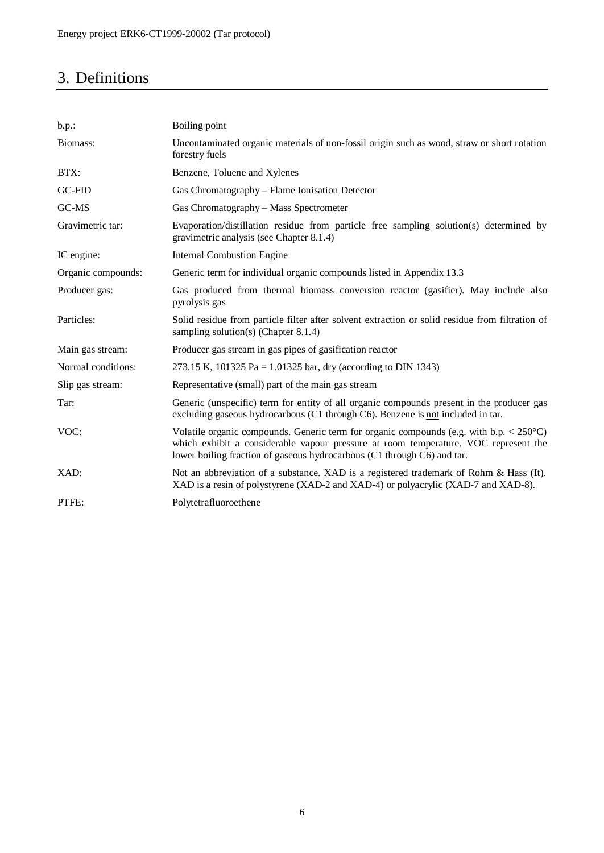## 3. Definitions

| $b.p.$ :           | Boiling point                                                                                                                                                                                                                                                                             |
|--------------------|-------------------------------------------------------------------------------------------------------------------------------------------------------------------------------------------------------------------------------------------------------------------------------------------|
| Biomass:           | Uncontaminated organic materials of non-fossil origin such as wood, straw or short rotation<br>forestry fuels                                                                                                                                                                             |
| BTX:               | Benzene, Toluene and Xylenes                                                                                                                                                                                                                                                              |
| GC-FID             | Gas Chromatography – Flame Ionisation Detector                                                                                                                                                                                                                                            |
| GC-MS              | Gas Chromatography - Mass Spectrometer                                                                                                                                                                                                                                                    |
| Gravimetric tar:   | Evaporation/distillation residue from particle free sampling solution(s) determined by<br>gravimetric analysis (see Chapter 8.1.4)                                                                                                                                                        |
| IC engine:         | <b>Internal Combustion Engine</b>                                                                                                                                                                                                                                                         |
| Organic compounds: | Generic term for individual organic compounds listed in Appendix 13.3                                                                                                                                                                                                                     |
| Producer gas:      | Gas produced from thermal biomass conversion reactor (gasifier). May include also<br>pyrolysis gas                                                                                                                                                                                        |
| Particles:         | Solid residue from particle filter after solvent extraction or solid residue from filtration of<br>sampling solution(s) (Chapter $8.1.4$ )                                                                                                                                                |
| Main gas stream:   | Producer gas stream in gas pipes of gasification reactor                                                                                                                                                                                                                                  |
| Normal conditions: | 273.15 K, 101325 Pa = 1.01325 bar, dry (according to DIN 1343)                                                                                                                                                                                                                            |
| Slip gas stream:   | Representative (small) part of the main gas stream                                                                                                                                                                                                                                        |
| Tar:               | Generic (unspecific) term for entity of all organic compounds present in the producer gas<br>excluding gaseous hydrocarbons (C1 through C6). Benzene is not included in tar.                                                                                                              |
| VOC:               | Volatile organic compounds. Generic term for organic compounds (e.g. with b.p. $\langle 250^{\circ} \text{C} \rangle$ )<br>which exhibit a considerable vapour pressure at room temperature. VOC represent the<br>lower boiling fraction of gaseous hydrocarbons (C1 through C6) and tar. |
| XAD:               | Not an abbreviation of a substance. XAD is a registered trademark of Rohm & Hass (It).<br>XAD is a resin of polystyrene (XAD-2 and XAD-4) or polyacrylic (XAD-7 and XAD-8).                                                                                                               |
| PTFE:              | Polytetrafluoroethene                                                                                                                                                                                                                                                                     |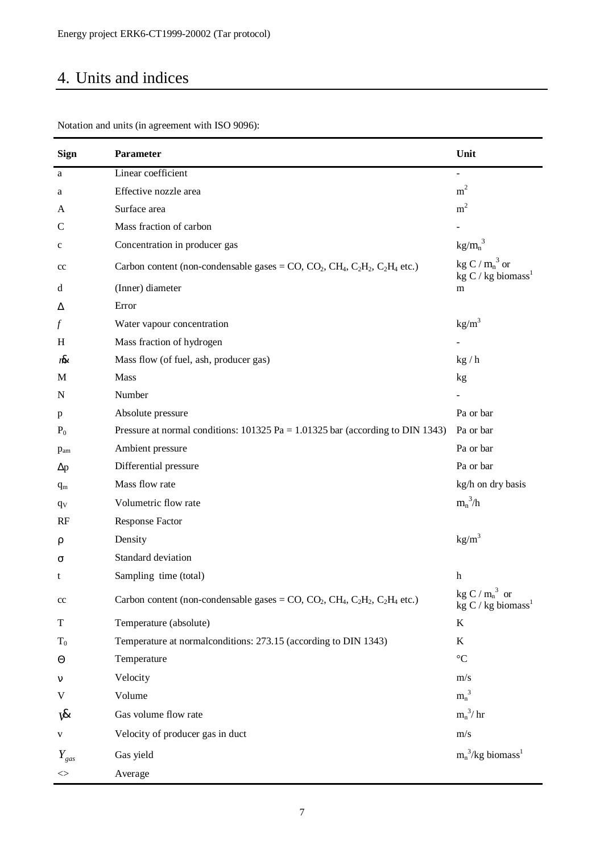## 4. Units and indices

| <b>Sign</b>   | Parameter                                                                                  | Unit                                                  |
|---------------|--------------------------------------------------------------------------------------------|-------------------------------------------------------|
| a             | Linear coefficient                                                                         | $\overline{\phantom{0}}$                              |
| a             | Effective nozzle area                                                                      | m <sup>2</sup>                                        |
| A             | Surface area                                                                               | m <sup>2</sup>                                        |
| C             | Mass fraction of carbon                                                                    |                                                       |
| $\mathbf c$   | Concentration in producer gas                                                              | $kg/m_n^3$                                            |
| $_{\rm cc}$   | Carbon content (non-condensable gases = $CO$ , $CO_2$ , $CH_4$ , $C_2H_2$ , $C_2H_4$ etc.) | kg C / $m_n^3$ or<br>kg $C / kg$ biomass <sup>1</sup> |
| d             | (Inner) diameter                                                                           | m                                                     |
| Δ             | Error                                                                                      |                                                       |
| f             | Water vapour concentration                                                                 | kg/m <sup>3</sup>                                     |
| H             | Mass fraction of hydrogen                                                                  |                                                       |
| rhi           | Mass flow (of fuel, ash, producer gas)                                                     | kg/h                                                  |
| M             | Mass                                                                                       | kg                                                    |
| N             | Number                                                                                     |                                                       |
| p             | Absolute pressure                                                                          | Pa or bar                                             |
| $P_0$         | Pressure at normal conditions: $101325$ Pa = 1.01325 bar (according to DIN 1343)           | Pa or bar                                             |
| $p_{am}$      | Ambient pressure                                                                           | Pa or bar                                             |
| $\Delta p$    | Differential pressure                                                                      | Pa or bar                                             |
| $q_{m}$       | Mass flow rate                                                                             | kg/h on dry basis                                     |
| $q_V$         | Volumetric flow rate                                                                       | $m_n^3/h$                                             |
| RF            | <b>Response Factor</b>                                                                     |                                                       |
| ρ             | Density                                                                                    | kg/m <sup>3</sup>                                     |
| σ             | Standard deviation                                                                         |                                                       |
| t             | Sampling time (total)                                                                      | h                                                     |
| cc            | Carbon content (non-condensable gases = $CO$ , $CO_2$ , $CH_4$ , $C_2H_2$ , $C_2H_4$ etc.) | kg C / $m_n^3$ or<br>kg C / kg biomass <sup>1</sup>   |
| $\mathbf T$   | Temperature (absolute)                                                                     | $\bf K$                                               |
| $T_0$         | Temperature at normalconditions: 273.15 (according to DIN 1343)                            | K                                                     |
| $\Theta$      | Temperature                                                                                | $^{\circ}C$                                           |
| $\mathsf{v}$  | Velocity                                                                                   | m/s                                                   |
| V             | Volume                                                                                     | $m_n^3$                                               |
| ₩             | Gas volume flow rate                                                                       | $m_n^3$ / hr                                          |
| V             | Velocity of producer gas in duct                                                           | m/s                                                   |
| $Y_{gas}$     | Gas yield                                                                                  | $m_n^3/kg$ biomass <sup>1</sup>                       |
| $\mathord{<}$ | Average                                                                                    |                                                       |

Notation and units (in agreement with ISO 9096):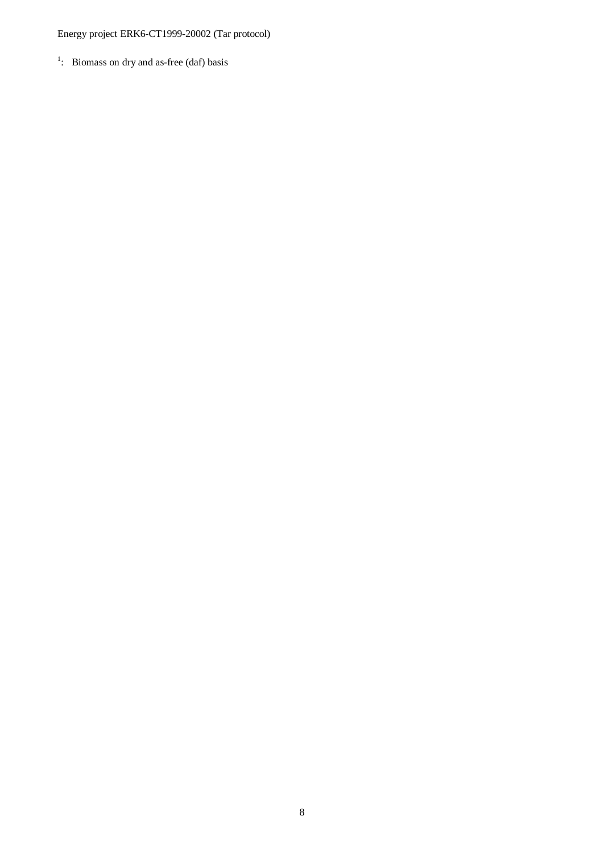## Energy project ERK6-CT1999-20002 (Tar protocol)

 $\frac{1}{1}$ : Biomass on dry and as-free (daf) basis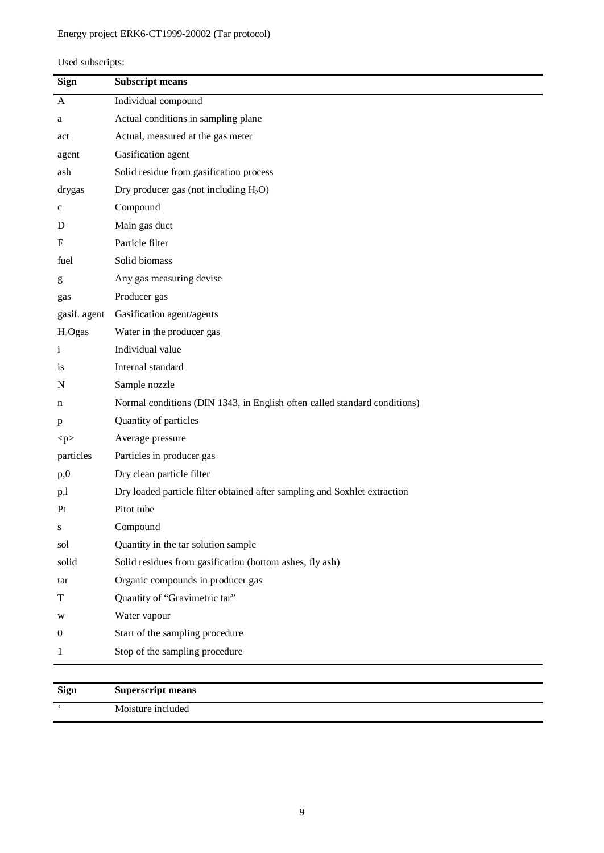## Energy project ERK6-CT1999-20002 (Tar protocol)

| Used subscripts: |
|------------------|
|------------------|

| Individual compound<br>$\mathbf{A}$<br>Actual conditions in sampling plane<br>a<br>Actual, measured at the gas meter<br>act<br>Gasification agent<br>agent<br>Solid residue from gasification process<br>ash<br>Dry producer gas (not including $H_2O$ )<br>drygas<br>Compound<br>$\mathbf c$<br>Main gas duct<br>D<br>Particle filter<br>F<br>Solid biomass<br>fuel<br>Any gas measuring devise<br>g<br>Producer gas<br>gas<br>Gasification agent/agents<br>gasif. agent<br>Water in the producer gas<br>H <sub>2</sub> Ogas<br>Individual value<br>$\mathbf{i}$<br>Internal standard<br>is<br>Sample nozzle<br>N<br>Normal conditions (DIN 1343, in English often called standard conditions)<br>n<br>Quantity of particles<br>p<br>Average pressure<br>p<br>Particles in producer gas<br>particles<br>Dry clean particle filter<br>p,0<br>Dry loaded particle filter obtained after sampling and Soxhlet extraction<br>p,l<br>Pitot tube<br>Pt |
|---------------------------------------------------------------------------------------------------------------------------------------------------------------------------------------------------------------------------------------------------------------------------------------------------------------------------------------------------------------------------------------------------------------------------------------------------------------------------------------------------------------------------------------------------------------------------------------------------------------------------------------------------------------------------------------------------------------------------------------------------------------------------------------------------------------------------------------------------------------------------------------------------------------------------------------------------|
|                                                                                                                                                                                                                                                                                                                                                                                                                                                                                                                                                                                                                                                                                                                                                                                                                                                                                                                                                   |
|                                                                                                                                                                                                                                                                                                                                                                                                                                                                                                                                                                                                                                                                                                                                                                                                                                                                                                                                                   |
|                                                                                                                                                                                                                                                                                                                                                                                                                                                                                                                                                                                                                                                                                                                                                                                                                                                                                                                                                   |
|                                                                                                                                                                                                                                                                                                                                                                                                                                                                                                                                                                                                                                                                                                                                                                                                                                                                                                                                                   |
|                                                                                                                                                                                                                                                                                                                                                                                                                                                                                                                                                                                                                                                                                                                                                                                                                                                                                                                                                   |
|                                                                                                                                                                                                                                                                                                                                                                                                                                                                                                                                                                                                                                                                                                                                                                                                                                                                                                                                                   |
|                                                                                                                                                                                                                                                                                                                                                                                                                                                                                                                                                                                                                                                                                                                                                                                                                                                                                                                                                   |
|                                                                                                                                                                                                                                                                                                                                                                                                                                                                                                                                                                                                                                                                                                                                                                                                                                                                                                                                                   |
|                                                                                                                                                                                                                                                                                                                                                                                                                                                                                                                                                                                                                                                                                                                                                                                                                                                                                                                                                   |
|                                                                                                                                                                                                                                                                                                                                                                                                                                                                                                                                                                                                                                                                                                                                                                                                                                                                                                                                                   |
|                                                                                                                                                                                                                                                                                                                                                                                                                                                                                                                                                                                                                                                                                                                                                                                                                                                                                                                                                   |
|                                                                                                                                                                                                                                                                                                                                                                                                                                                                                                                                                                                                                                                                                                                                                                                                                                                                                                                                                   |
|                                                                                                                                                                                                                                                                                                                                                                                                                                                                                                                                                                                                                                                                                                                                                                                                                                                                                                                                                   |
|                                                                                                                                                                                                                                                                                                                                                                                                                                                                                                                                                                                                                                                                                                                                                                                                                                                                                                                                                   |
|                                                                                                                                                                                                                                                                                                                                                                                                                                                                                                                                                                                                                                                                                                                                                                                                                                                                                                                                                   |
|                                                                                                                                                                                                                                                                                                                                                                                                                                                                                                                                                                                                                                                                                                                                                                                                                                                                                                                                                   |
|                                                                                                                                                                                                                                                                                                                                                                                                                                                                                                                                                                                                                                                                                                                                                                                                                                                                                                                                                   |
|                                                                                                                                                                                                                                                                                                                                                                                                                                                                                                                                                                                                                                                                                                                                                                                                                                                                                                                                                   |
|                                                                                                                                                                                                                                                                                                                                                                                                                                                                                                                                                                                                                                                                                                                                                                                                                                                                                                                                                   |
|                                                                                                                                                                                                                                                                                                                                                                                                                                                                                                                                                                                                                                                                                                                                                                                                                                                                                                                                                   |
|                                                                                                                                                                                                                                                                                                                                                                                                                                                                                                                                                                                                                                                                                                                                                                                                                                                                                                                                                   |
|                                                                                                                                                                                                                                                                                                                                                                                                                                                                                                                                                                                                                                                                                                                                                                                                                                                                                                                                                   |
|                                                                                                                                                                                                                                                                                                                                                                                                                                                                                                                                                                                                                                                                                                                                                                                                                                                                                                                                                   |
|                                                                                                                                                                                                                                                                                                                                                                                                                                                                                                                                                                                                                                                                                                                                                                                                                                                                                                                                                   |
| Compound                                                                                                                                                                                                                                                                                                                                                                                                                                                                                                                                                                                                                                                                                                                                                                                                                                                                                                                                          |
| Quantity in the tar solution sample<br>sol                                                                                                                                                                                                                                                                                                                                                                                                                                                                                                                                                                                                                                                                                                                                                                                                                                                                                                        |
| Solid residues from gasification (bottom ashes, fly ash)<br>solid                                                                                                                                                                                                                                                                                                                                                                                                                                                                                                                                                                                                                                                                                                                                                                                                                                                                                 |
| Organic compounds in producer gas<br>tar                                                                                                                                                                                                                                                                                                                                                                                                                                                                                                                                                                                                                                                                                                                                                                                                                                                                                                          |
| Quantity of "Gravimetric tar"<br>T                                                                                                                                                                                                                                                                                                                                                                                                                                                                                                                                                                                                                                                                                                                                                                                                                                                                                                                |
| Water vapour<br>W                                                                                                                                                                                                                                                                                                                                                                                                                                                                                                                                                                                                                                                                                                                                                                                                                                                                                                                                 |
| Start of the sampling procedure<br>0                                                                                                                                                                                                                                                                                                                                                                                                                                                                                                                                                                                                                                                                                                                                                                                                                                                                                                              |
| Stop of the sampling procedure<br>1                                                                                                                                                                                                                                                                                                                                                                                                                                                                                                                                                                                                                                                                                                                                                                                                                                                                                                               |
|                                                                                                                                                                                                                                                                                                                                                                                                                                                                                                                                                                                                                                                                                                                                                                                                                                                                                                                                                   |

| <b>Sign</b> | Superscript means |
|-------------|-------------------|
|             | Moisture included |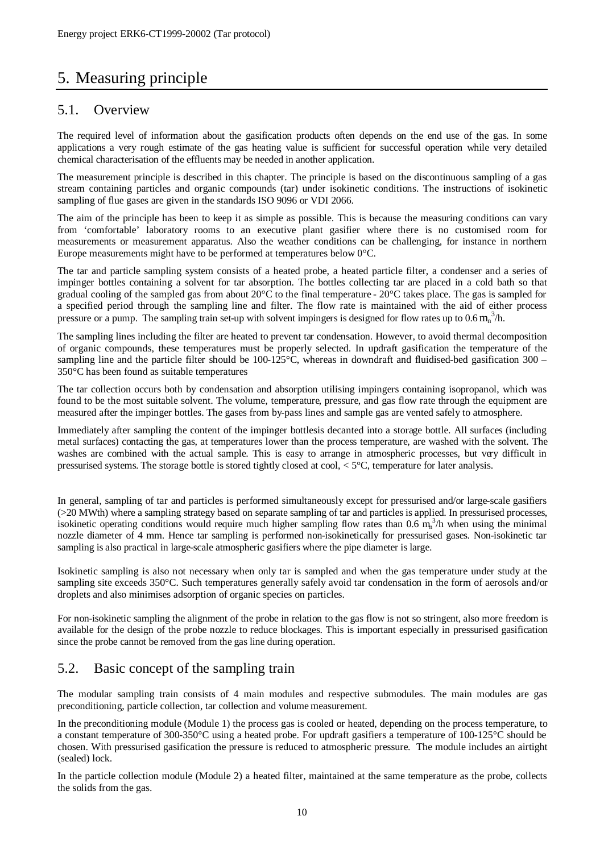## 5. Measuring principle

#### 5.1. Overview

The required level of information about the gasification products often depends on the end use of the gas. In some applications a very rough estimate of the gas heating value is sufficient for successful operation while very detailed chemical characterisation of the effluents may be needed in another application.

The measurement principle is described in this chapter. The principle is based on the discontinuous sampling of a gas stream containing particles and organic compounds (tar) under isokinetic conditions. The instructions of isokinetic sampling of flue gases are given in the standards ISO 9096 or VDI 2066.

The aim of the principle has been to keep it as simple as possible. This is because the measuring conditions can vary from 'comfortable' laboratory rooms to an executive plant gasifier where there is no customised room for measurements or measurement apparatus. Also the weather conditions can be challenging, for instance in northern Europe measurements might have to be performed at temperatures below 0°C.

The tar and particle sampling system consists of a heated probe, a heated particle filter, a condenser and a series of impinger bottles containing a solvent for tar absorption. The bottles collecting tar are placed in a cold bath so that gradual cooling of the sampled gas from about  $20^{\circ}$ C to the final temperature -  $20^{\circ}$ C takes place. The gas is sampled for a specified period through the sampling line and filter. The flow rate is maintained with the aid of either process pressure or a pump. The sampling train set-up with solvent impingers is designed for flow rates up to  $0.6 \text{ m}_n^3/h$ .

The sampling lines including the filter are heated to prevent tar condensation. However, to avoid thermal decomposition of organic compounds, these temperatures must be properly selected. In updraft gasification the temperature of the sampling line and the particle filter should be  $100-125^{\circ}$ C, whereas in downdraft and fluidised-bed gasification 300 – 350°C has been found as suitable temperatures

The tar collection occurs both by condensation and absorption utilising impingers containing isopropanol, which was found to be the most suitable solvent. The volume, temperature, pressure, and gas flow rate through the equipment are measured after the impinger bottles. The gases from by-pass lines and sample gas are vented safely to atmosphere.

Immediately after sampling the content of the impinger bottlesis decanted into a storage bottle. All surfaces (including metal surfaces) contacting the gas, at temperatures lower than the process temperature, are washed with the solvent. The washes are combined with the actual sample. This is easy to arrange in atmospheric processes, but very difficult in pressurised systems. The storage bottle is stored tightly closed at cool, < 5°C, temperature for later analysis.

In general, sampling of tar and particles is performed simultaneously except for pressurised and/or large-scale gasifiers (>20 MWth) where a sampling strategy based on separate sampling of tar and particles is applied. In pressurised processes, isokinetic operating conditions would require much higher sampling flow rates than  $0.6 \text{ m}^3$ h when using the minimal nozzle diameter of 4 mm. Hence tar sampling is performed non-isokinetically for pressurised gases. Non-isokinetic tar sampling is also practical in large-scale atmospheric gasifiers where the pipe diameter is large.

Isokinetic sampling is also not necessary when only tar is sampled and when the gas temperature under study at the sampling site exceeds 350°C. Such temperatures generally safely avoid tar condensation in the form of aerosols and/or droplets and also minimises adsorption of organic species on particles.

For non-isokinetic sampling the alignment of the probe in relation to the gas flow is not so stringent, also more freedom is available for the design of the probe nozzle to reduce blockages. This is important especially in pressurised gasification since the probe cannot be removed from the gas line during operation.

## 5.2. Basic concept of the sampling train

The modular sampling train consists of 4 main modules and respective submodules. The main modules are gas preconditioning, particle collection, tar collection and volume measurement.

In the preconditioning module (Module 1) the process gas is cooled or heated, depending on the process temperature, to a constant temperature of 300-350°C using a heated probe. For updraft gasifiers a temperature of 100-125°C should be chosen. With pressurised gasification the pressure is reduced to atmospheric pressure. The module includes an airtight (sealed) lock.

In the particle collection module (Module 2) a heated filter, maintained at the same temperature as the probe, collects the solids from the gas.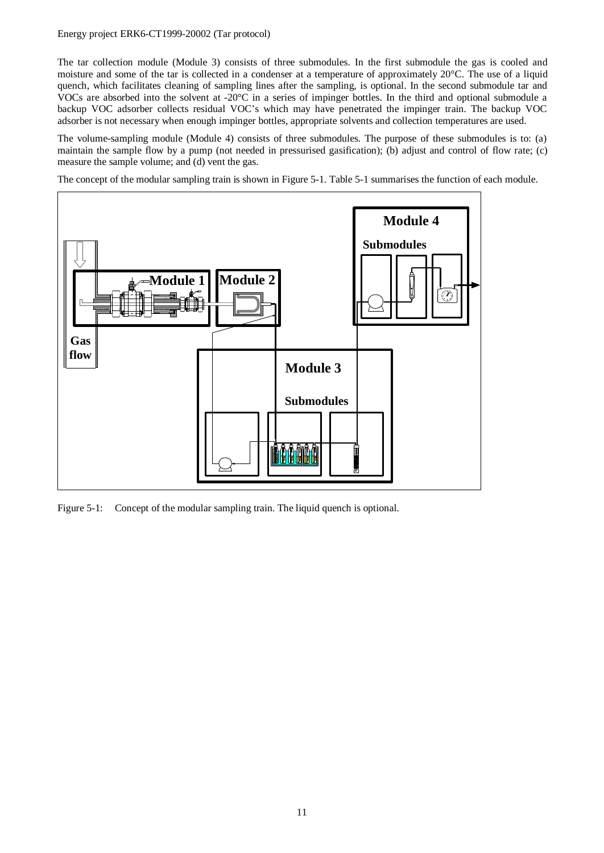#### Energy project ERK6-CT1999-20002 (Tar protocol)

The tar collection module (Module 3) consists of three submodules. In the first submodule the gas is cooled and moisture and some of the tar is collected in a condenser at a temperature of approximately 20°C. The use of a liquid quench, which facilitates cleaning of sampling lines after the sampling, is optional. In the second submodule tar and VOCs are absorbed into the solvent at -20°C in a series of impinger bottles. In the third and optional submodule a backup VOC adsorber collects residual VOC's which may have penetrated the impinger train. The backup VOC adsorber is not necessary when enough impinger bottles, appropriate solvents and collection temperatures are used.

The volume-sampling module (Module 4) consists of three submodules. The purpose of these submodules is to: (a) maintain the sample flow by a pump (not needed in pressurised gasification); (b) adjust and control of flow rate; (c) measure the sample volume; and (d) vent the gas.

The concept of the modular sampling train is shown in Figure 5-1. Table 5-1 summarises the function of each module.



Figure 5-1: Concept of the modular sampling train. The liquid quench is optional.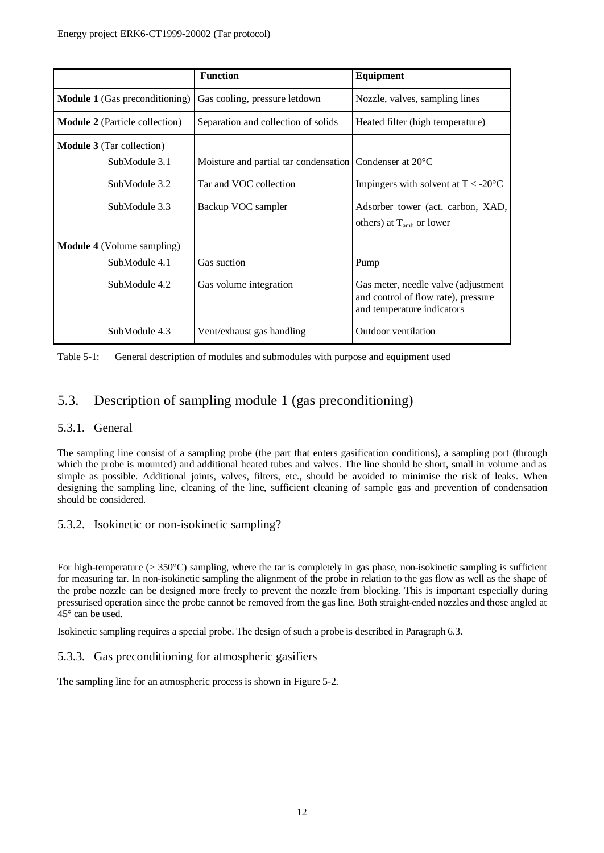|                                       | <b>Function</b>                                          | Equipment                                                                                                |
|---------------------------------------|----------------------------------------------------------|----------------------------------------------------------------------------------------------------------|
| <b>Module 1</b> (Gas preconditioning) | Gas cooling, pressure letdown                            | Nozzle, valves, sampling lines                                                                           |
| <b>Module 2</b> (Particle collection) | Separation and collection of solids                      | Heated filter (high temperature)                                                                         |
| <b>Module 3</b> (Tar collection)      |                                                          |                                                                                                          |
| SubModule 3.1                         | Moisture and partial tar condensation Condenser at 20 °C |                                                                                                          |
| SubModule 3.2                         | Tar and VOC collection                                   | Impingers with solvent at $T < -20^{\circ}C$                                                             |
| SubModule 3.3                         | Backup VOC sampler                                       | Adsorber tower (act. carbon, XAD,                                                                        |
|                                       |                                                          | others) at $T_{amb}$ or lower                                                                            |
| <b>Module 4</b> (Volume sampling)     |                                                          |                                                                                                          |
| SubModule 4.1                         | Gas suction                                              | Pump                                                                                                     |
| SubModule 4.2                         | Gas volume integration                                   | Gas meter, needle valve (adjustment<br>and control of flow rate), pressure<br>and temperature indicators |
| SubModule 4.3                         | Vent/exhaust gas handling                                | Outdoor ventilation                                                                                      |

Table 5-1: General description of modules and submodules with purpose and equipment used

## 5.3. Description of sampling module 1 (gas preconditioning)

#### 5.3.1. General

The sampling line consist of a sampling probe (the part that enters gasification conditions), a sampling port (through which the probe is mounted) and additional heated tubes and valves. The line should be short, small in volume and as simple as possible. Additional joints, valves, filters, etc., should be avoided to minimise the risk of leaks. When designing the sampling line, cleaning of the line, sufficient cleaning of sample gas and prevention of condensation should be considered.

#### 5.3.2. Isokinetic or non-isokinetic sampling?

For high-temperature ( $> 350^{\circ}$ C) sampling, where the tar is completely in gas phase, non-isokinetic sampling is sufficient for measuring tar. In non-isokinetic sampling the alignment of the probe in relation to the gas flow as well as the shape of the probe nozzle can be designed more freely to prevent the nozzle from blocking. This is important especially during pressurised operation since the probe cannot be removed from the gas line. Both straight-ended nozzles and those angled at 45° can be used.

Isokinetic sampling requires a special probe. The design of such a probe is described in Paragraph 6.3.

#### 5.3.3. Gas preconditioning for atmospheric gasifiers

The sampling line for an atmospheric process is shown in Figure 5-2.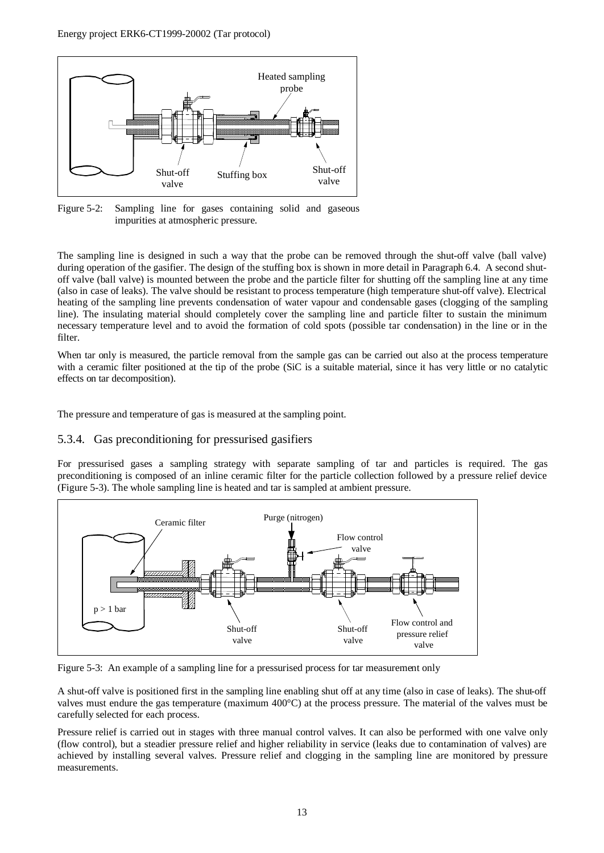

Figure 5-2: Sampling line for gases containing solid and gaseous impurities at atmospheric pressure.

The sampling line is designed in such a way that the probe can be removed through the shut-off valve (ball valve) during operation of the gasifier. The design of the stuffing box is shown in more detail in Paragraph 6.4. A second shutoff valve (ball valve) is mounted between the probe and the particle filter for shutting off the sampling line at any time (also in case of leaks). The valve should be resistant to process temperature (high temperature shut-off valve). Electrical heating of the sampling line prevents condensation of water vapour and condensable gases (clogging of the sampling line). The insulating material should completely cover the sampling line and particle filter to sustain the minimum necessary temperature level and to avoid the formation of cold spots (possible tar condensation) in the line or in the filter.

When tar only is measured, the particle removal from the sample gas can be carried out also at the process temperature with a ceramic filter positioned at the tip of the probe (SiC is a suitable material, since it has very little or no catalytic effects on tar decomposition).

The pressure and temperature of gas is measured at the sampling point.

#### 5.3.4. Gas preconditioning for pressurised gasifiers

For pressurised gases a sampling strategy with separate sampling of tar and particles is required. The gas preconditioning is composed of an inline ceramic filter for the particle collection followed by a pressure relief device (Figure 5-3). The whole sampling line is heated and tar is sampled at ambient pressure.



Figure 5-3: An example of a sampling line for a pressurised process for tar measurement only

A shut-off valve is positioned first in the sampling line enabling shut off at any time (also in case of leaks). The shut-off valves must endure the gas temperature (maximum 400°C) at the process pressure. The material of the valves must be carefully selected for each process.

Pressure relief is carried out in stages with three manual control valves. It can also be performed with one valve only (flow control), but a steadier pressure relief and higher reliability in service (leaks due to contamination of valves) are achieved by installing several valves. Pressure relief and clogging in the sampling line are monitored by pressure measurements.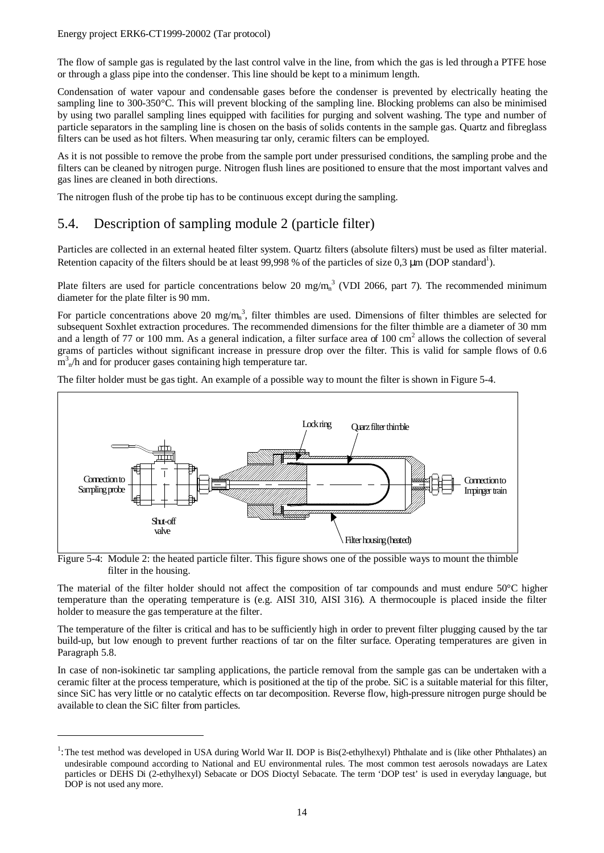#### Energy project ERK6-CT1999-20002 (Tar protocol)

 $\overline{a}$ 

The flow of sample gas is regulated by the last control valve in the line, from which the gas is led through a PTFE hose or through a glass pipe into the condenser. This line should be kept to a minimum length.

Condensation of water vapour and condensable gases before the condenser is prevented by electrically heating the sampling line to 300-350°C. This will prevent blocking of the sampling line. Blocking problems can also be minimised by using two parallel sampling lines equipped with facilities for purging and solvent washing. The type and number of particle separators in the sampling line is chosen on the basis of solids contents in the sample gas. Quartz and fibreglass filters can be used as hot filters. When measuring tar only, ceramic filters can be employed.

As it is not possible to remove the probe from the sample port under pressurised conditions, the sampling probe and the filters can be cleaned by nitrogen purge. Nitrogen flush lines are positioned to ensure that the most important valves and gas lines are cleaned in both directions.

The nitrogen flush of the probe tip has to be continuous except during the sampling.

## 5.4. Description of sampling module 2 (particle filter)

Particles are collected in an external heated filter system. Quartz filters (absolute filters) must be used as filter material. Retention capacity of the filters should be at least 99,998 % of the particles of size 0,3  $\mu$ m (DOP standard<sup>1</sup>).

Plate filters are used for particle concentrations below 20 mg/m<sub>n</sub><sup>3</sup> (VDI 2066, part 7). The recommended minimum diameter for the plate filter is 90 mm.

For particle concentrations above 20 mg/m<sub>n</sub><sup>3</sup>, filter thimbles are used. Dimensions of filter thimbles are selected for subsequent Soxhlet extraction procedures. The recommended dimensions for the filter thimble are a diameter of 30 mm and a length of 77 or 100 mm. As a general indication, a filter surface area of 100 cm<sup>2</sup> allows the collection of several grams of particles without significant increase in pressure drop over the filter. This is valid for sample flows of 0.6  $m<sup>3</sup><sub>n</sub>/h$  and for producer gases containing high temperature tar.

The filter holder must be gas tight. An example of a possible way to mount the filter is shown in Figure 5-4.



Figure 5-4: Module 2: the heated particle filter. This figure shows one of the possible ways to mount the thimble filter in the housing.

The material of the filter holder should not affect the composition of tar compounds and must endure 50°C higher temperature than the operating temperature is (e.g. AISI 310, AISI 316). A thermocouple is placed inside the filter holder to measure the gas temperature at the filter.

The temperature of the filter is critical and has to be sufficiently high in order to prevent filter plugging caused by the tar build-up, but low enough to prevent further reactions of tar on the filter surface. Operating temperatures are given in Paragraph 5.8.

In case of non-isokinetic tar sampling applications, the particle removal from the sample gas can be undertaken with a ceramic filter at the process temperature, which is positioned at the tip of the probe. SiC is a suitable material for this filter, since SiC has very little or no catalytic effects on tar decomposition. Reverse flow, high-pressure nitrogen purge should be available to clean the SiC filter from particles.

<sup>&</sup>lt;sup>1</sup>: The test method was developed in USA during World War II. DOP is Bis(2-ethylhexyl) Phthalate and is (like other Phthalates) an undesirable compound according to National and EU environmental rules. The most common test aerosols nowadays are Latex particles or DEHS Di (2-ethylhexyl) Sebacate or DOS Dioctyl Sebacate. The term 'DOP test' is used in everyday language, but DOP is not used any more.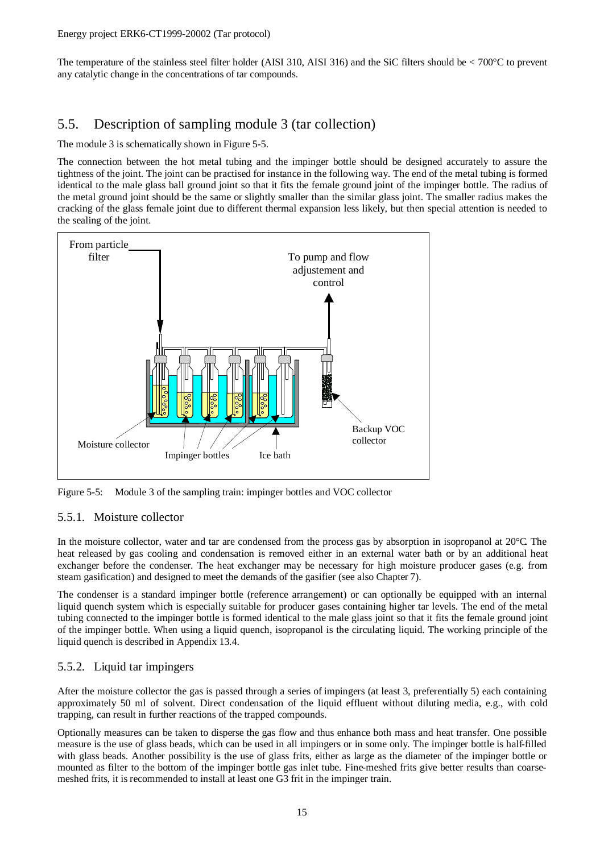The temperature of the stainless steel filter holder (AISI 310, AISI 316) and the SiC filters should be  $\lt$  700 $\degree$ C to prevent any catalytic change in the concentrations of tar compounds.

## 5.5. Description of sampling module 3 (tar collection)

The module 3 is schematically shown in Figure 5-5.

The connection between the hot metal tubing and the impinger bottle should be designed accurately to assure the tightness of the joint. The joint can be practised for instance in the following way. The end of the metal tubing is formed identical to the male glass ball ground joint so that it fits the female ground joint of the impinger bottle. The radius of the metal ground joint should be the same or slightly smaller than the similar glass joint. The smaller radius makes the cracking of the glass female joint due to different thermal expansion less likely, but then special attention is needed to the sealing of the joint.



Figure 5-5: Module 3 of the sampling train: impinger bottles and VOC collector

#### 5.5.1. Moisture collector

In the moisture collector, water and tar are condensed from the process gas by absorption in isopropanol at 20 $^{\circ}$ C. The heat released by gas cooling and condensation is removed either in an external water bath or by an additional heat exchanger before the condenser. The heat exchanger may be necessary for high moisture producer gases (e.g. from steam gasification) and designed to meet the demands of the gasifier (see also Chapter 7).

The condenser is a standard impinger bottle (reference arrangement) or can optionally be equipped with an internal liquid quench system which is especially suitable for producer gases containing higher tar levels. The end of the metal tubing connected to the impinger bottle is formed identical to the male glass joint so that it fits the female ground joint of the impinger bottle. When using a liquid quench, isopropanol is the circulating liquid. The working principle of the liquid quench is described in Appendix 13.4.

#### 5.5.2. Liquid tar impingers

After the moisture collector the gas is passed through a series of impingers (at least 3, preferentially 5) each containing approximately 50 ml of solvent. Direct condensation of the liquid effluent without diluting media, e.g., with cold trapping, can result in further reactions of the trapped compounds.

Optionally measures can be taken to disperse the gas flow and thus enhance both mass and heat transfer. One possible measure is the use of glass beads, which can be used in all impingers or in some only. The impinger bottle is half-filled with glass beads. Another possibility is the use of glass frits, either as large as the diameter of the impinger bottle or mounted as filter to the bottom of the impinger bottle gas inlet tube. Fine-meshed frits give better results than coarsemeshed frits, it is recommended to install at least one G3 frit in the impinger train.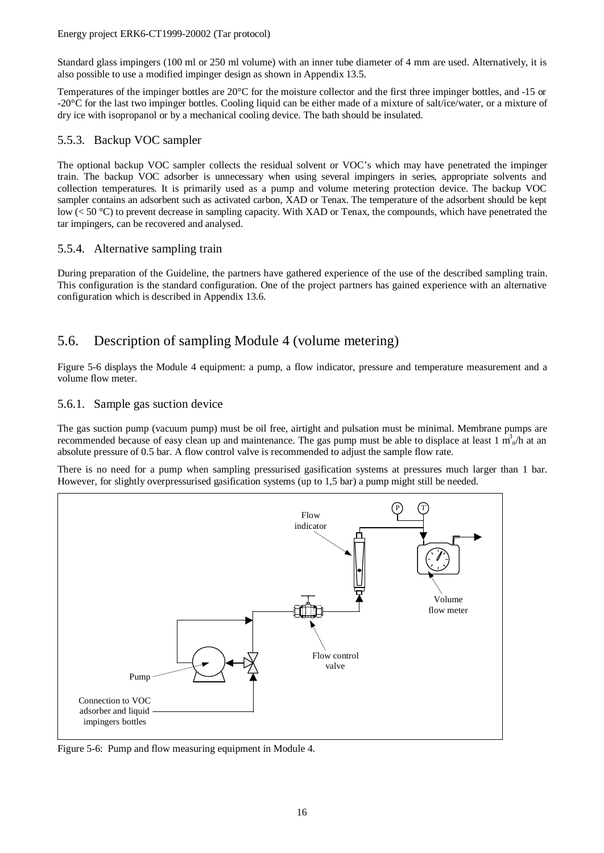#### Energy project ERK6-CT1999-20002 (Tar protocol)

Standard glass impingers (100 ml or 250 ml volume) with an inner tube diameter of 4 mm are used. Alternatively, it is also possible to use a modified impinger design as shown in Appendix 13.5.

Temperatures of the impinger bottles are 20°C for the moisture collector and the first three impinger bottles, and -15 or -20°C for the last two impinger bottles. Cooling liquid can be either made of a mixture of salt/ice/water, or a mixture of dry ice with isopropanol or by a mechanical cooling device. The bath should be insulated.

#### 5.5.3. Backup VOC sampler

The optional backup VOC sampler collects the residual solvent or VOC's which may have penetrated the impinger train. The backup VOC adsorber is unnecessary when using several impingers in series, appropriate solvents and collection temperatures. It is primarily used as a pump and volume metering protection device. The backup VOC sampler contains an adsorbent such as activated carbon, XAD or Tenax. The temperature of the adsorbent should be kept low (< 50 °C) to prevent decrease in sampling capacity. With XAD or Tenax, the compounds, which have penetrated the tar impingers, can be recovered and analysed.

#### 5.5.4. Alternative sampling train

During preparation of the Guideline, the partners have gathered experience of the use of the described sampling train. This configuration is the standard configuration. One of the project partners has gained experience with an alternative configuration which is described in Appendix 13.6.

## 5.6. Description of sampling Module 4 (volume metering)

Figure 5-6 displays the Module 4 equipment: a pump, a flow indicator, pressure and temperature measurement and a volume flow meter.

#### 5.6.1. Sample gas suction device

The gas suction pump (vacuum pump) must be oil free, airtight and pulsation must be minimal. Membrane pumps are recommended because of easy clean up and maintenance. The gas pump must be able to displace at least  $1 m_n^3/n$  at an absolute pressure of 0.5 bar. A flow control valve is recommended to adjust the sample flow rate.

There is no need for a pump when sampling pressurised gasification systems at pressures much larger than 1 bar. However, for slightly overpressurised gasification systems (up to 1,5 bar) a pump might still be needed.



Figure 5-6: Pump and flow measuring equipment in Module 4.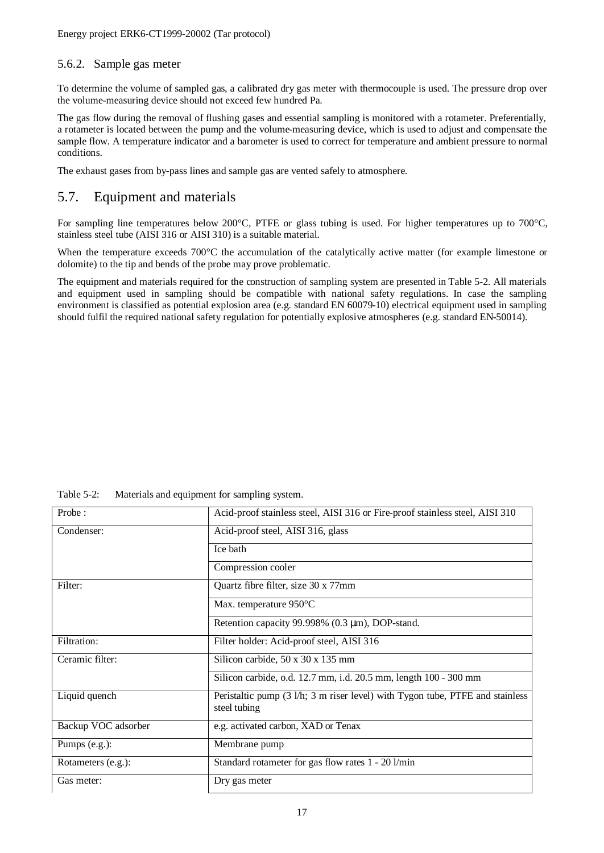#### 5.6.2. Sample gas meter

To determine the volume of sampled gas, a calibrated dry gas meter with thermocouple is used. The pressure drop over the volume-measuring device should not exceed few hundred Pa.

The gas flow during the removal of flushing gases and essential sampling is monitored with a rotameter. Preferentially, a rotameter is located between the pump and the volume-measuring device, which is used to adjust and compensate the sample flow. A temperature indicator and a barometer is used to correct for temperature and ambient pressure to normal conditions.

The exhaust gases from by-pass lines and sample gas are vented safely to atmosphere.

## 5.7. Equipment and materials

For sampling line temperatures below 200°C, PTFE or glass tubing is used. For higher temperatures up to 700°C, stainless steel tube (AISI 316 or AISI 310) is a suitable material.

When the temperature exceeds 700°C the accumulation of the catalytically active matter (for example limestone or dolomite) to the tip and bends of the probe may prove problematic.

The equipment and materials required for the construction of sampling system are presented in Table 5-2. All materials and equipment used in sampling should be compatible with national safety regulations. In case the sampling environment is classified as potential explosion area (e.g. standard EN 60079-10) electrical equipment used in sampling should fulfil the required national safety regulation for potentially explosive atmospheres (e.g. standard EN-50014).

| Table $5-2$ : | Materials and equipment for sampling system. |
|---------------|----------------------------------------------|
|---------------|----------------------------------------------|

| Probe:              | Acid-proof stainless steel, AISI 316 or Fire-proof stainless steel, AISI 310                  |
|---------------------|-----------------------------------------------------------------------------------------------|
| Condenser:          | Acid-proof steel, AISI 316, glass                                                             |
|                     | Ice bath                                                                                      |
|                     | Compression cooler                                                                            |
| Filter:             | Quartz fibre filter, size 30 x 77mm                                                           |
|                     | Max. temperature $950^{\circ}$ C                                                              |
|                     | Retention capacity 99.998% $(0.3 \mu m)$ , DOP-stand.                                         |
| Filtration:         | Filter holder: Acid-proof steel, AISI 316                                                     |
| Ceramic filter:     | Silicon carbide, $50 \times 30 \times 135$ mm                                                 |
|                     | Silicon carbide, o.d. 12.7 mm, i.d. 20.5 mm, length 100 - 300 mm                              |
| Liquid quench       | Peristaltic pump (3 l/h; 3 m riser level) with Tygon tube, PTFE and stainless<br>steel tubing |
| Backup VOC adsorber | e.g. activated carbon, XAD or Tenax                                                           |
| Pumps (e.g.):       | Membrane pump                                                                                 |
| Rotameters (e.g.):  | Standard rotameter for gas flow rates 1 - 20 l/min                                            |
| Gas meter:          | Dry gas meter                                                                                 |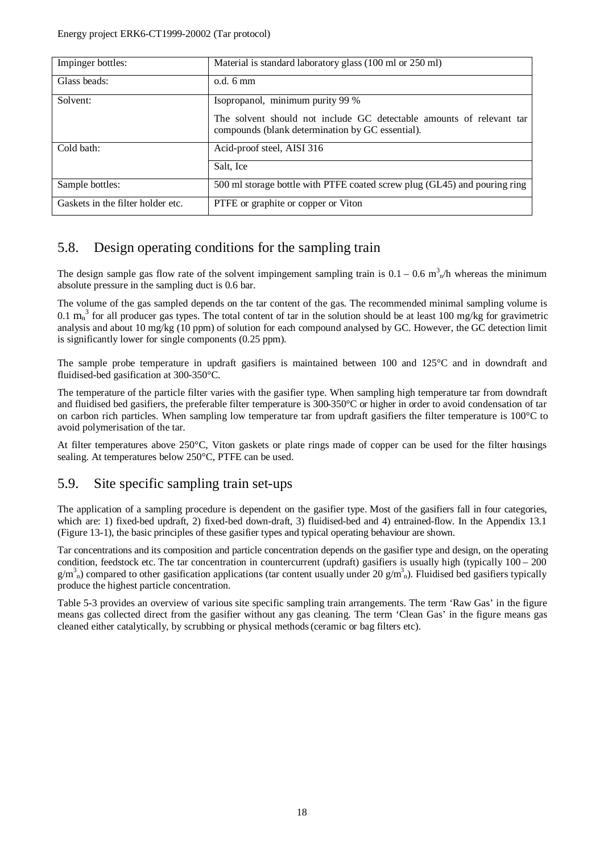| Impinger bottles:                 | Material is standard laboratory glass (100 ml or 250 ml)                                                                 |
|-----------------------------------|--------------------------------------------------------------------------------------------------------------------------|
| Glass beads:                      | $o.d. 6 \text{ mm}$                                                                                                      |
| Solvent:                          | Isopropanol, minimum purity 99 %                                                                                         |
|                                   | The solvent should not include GC detectable amounts of relevant tar<br>compounds (blank determination by GC essential). |
| Cold bath:                        | Acid-proof steel, AISI 316                                                                                               |
|                                   | Salt, Ice                                                                                                                |
| Sample bottles:                   | 500 ml storage bottle with PTFE coated screw plug (GL45) and pouring ring                                                |
| Gaskets in the filter holder etc. | PTFE or graphite or copper or Viton                                                                                      |

## 5.8. Design operating conditions for the sampling train

The design sample gas flow rate of the solvent impingement sampling train is  $0.1 - 0.6$  m<sup>3</sup><sub>n</sub>/h whereas the minimum absolute pressure in the sampling duct is 0.6 bar.

The volume of the gas sampled depends on the tar content of the gas. The recommended minimal sampling volume is 0.1  $m_n^3$  for all producer gas types. The total content of tar in the solution should be at least 100 mg/kg for gravimetric analysis and about 10 mg/kg (10 ppm) of solution for each compound analysed by GC. However, the GC detection limit is significantly lower for single components (0.25 ppm).

The sample probe temperature in updraft gasifiers is maintained between 100 and 125°C and in downdraft and fluidised-bed gasification at 300-350°C.

The temperature of the particle filter varies with the gasifier type. When sampling high temperature tar from downdraft and fluidised bed gasifiers, the preferable filter temperature is 300-350°C or higher in order to avoid condensation of tar on carbon rich particles. When sampling low temperature tar from updraft gasifiers the filter temperature is 100°C to avoid polymerisation of the tar.

At filter temperatures above 250°C, Viton gaskets or plate rings made of copper can be used for the filter housings sealing. At temperatures below 250°C, PTFE can be used.

## 5.9. Site specific sampling train set-ups

The application of a sampling procedure is dependent on the gasifier type. Most of the gasifiers fall in four categories, which are: 1) fixed-bed updraft, 2) fixed-bed down-draft, 3) fluidised-bed and 4) entrained-flow. In the Appendix 13.1 (Figure 13-1), the basic principles of these gasifier types and typical operating behaviour are shown.

Tar concentrations and its composition and particle concentration depends on the gasifier type and design, on the operating condition, feedstock etc. The tar concentration in countercurrent (updraft) gasifiers is usually high (typically 100 – 200  $g/m<sup>3</sup>$ <sub>n</sub>) compared to other gasification applications (tar content usually under 20  $g/m<sup>3</sup>$ <sub>n</sub>). Fluidised bed gasifiers typically produce the highest particle concentration.

Table 5-3 provides an overview of various site specific sampling train arrangements. The term 'Raw Gas' in the figure means gas collected direct from the gasifier without any gas cleaning. The term 'Clean Gas' in the figure means gas cleaned either catalytically, by scrubbing or physical methods (ceramic or bag filters etc).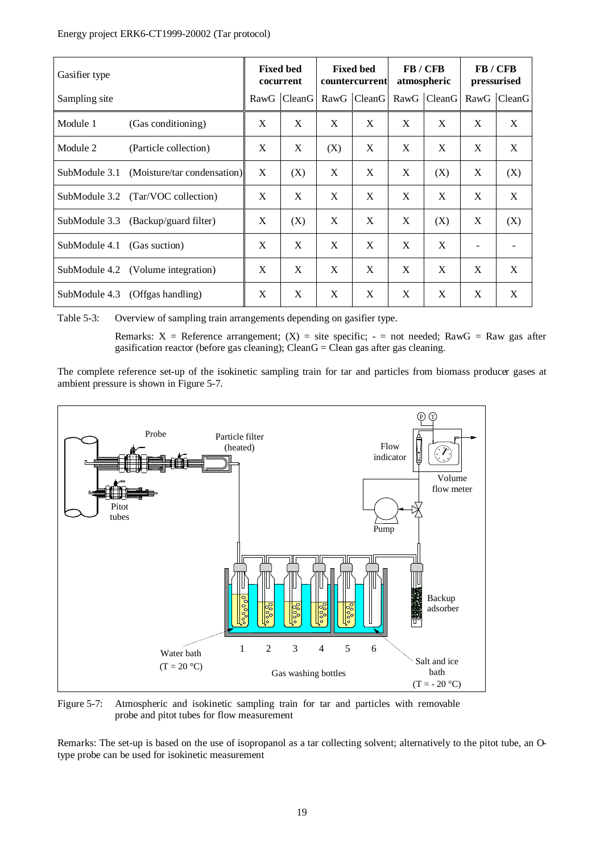#### Energy project ERK6-CT1999-20002 (Tar protocol)

| Gasifier type |                                    | <b>Fixed bed</b><br>cocurrent |             | <b>Fixed bed</b><br>countercurrent |             | <b>FB</b> / CFB<br>atmospheric |             | <b>FB</b> / CFB<br>pressurised |             |
|---------------|------------------------------------|-------------------------------|-------------|------------------------------------|-------------|--------------------------------|-------------|--------------------------------|-------------|
| Sampling site |                                    |                               | RawG CleanG |                                    | RawG CleanG |                                | RawG CleanG |                                | RawG CleanG |
| Module 1      | (Gas conditioning)                 | X                             | X           | X                                  | X           | X                              | X           | X                              | X           |
| Module 2      | (Particle collection)              | X                             | X           | (X)                                | X           | X                              | X           | X                              | X           |
| SubModule 3.1 | (Moisture/tar condensation)        | X                             | (X)         | X                                  | X           | X                              | (X)         | X                              | (X)         |
|               | SubModule 3.2 (Tar/VOC collection) | X                             | X           | X                                  | X           | X                              | X           | X                              | X           |
| SubModule 3.3 | (Backup/guard filter)              | X                             | (X)         | X                                  | X           | X                              | (X)         | X                              | (X)         |
| SubModule 4.1 | (Gas suction)                      | X                             | X           | X                                  | X           | X                              | X           |                                |             |
|               | SubModule 4.2 (Volume integration) | X                             | X           | X                                  | X           | X                              | X           | X                              | X           |
| SubModule 4.3 | (Offgas handling)                  | X                             | X           | X                                  | X           | X                              | X           | X                              | X           |

Table 5-3: Overview of sampling train arrangements depending on gasifier type.

Remarks:  $X =$  Reference arrangement;  $(X) =$  site specific;  $-$  = not needed; RawG = Raw gas after gasification reactor (before gas cleaning); Clean $G =$ Clean gas after gas cleaning.

The complete reference set-up of the isokinetic sampling train for tar and particles from biomass producer gases at ambient pressure is shown in Figure 5-7.



Figure 5-7: Atmospheric and isokinetic sampling train for tar and particles with removable probe and pitot tubes for flow measurement

Remarks: The set-up is based on the use of isopropanol as a tar collecting solvent; alternatively to the pitot tube, an Otype probe can be used for isokinetic measurement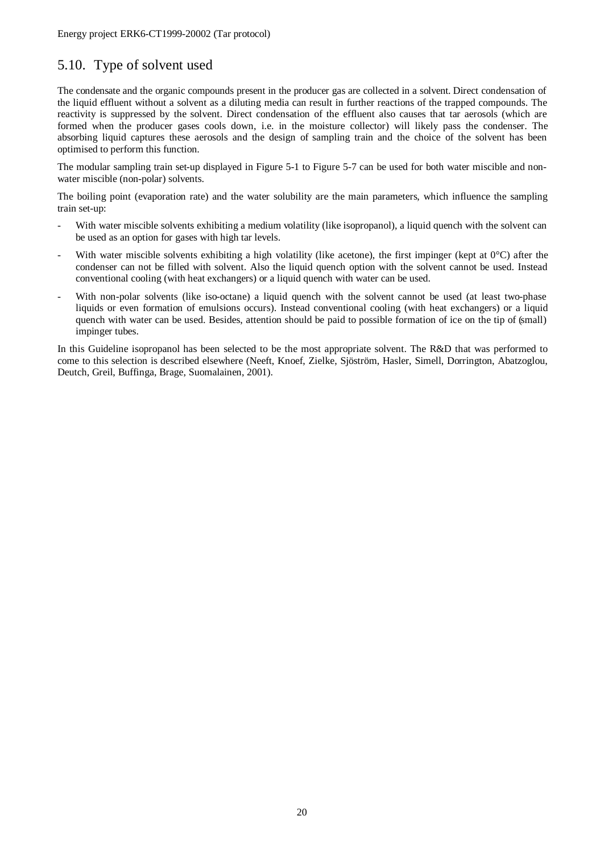## 5.10. Type of solvent used

The condensate and the organic compounds present in the producer gas are collected in a solvent. Direct condensation of the liquid effluent without a solvent as a diluting media can result in further reactions of the trapped compounds. The reactivity is suppressed by the solvent. Direct condensation of the effluent also causes that tar aerosols (which are formed when the producer gases cools down, i.e. in the moisture collector) will likely pass the condenser. The absorbing liquid captures these aerosols and the design of sampling train and the choice of the solvent has been optimised to perform this function.

The modular sampling train set-up displayed in Figure 5-1 to Figure 5-7 can be used for both water miscible and nonwater miscible (non-polar) solvents.

The boiling point (evaporation rate) and the water solubility are the main parameters, which influence the sampling train set-up:

- With water miscible solvents exhibiting a medium volatility (like isopropanol), a liquid quench with the solvent can be used as an option for gases with high tar levels.
- With water miscible solvents exhibiting a high volatility (like acetone), the first impinger (kept at  $0^{\circ}$ C) after the condenser can not be filled with solvent. Also the liquid quench option with the solvent cannot be used. Instead conventional cooling (with heat exchangers) or a liquid quench with water can be used.
- With non-polar solvents (like iso-octane) a liquid quench with the solvent cannot be used (at least two-phase liquids or even formation of emulsions occurs). Instead conventional cooling (with heat exchangers) or a liquid quench with water can be used. Besides, attention should be paid to possible formation of ice on the tip of (small) impinger tubes.

In this Guideline isopropanol has been selected to be the most appropriate solvent. The R&D that was performed to come to this selection is described elsewhere (Neeft, Knoef, Zielke, Sjöström, Hasler, Simell, Dorrington, Abatzoglou, Deutch, Greil, Buffinga, Brage, Suomalainen, 2001).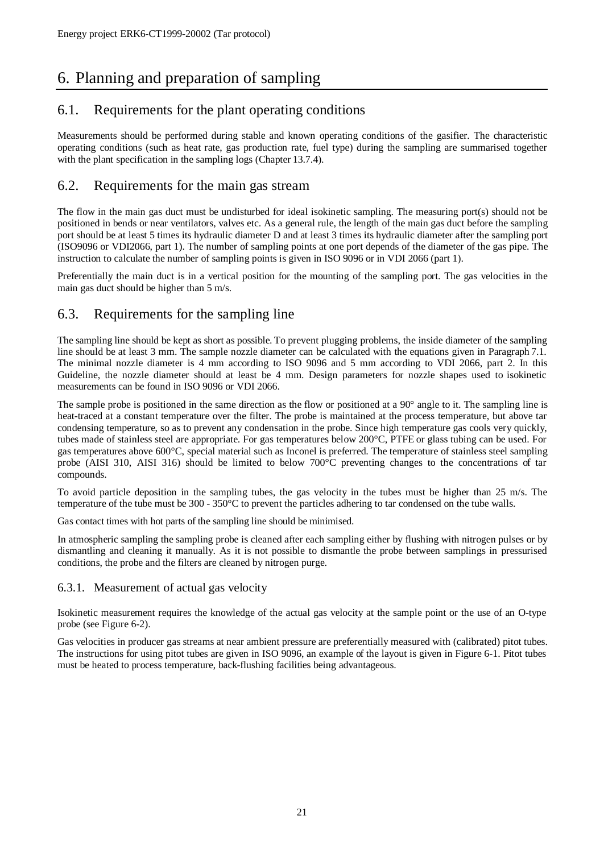## 6. Planning and preparation of sampling

## 6.1. Requirements for the plant operating conditions

Measurements should be performed during stable and known operating conditions of the gasifier. The characteristic operating conditions (such as heat rate, gas production rate, fuel type) during the sampling are summarised together with the plant specification in the sampling logs (Chapter 13.7.4).

### 6.2. Requirements for the main gas stream

The flow in the main gas duct must be undisturbed for ideal isokinetic sampling. The measuring port(s) should not be positioned in bends or near ventilators, valves etc. As a general rule, the length of the main gas duct before the sampling port should be at least 5 times its hydraulic diameter D and at least 3 times its hydraulic diameter after the sampling port (ISO9096 or VDI2066, part 1). The number of sampling points at one port depends of the diameter of the gas pipe. The instruction to calculate the number of sampling points is given in ISO 9096 or in VDI 2066 (part 1).

Preferentially the main duct is in a vertical position for the mounting of the sampling port. The gas velocities in the main gas duct should be higher than 5 m/s.

## 6.3. Requirements for the sampling line

The sampling line should be kept as short as possible. To prevent plugging problems, the inside diameter of the sampling line should be at least 3 mm. The sample nozzle diameter can be calculated with the equations given in Paragraph 7.1. The minimal nozzle diameter is 4 mm according to ISO 9096 and 5 mm according to VDI 2066, part 2. In this Guideline, the nozzle diameter should at least be 4 mm. Design parameters for nozzle shapes used to isokinetic measurements can be found in ISO 9096 or VDI 2066.

The sample probe is positioned in the same direction as the flow or positioned at a 90° angle to it. The sampling line is heat-traced at a constant temperature over the filter. The probe is maintained at the process temperature, but above tar condensing temperature, so as to prevent any condensation in the probe. Since high temperature gas cools very quickly, tubes made of stainless steel are appropriate. For gas temperatures below 200°C, PTFE or glass tubing can be used. For gas temperatures above 600°C, special material such as Inconel is preferred. The temperature of stainless steel sampling probe (AISI 310, AISI 316) should be limited to below 700°C preventing changes to the concentrations of tar compounds.

To avoid particle deposition in the sampling tubes, the gas velocity in the tubes must be higher than 25 m/s. The temperature of the tube must be 300 - 350°C to prevent the particles adhering to tar condensed on the tube walls.

Gas contact times with hot parts of the sampling line should be minimised.

In atmospheric sampling the sampling probe is cleaned after each sampling either by flushing with nitrogen pulses or by dismantling and cleaning it manually. As it is not possible to dismantle the probe between samplings in pressurised conditions, the probe and the filters are cleaned by nitrogen purge.

#### 6.3.1. Measurement of actual gas velocity

Isokinetic measurement requires the knowledge of the actual gas velocity at the sample point or the use of an O-type probe (see Figure 6-2).

Gas velocities in producer gas streams at near ambient pressure are preferentially measured with (calibrated) pitot tubes. The instructions for using pitot tubes are given in ISO 9096, an example of the layout is given in Figure 6-1. Pitot tubes must be heated to process temperature, back-flushing facilities being advantageous.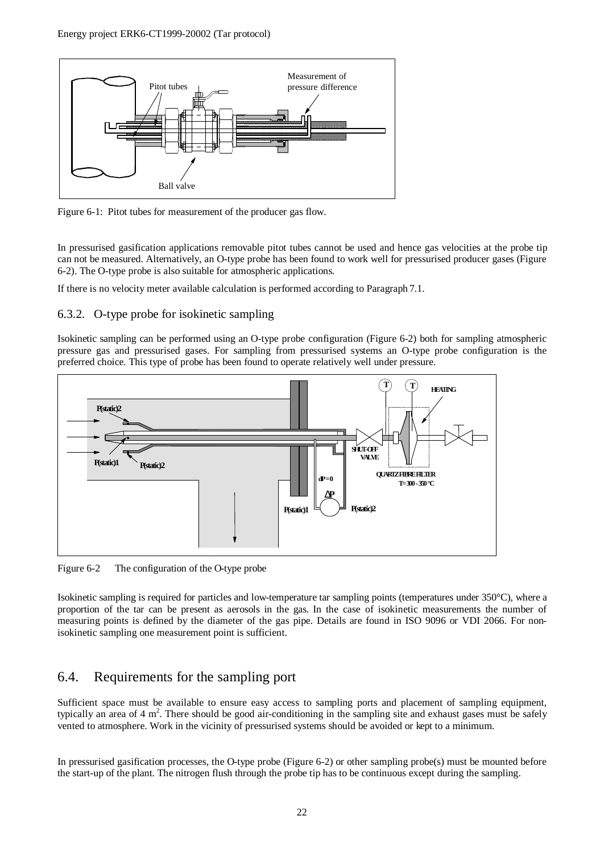

Figure 6-1: Pitot tubes for measurement of the producer gas flow.

In pressurised gasification applications removable pitot tubes cannot be used and hence gas velocities at the probe tip can not be measured. Alternatively, an O-type probe has been found to work well for pressurised producer gases (Figure 6-2). The O-type probe is also suitable for atmospheric applications.

If there is no velocity meter available calculation is performed according to Paragraph 7.1.

#### 6.3.2. O-type probe for isokinetic sampling

Isokinetic sampling can be performed using an O-type probe configuration (Figure 6-2) both for sampling atmospheric pressure gas and pressurised gases. For sampling from pressurised systems an O-type probe configuration is the preferred choice. This type of probe has been found to operate relatively well under pressure.



Figure 6-2 The configuration of the O-type probe

Isokinetic sampling is required for particles and low-temperature tar sampling points (temperatures under 350°C), where a proportion of the tar can be present as aerosols in the gas. In the case of isokinetic measurements the number of measuring points is defined by the diameter of the gas pipe. Details are found in ISO 9096 or VDI 2066. For nonisokinetic sampling one measurement point is sufficient.

## 6.4. Requirements for the sampling port

Sufficient space must be available to ensure easy access to sampling ports and placement of sampling equipment, typically an area of 4  $m^2$ . There should be good air-conditioning in the sampling site and exhaust gases must be safely vented to atmosphere. Work in the vicinity of pressurised systems should be avoided or kept to a minimum.

In pressurised gasification processes, the O-type probe (Figure 6-2) or other sampling probe(s) must be mounted before the start-up of the plant. The nitrogen flush through the probe tip has to be continuous except during the sampling.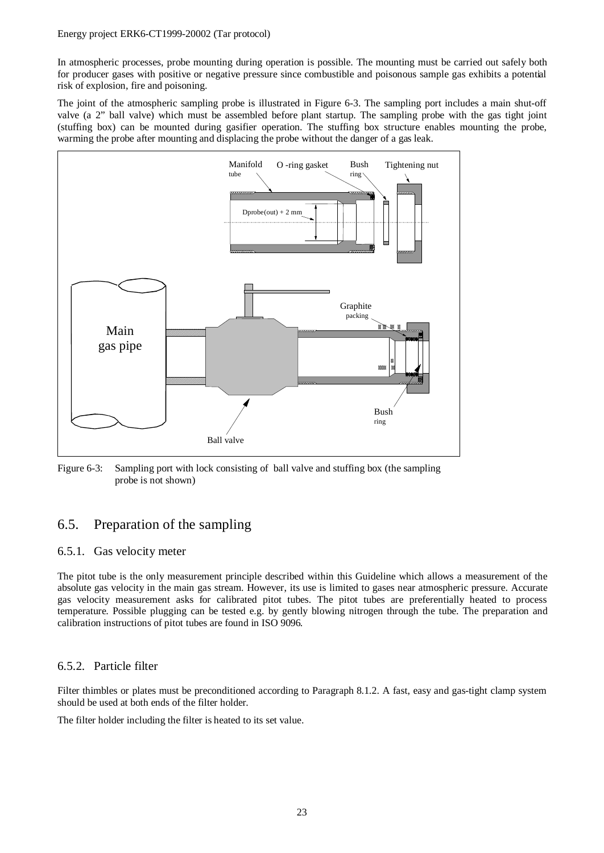In atmospheric processes, probe mounting during operation is possible. The mounting must be carried out safely both for producer gases with positive or negative pressure since combustible and poisonous sample gas exhibits a potential risk of explosion, fire and poisoning.

The joint of the atmospheric sampling probe is illustrated in Figure 6-3. The sampling port includes a main shut-off valve (a 2" ball valve) which must be assembled before plant startup. The sampling probe with the gas tight joint (stuffing box) can be mounted during gasifier operation. The stuffing box structure enables mounting the probe, warming the probe after mounting and displacing the probe without the danger of a gas leak.



Figure 6-3: Sampling port with lock consisting of ball valve and stuffing box (the sampling probe is not shown)

## 6.5. Preparation of the sampling

#### 6.5.1. Gas velocity meter

The pitot tube is the only measurement principle described within this Guideline which allows a measurement of the absolute gas velocity in the main gas stream. However, its use is limited to gases near atmospheric pressure. Accurate gas velocity measurement asks for calibrated pitot tubes. The pitot tubes are preferentially heated to process temperature. Possible plugging can be tested e.g. by gently blowing nitrogen through the tube. The preparation and calibration instructions of pitot tubes are found in ISO 9096.

#### 6.5.2. Particle filter

Filter thimbles or plates must be preconditioned according to Paragraph 8.1.2. A fast, easy and gas-tight clamp system should be used at both ends of the filter holder.

The filter holder including the filter is heated to its set value.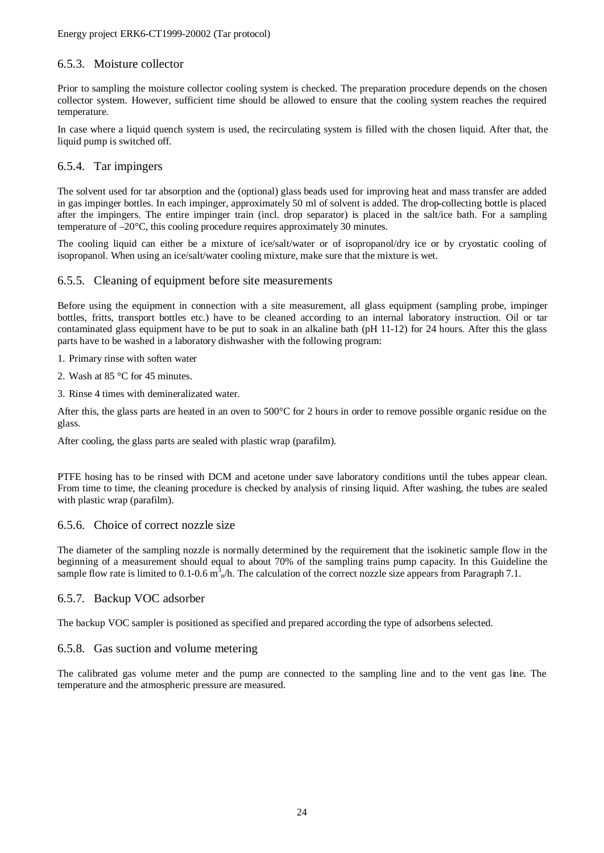#### 6.5.3. Moisture collector

Prior to sampling the moisture collector cooling system is checked. The preparation procedure depends on the chosen collector system. However, sufficient time should be allowed to ensure that the cooling system reaches the required temperature.

In case where a liquid quench system is used, the recirculating system is filled with the chosen liquid. After that, the liquid pump is switched off.

#### 6.5.4. Tar impingers

The solvent used for tar absorption and the (optional) glass beads used for improving heat and mass transfer are added in gas impinger bottles. In each impinger, approximately 50 ml of solvent is added. The drop-collecting bottle is placed after the impingers. The entire impinger train (incl. drop separator) is placed in the salt/ice bath. For a sampling temperature of –20°C, this cooling procedure requires approximately 30 minutes.

The cooling liquid can either be a mixture of ice/salt/water or of isopropanol/dry ice or by cryostatic cooling of isopropanol. When using an ice/salt/water cooling mixture, make sure that the mixture is wet.

#### 6.5.5. Cleaning of equipment before site measurements

Before using the equipment in connection with a site measurement, all glass equipment (sampling probe, impinger bottles, fritts, transport bottles etc.) have to be cleaned according to an internal laboratory instruction. Oil or tar contaminated glass equipment have to be put to soak in an alkaline bath (pH 11-12) for 24 hours. After this the glass parts have to be washed in a laboratory dishwasher with the following program:

#### 1. Primary rinse with soften water

- 2. Wash at 85 °C for 45 minutes.
- 3. Rinse 4 times with demineralizated water.

After this, the glass parts are heated in an oven to 500°C for 2 hours in order to remove possible organic residue on the glass.

After cooling, the glass parts are sealed with plastic wrap (parafilm).

PTFE hosing has to be rinsed with DCM and acetone under save laboratory conditions until the tubes appear clean. From time to time, the cleaning procedure is checked by analysis of rinsing liquid. After washing, the tubes are sealed with plastic wrap (parafilm).

#### 6.5.6. Choice of correct nozzle size

The diameter of the sampling nozzle is normally determined by the requirement that the isokinetic sample flow in the beginning of a measurement should equal to about 70% of the sampling trains pump capacity. In this Guideline the sample flow rate is limited to 0.1-0.6  $m_A^3/h$ . The calculation of the correct nozzle size appears from Paragraph 7.1.

#### 6.5.7. Backup VOC adsorber

The backup VOC sampler is positioned as specified and prepared according the type of adsorbens selected.

#### 6.5.8. Gas suction and volume metering

The calibrated gas volume meter and the pump are connected to the sampling line and to the vent gas line. The temperature and the atmospheric pressure are measured.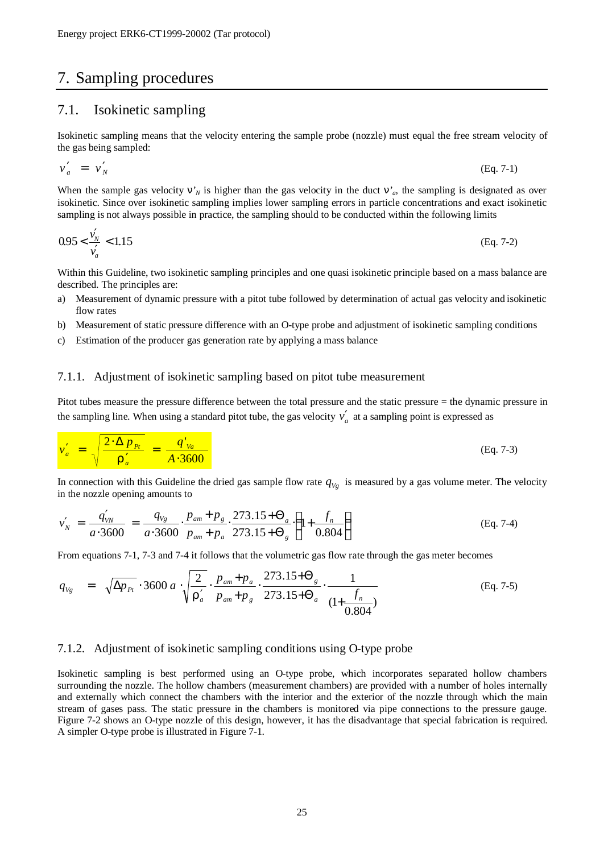## 7. Sampling procedures

#### 7.1. Isokinetic sampling

Isokinetic sampling means that the velocity entering the sample probe (nozzle) must equal the free stream velocity of the gas being sampled:

$$
v'_a = v'_N \tag{Eq. 7-1}
$$

When the sample gas velocity  $n'$ <sup>*N*</sup> is higher than the gas velocity in the duct  $n'$ <sup>*a*</sup>, the sampling is designated as over isokinetic. Since over isokinetic sampling implies lower sampling errors in particle concentrations and exact isokinetic sampling is not always possible in practice, the sampling should to be conducted within the following limits

$$
0.95 < \frac{v_N'}{v_a'} < 1.15 \tag{Eq. 7-2}
$$

Within this Guideline, two isokinetic sampling principles and one quasi isokinetic principle based on a mass balance are described. The principles are:

- a) Measurement of dynamic pressure with a pitot tube followed by determination of actual gas velocity and isokinetic flow rates
- b) Measurement of static pressure difference with an O-type probe and adjustment of isokinetic sampling conditions
- c) Estimation of the producer gas generation rate by applying a mass balance

#### 7.1.1. Adjustment of isokinetic sampling based on pitot tube measurement

Pitot tubes measure the pressure difference between the total pressure and the static pressure = the dynamic pressure in the sampling line. When using a standard pitot tube, the gas velocity  $v'_a$  at a sampling point is expressed as

$$
v'_a = \sqrt{\frac{2 \cdot \Delta p_{Pt}}{r'_a}} = \frac{q'_{va}}{A \cdot 3600}
$$
 (Eq. 7-3)

In connection with this Guideline the dried gas sample flow rate  $q_{V_g}$  is measured by a gas volume meter. The velocity in the nozzle opening amounts to

$$
v'_{N} = \frac{q'_{VN}}{a \cdot 3600} = \frac{q_{Vg}}{a \cdot 3600} \cdot \frac{p_{am} + p_g}{p_{am} + p_a} \cdot \frac{273.15 + \Theta_a}{273.15 + \Theta_g} \cdot \left(1 + \frac{f_n}{0.804}\right)
$$
(Eq. 7-4)

From equations 7-1, 7-3 and 7-4 it follows that the volumetric gas flow rate through the gas meter becomes

$$
q_{Vg} = \sqrt{\Delta p_{Pt}} \cdot 3600 a \cdot \sqrt{\frac{2}{\Gamma_a'}} \cdot \frac{p_{am} + p_a}{p_{am} + p_g} \cdot \frac{273.15 + \Theta_g}{273.15 + \Theta_a} \cdot \frac{1}{(1 + \frac{f_n}{0.804})}
$$
(Eq. 7-5)

#### 7.1.2. Adjustment of isokinetic sampling conditions using O-type probe

Isokinetic sampling is best performed using an O-type probe, which incorporates separated hollow chambers surrounding the nozzle. The hollow chambers (measurement chambers) are provided with a number of holes internally and externally which connect the chambers with the interior and the exterior of the nozzle through which the main stream of gases pass. The static pressure in the chambers is monitored via pipe connections to the pressure gauge. Figure 7-2 shows an O-type nozzle of this design, however, it has the disadvantage that special fabrication is required. A simpler O-type probe is illustrated in Figure 7-1.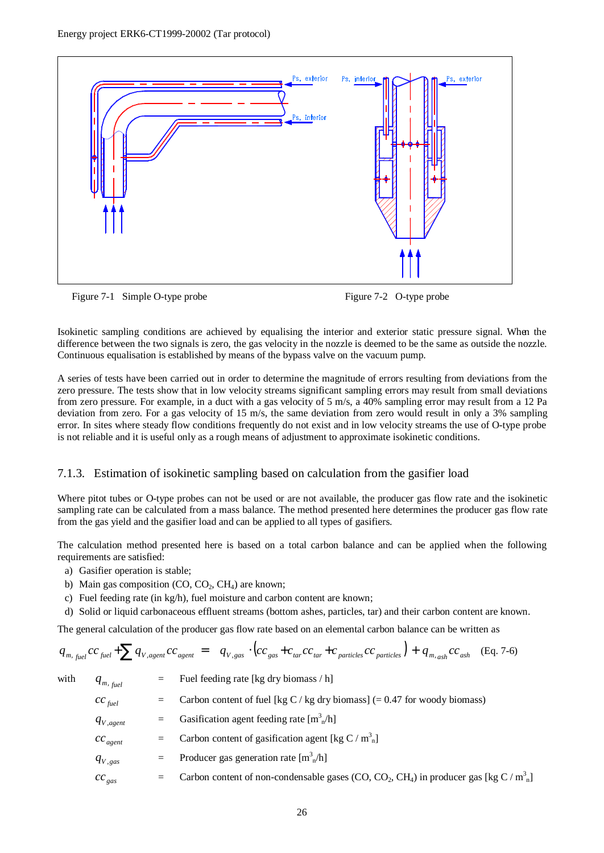

Figure 7-1 Simple O-type probe Figure 7-2 O-type probe

Isokinetic sampling conditions are achieved by equalising the interior and exterior static pressure signal. When the difference between the two signals is zero, the gas velocity in the nozzle is deemed to be the same as outside the nozzle. Continuous equalisation is established by means of the bypass valve on the vacuum pump.

A series of tests have been carried out in order to determine the magnitude of errors resulting from deviations from the zero pressure. The tests show that in low velocity streams significant sampling errors may result from small deviations from zero pressure. For example, in a duct with a gas velocity of 5 m/s, a 40% sampling error may result from a 12 Pa deviation from zero. For a gas velocity of 15 m/s, the same deviation from zero would result in only a 3% sampling error. In sites where steady flow conditions frequently do not exist and in low velocity streams the use of O-type probe is not reliable and it is useful only as a rough means of adjustment to approximate isokinetic conditions.

#### 7.1.3. Estimation of isokinetic sampling based on calculation from the gasifier load

Where pitot tubes or O-type probes can not be used or are not available, the producer gas flow rate and the isokinetic sampling rate can be calculated from a mass balance. The method presented here determines the producer gas flow rate from the gas yield and the gasifier load and can be applied to all types of gasifiers.

The calculation method presented here is based on a total carbon balance and can be applied when the following requirements are satisfied:

- a) Gasifier operation is stable;
- b) Main gas composition  $(CO, CO_2, CH_4)$  are known;
- c) Fuel feeding rate (in kg/h), fuel moisture and carbon content are known;
- d) Solid or liquid carbonaceous effluent streams (bottom ashes, particles, tar) and their carbon content are known.

The general calculation of the producer gas flow rate based on an elemental carbon balance can be written as

$$
q_{m, \text{fuel}} cc_{\text{fuel}} + \sum q_{V, \text{agent}} cc_{\text{agent}} = q_{V, \text{gas}} \cdot \left( cc_{\text{gas}} + c_{\text{tar}} cc_{\text{tar}} + c_{\text{particles}} cc_{\text{particles}} \right) + q_{m, \text{ash}} cc_{\text{ash}}
$$
 (Eq. 7-6)

with  $q_{m, \text{fuel}}$ 

Fuel feeding rate [kg dry biomass  $/h$ ]

| $cc$ <sub>fuel</sub> | $=$     | Carbon content of fuel [kg C / kg dry biomass] $(= 0.47$ for woody biomass)                                                            |
|----------------------|---------|----------------------------------------------------------------------------------------------------------------------------------------|
| $q_{V,agent}$        | $=$     | Gasification agent feeding rate $[m3n/h]$                                                                                              |
| $cc_{agent}$         | $=$     | Carbon content of gasification agent [kg C / $m_n^3$ ]                                                                                 |
| $q_{V,gas}$          | $=$ $-$ | Producer gas generation rate $[m3n/h]$                                                                                                 |
| $cc_{\textit{gas}}$  |         | Carbon content of non-condensable gases (CO, CO <sub>2</sub> , CH <sub>4</sub> ) in producer gas [kg C / m <sup>3</sup> <sub>n</sub> ] |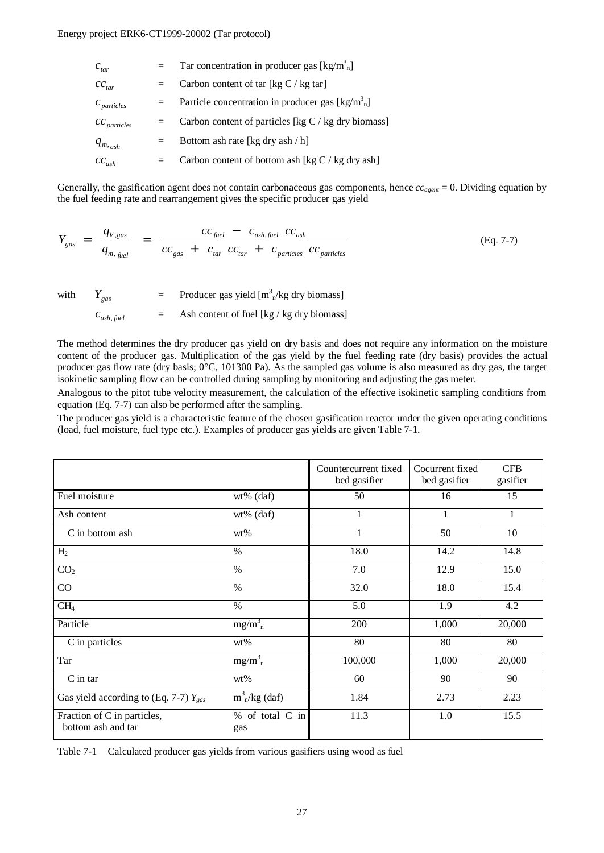| $c_{\textit{tar}}$                                                                       | $=$ $-$ | Tar concentration in producer gas $\lceil \text{kg/m}^3 \rceil$      |
|------------------------------------------------------------------------------------------|---------|----------------------------------------------------------------------|
| $cc_{\text{tar}}$                                                                        | $=$     | Carbon content of tar [kg $C / kg$ tar]                              |
| $c_{\scriptscriptstyle particles}$                                                       | $=$     | Particle concentration in producer gas $\lceil \text{kg/m}^3 \rceil$ |
| $cc$ particles                                                                           | $=$     | Carbon content of particles [kg $C / kg$ dry biomass]                |
| $q_{\scriptscriptstyle m, \scriptscriptstyle a\scriptscriptstyle s\scriptscriptstyle h}$ | $=$     | Bottom ash rate [kg dry ash / h]                                     |
| $cc_{_{ash}}$                                                                            | $=$     | Carbon content of bottom ash [kg $C / kg$ dry ash]                   |

Generally, the gasification agent does not contain carbonaceous gas components, hence  $cc_{agent} = 0$ . Dividing equation by the fuel feeding rate and rearrangement gives the specific producer gas yield

$$
Y_{gas} = \frac{q_{V,gas}}{q_{m,fuel}} = \frac{cc_{fuel} - c_{ash,fuel} cc_{ash}}{cc_{gas} + c_{tar} cc_{tar} + c_{particles} cc_{particles}}
$$
(Eq. 7-7)

with  $Y_{gas}$  = Producer gas yield  $[m^3_{n}/kg\text{ dry biomass}]$ 

 $c_{ash, fuel}$ = Ash content of fuel [kg / kg dry biomass]

The method determines the dry producer gas yield on dry basis and does not require any information on the moisture content of the producer gas. Multiplication of the gas yield by the fuel feeding rate (dry basis) provides the actual producer gas flow rate (dry basis; 0°C, 101300 Pa). As the sampled gas volume is also measured as dry gas, the target isokinetic sampling flow can be controlled during sampling by monitoring and adjusting the gas meter.

Analogous to the pitot tube velocity measurement, the calculation of the effective isokinetic sampling conditions from equation (Eq. 7-7) can also be performed after the sampling.

The producer gas yield is a characteristic feature of the chosen gasification reactor under the given operating conditions (load, fuel moisture, fuel type etc.). Examples of producer gas yields are given Table 7-1.

|                                                   |                              | Countercurrent fixed<br>bed gasifier | Cocurrent fixed<br>bed gasifier | <b>CFB</b><br>gasifier |
|---------------------------------------------------|------------------------------|--------------------------------------|---------------------------------|------------------------|
| Fuel moisture                                     | wt% (daf)                    | 50                                   | 16                              | 15                     |
| Ash content                                       | wt% (daf)                    | 1                                    | 1                               | $\mathbf{1}$           |
| C in bottom ash                                   | wt%                          | 1                                    | 50                              | 10                     |
| H <sub>2</sub>                                    | $\%$                         | 18.0                                 | 14.2                            | 14.8                   |
| CO <sub>2</sub>                                   | $\%$                         | 7.0                                  | 12.9                            | 15.0                   |
| CO                                                | $\%$                         | 32.0                                 | 18.0                            | 15.4                   |
| CH <sub>4</sub>                                   | $\%$                         | 5.0                                  | 1.9                             | 4.2                    |
| Particle                                          | $mg/m_n^3$                   | 200                                  | 1,000                           | 20,000                 |
| C in particles                                    | wt%                          | 80                                   | 80                              | 80                     |
| Tar                                               | $mg/m_n^3$                   | 100,000                              | 1,000                           | 20,000                 |
| $C$ in tar                                        | wt%                          | 60                                   | 90                              | 90                     |
| Gas yield according to (Eq. 7-7) $Y_{\text{gas}}$ | $m^3$ <sub>n</sub> /kg (daf) | 1.84                                 | 2.73                            | 2.23                   |
| Fraction of C in particles,<br>bottom ash and tar | % of total C in<br>gas       | 11.3                                 | 1.0                             | 15.5                   |

Table 7-1 Calculated producer gas yields from various gasifiers using wood as fuel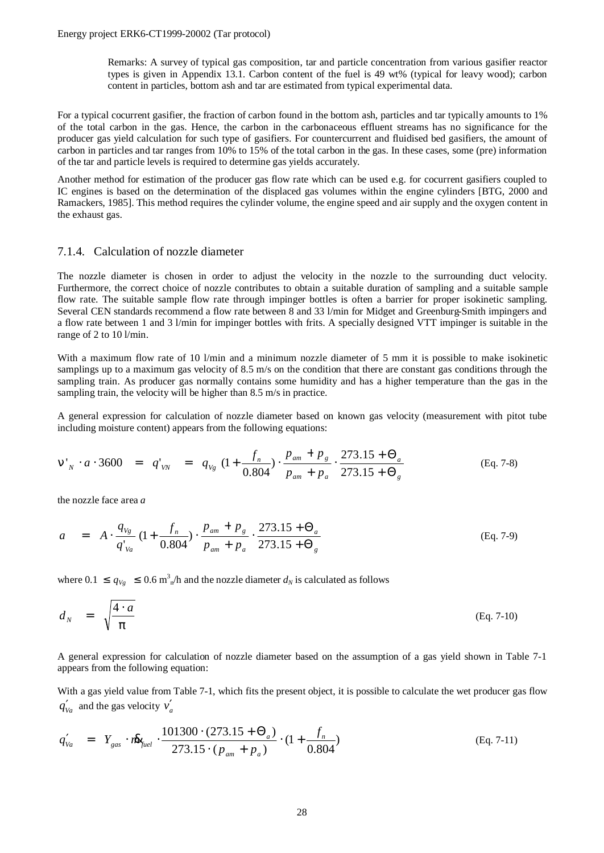Remarks: A survey of typical gas composition, tar and particle concentration from various gasifier reactor types is given in Appendix 13.1. Carbon content of the fuel is 49 wt% (typical for leavy wood); carbon content in particles, bottom ash and tar are estimated from typical experimental data.

For a typical cocurrent gasifier, the fraction of carbon found in the bottom ash, particles and tar typically amounts to 1% of the total carbon in the gas. Hence, the carbon in the carbonaceous effluent streams has no significance for the producer gas yield calculation for such type of gasifiers. For countercurrent and fluidised bed gasifiers, the amount of carbon in particles and tar ranges from 10% to 15% of the total carbon in the gas. In these cases, some (pre) information of the tar and particle levels is required to determine gas yields accurately.

Another method for estimation of the producer gas flow rate which can be used e.g. for cocurrent gasifiers coupled to IC engines is based on the determination of the displaced gas volumes within the engine cylinders [BTG, 2000 and Ramackers, 1985]. This method requires the cylinder volume, the engine speed and air supply and the oxygen content in the exhaust gas.

#### 7.1.4. Calculation of nozzle diameter

The nozzle diameter is chosen in order to adjust the velocity in the nozzle to the surrounding duct velocity. Furthermore, the correct choice of nozzle contributes to obtain a suitable duration of sampling and a suitable sample flow rate. The suitable sample flow rate through impinger bottles is often a barrier for proper isokinetic sampling. Several CEN standards recommend a flow rate between 8 and 33 l/min for Midget and Greenburg-Smith impingers and a flow rate between 1 and 3 l/min for impinger bottles with frits. A specially designed VTT impinger is suitable in the range of 2 to 10 l/min.

With a maximum flow rate of 10 l/min and a minimum nozzle diameter of 5 mm it is possible to make isokinetic samplings up to a maximum gas velocity of 8.5 m/s on the condition that there are constant gas conditions through the sampling train. As producer gas normally contains some humidity and has a higher temperature than the gas in the sampling train, the velocity will be higher than 8.5 m/s in practice.

A general expression for calculation of nozzle diameter based on known gas velocity (measurement with pitot tube including moisture content) appears from the following equations:

$$
n'_{N} \cdot a \cdot 3600 = q'_{VN} = q_{Vg} \left(1 + \frac{f_n}{0.804}\right) \cdot \frac{p_{am} + p_g}{p_{am} + p_a} \cdot \frac{273.15 + \Theta_a}{273.15 + \Theta_g}
$$
(Eq. 7-8)

the nozzle face area *a*

$$
a = A \cdot \frac{q_{v_g}}{q'_{v_a}} \left(1 + \frac{f_n}{0.804}\right) \cdot \frac{p_{am} + p_g}{p_{am} + p_a} \cdot \frac{273.15 + \Theta_a}{273.15 + \Theta_g}
$$
(Eq. 7-9)

where  $0.1 \le q_{Vg} \le 0.6 \text{ m}^3$ <sub>n</sub>/h and the nozzle diameter  $d_N$  is calculated as follows

$$
d_N = \sqrt{\frac{4 \cdot a}{p}} \tag{Eq. 7-10}
$$

A general expression for calculation of nozzle diameter based on the assumption of a gas yield shown in Table 7-1 appears from the following equation:

With a gas yield value from Table 7-1, which fits the present object, it is possible to calculate the wet producer gas flow  $q'_{Va}$  and the gas velocity  $v'_a$ 

$$
q'_{Va} = Y_{gas} \cdot r\mathbf{h}_{fuel} \cdot \frac{101300 \cdot (273.15 + \Theta_a)}{273.15 \cdot (p_{am} + p_a)} \cdot (1 + \frac{f_n}{0.804})
$$
(Eq. 7-11)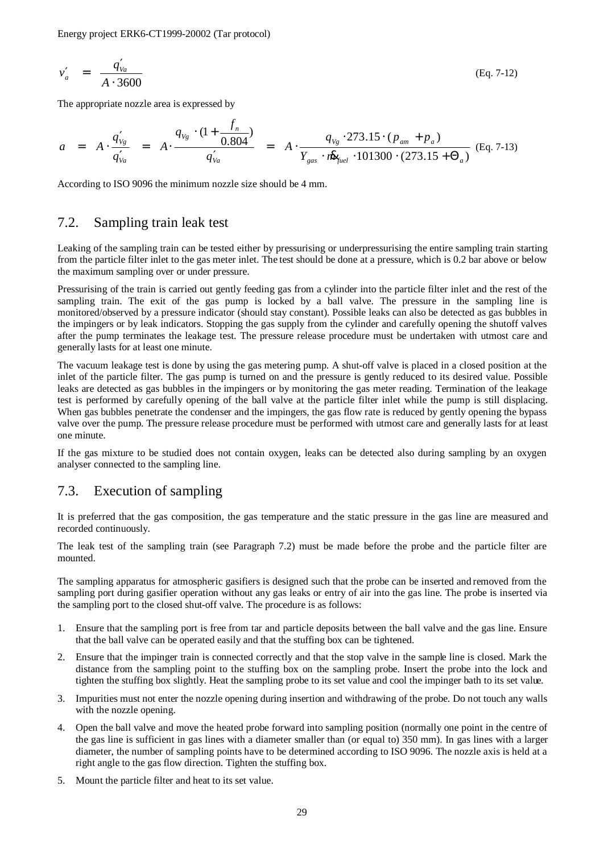$$
v'_a = \frac{q'_{va}}{A \cdot 3600}
$$
 (Eq. 7-12)

The appropriate nozzle area is expressed by

$$
a = A \cdot \frac{q'_{v_g}}{q'_{v_a}} = A \cdot \frac{q_{v_g} \cdot (1 + \frac{f_n}{0.804})}{q'_{v_a}} = A \cdot \frac{q_{v_g} \cdot 273.15 \cdot (p_{am} + p_a)}{Y_{gas} \cdot \hat{m}_{fuel} \cdot 101300 \cdot (273.15 + \Theta_a)} \text{ (Eq. 7-13)}
$$

According to ISO 9096 the minimum nozzle size should be 4 mm.

#### 7.2. Sampling train leak test

Leaking of the sampling train can be tested either by pressurising or underpressurising the entire sampling train starting from the particle filter inlet to the gas meter inlet. The test should be done at a pressure, which is 0.2 bar above or below the maximum sampling over or under pressure.

Pressurising of the train is carried out gently feeding gas from a cylinder into the particle filter inlet and the rest of the sampling train. The exit of the gas pump is locked by a ball valve. The pressure in the sampling line is monitored/observed by a pressure indicator (should stay constant). Possible leaks can also be detected as gas bubbles in the impingers or by leak indicators. Stopping the gas supply from the cylinder and carefully opening the shutoff valves after the pump terminates the leakage test. The pressure release procedure must be undertaken with utmost care and generally lasts for at least one minute.

The vacuum leakage test is done by using the gas metering pump. A shut-off valve is placed in a closed position at the inlet of the particle filter. The gas pump is turned on and the pressure is gently reduced to its desired value. Possible leaks are detected as gas bubbles in the impingers or by monitoring the gas meter reading. Termination of the leakage test is performed by carefully opening of the ball valve at the particle filter inlet while the pump is still displacing. When gas bubbles penetrate the condenser and the impingers, the gas flow rate is reduced by gently opening the bypass valve over the pump. The pressure release procedure must be performed with utmost care and generally lasts for at least one minute.

If the gas mixture to be studied does not contain oxygen, leaks can be detected also during sampling by an oxygen analyser connected to the sampling line.

#### 7.3. Execution of sampling

It is preferred that the gas composition, the gas temperature and the static pressure in the gas line are measured and recorded continuously.

The leak test of the sampling train (see Paragraph 7.2) must be made before the probe and the particle filter are mounted.

The sampling apparatus for atmospheric gasifiers is designed such that the probe can be inserted and removed from the sampling port during gasifier operation without any gas leaks or entry of air into the gas line. The probe is inserted via the sampling port to the closed shut-off valve. The procedure is as follows:

- 1. Ensure that the sampling port is free from tar and particle deposits between the ball valve and the gas line. Ensure that the ball valve can be operated easily and that the stuffing box can be tightened.
- 2. Ensure that the impinger train is connected correctly and that the stop valve in the sample line is closed. Mark the distance from the sampling point to the stuffing box on the sampling probe. Insert the probe into the lock and tighten the stuffing box slightly. Heat the sampling probe to its set value and cool the impinger bath to its set value.
- 3. Impurities must not enter the nozzle opening during insertion and withdrawing of the probe. Do not touch any walls with the nozzle opening.
- 4. Open the ball valve and move the heated probe forward into sampling position (normally one point in the centre of the gas line is sufficient in gas lines with a diameter smaller than (or equal to) 350 mm). In gas lines with a larger diameter, the number of sampling points have to be determined according to ISO 9096. The nozzle axis is held at a right angle to the gas flow direction. Tighten the stuffing box.
- 5. Mount the particle filter and heat to its set value.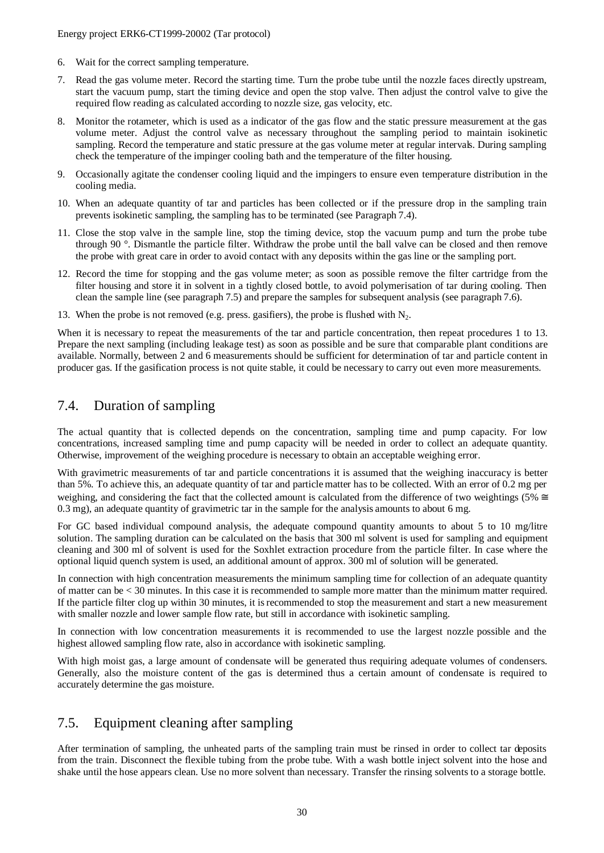- 6. Wait for the correct sampling temperature.
- 7. Read the gas volume meter. Record the starting time. Turn the probe tube until the nozzle faces directly upstream, start the vacuum pump, start the timing device and open the stop valve. Then adjust the control valve to give the required flow reading as calculated according to nozzle size, gas velocity, etc.
- 8. Monitor the rotameter, which is used as a indicator of the gas flow and the static pressure measurement at the gas volume meter. Adjust the control valve as necessary throughout the sampling period to maintain isokinetic sampling. Record the temperature and static pressure at the gas volume meter at regular intervals. During sampling check the temperature of the impinger cooling bath and the temperature of the filter housing.
- 9. Occasionally agitate the condenser cooling liquid and the impingers to ensure even temperature distribution in the cooling media.
- 10. When an adequate quantity of tar and particles has been collected or if the pressure drop in the sampling train prevents isokinetic sampling, the sampling has to be terminated (see Paragraph 7.4).
- 11. Close the stop valve in the sample line, stop the timing device, stop the vacuum pump and turn the probe tube through 90 °. Dismantle the particle filter. Withdraw the probe until the ball valve can be closed and then remove the probe with great care in order to avoid contact with any deposits within the gas line or the sampling port.
- 12. Record the time for stopping and the gas volume meter; as soon as possible remove the filter cartridge from the filter housing and store it in solvent in a tightly closed bottle, to avoid polymerisation of tar during cooling. Then clean the sample line (see paragraph 7.5) and prepare the samples for subsequent analysis (see paragraph 7.6).
- 13. When the probe is not removed (e.g. press. gasifiers), the probe is flushed with  $N_2$ .

When it is necessary to repeat the measurements of the tar and particle concentration, then repeat procedures 1 to 13. Prepare the next sampling (including leakage test) as soon as possible and be sure that comparable plant conditions are available. Normally, between 2 and 6 measurements should be sufficient for determination of tar and particle content in producer gas. If the gasification process is not quite stable, it could be necessary to carry out even more measurements.

### 7.4. Duration of sampling

The actual quantity that is collected depends on the concentration, sampling time and pump capacity. For low concentrations, increased sampling time and pump capacity will be needed in order to collect an adequate quantity. Otherwise, improvement of the weighing procedure is necessary to obtain an acceptable weighing error.

With gravimetric measurements of tar and particle concentrations it is assumed that the weighing inaccuracy is better than 5%. To achieve this, an adequate quantity of tar and particle matter has to be collected. With an error of 0.2 mg per weighing, and considering the fact that the collected amount is calculated from the difference of two weightings (5%  $\approx$ 0.3 mg), an adequate quantity of gravimetric tar in the sample for the analysis amounts to about 6 mg.

For GC based individual compound analysis, the adequate compound quantity amounts to about 5 to 10 mg/litre solution. The sampling duration can be calculated on the basis that 300 ml solvent is used for sampling and equipment cleaning and 300 ml of solvent is used for the Soxhlet extraction procedure from the particle filter. In case where the optional liquid quench system is used, an additional amount of approx. 300 ml of solution will be generated.

In connection with high concentration measurements the minimum sampling time for collection of an adequate quantity of matter can be < 30 minutes. In this case it is recommended to sample more matter than the minimum matter required. If the particle filter clog up within 30 minutes, it is recommended to stop the measurement and start a new measurement with smaller nozzle and lower sample flow rate, but still in accordance with isokinetic sampling.

In connection with low concentration measurements it is recommended to use the largest nozzle possible and the highest allowed sampling flow rate, also in accordance with isokinetic sampling.

With high moist gas, a large amount of condensate will be generated thus requiring adequate volumes of condensers. Generally, also the moisture content of the gas is determined thus a certain amount of condensate is required to accurately determine the gas moisture.

## 7.5. Equipment cleaning after sampling

After termination of sampling, the unheated parts of the sampling train must be rinsed in order to collect tar deposits from the train. Disconnect the flexible tubing from the probe tube. With a wash bottle inject solvent into the hose and shake until the hose appears clean. Use no more solvent than necessary. Transfer the rinsing solvents to a storage bottle.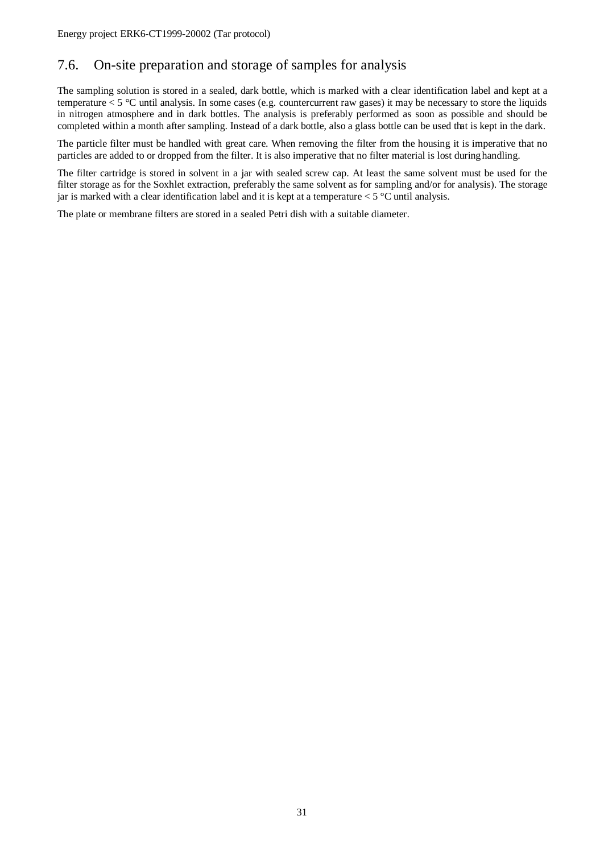## 7.6. On-site preparation and storage of samples for analysis

The sampling solution is stored in a sealed, dark bottle, which is marked with a clear identification label and kept at a temperature  $<$  5  $\degree$ C until analysis. In some cases (e.g. countercurrent raw gases) it may be necessary to store the liquids in nitrogen atmosphere and in dark bottles. The analysis is preferably performed as soon as possible and should be completed within a month after sampling. Instead of a dark bottle, also a glass bottle can be used that is kept in the dark.

The particle filter must be handled with great care. When removing the filter from the housing it is imperative that no particles are added to or dropped from the filter. It is also imperative that no filter material is lost during handling.

The filter cartridge is stored in solvent in a jar with sealed screw cap. At least the same solvent must be used for the filter storage as for the Soxhlet extraction, preferably the same solvent as for sampling and/or for analysis). The storage jar is marked with a clear identification label and it is kept at a temperature  $< 5^{\circ}$ C until analysis.

The plate or membrane filters are stored in a sealed Petri dish with a suitable diameter.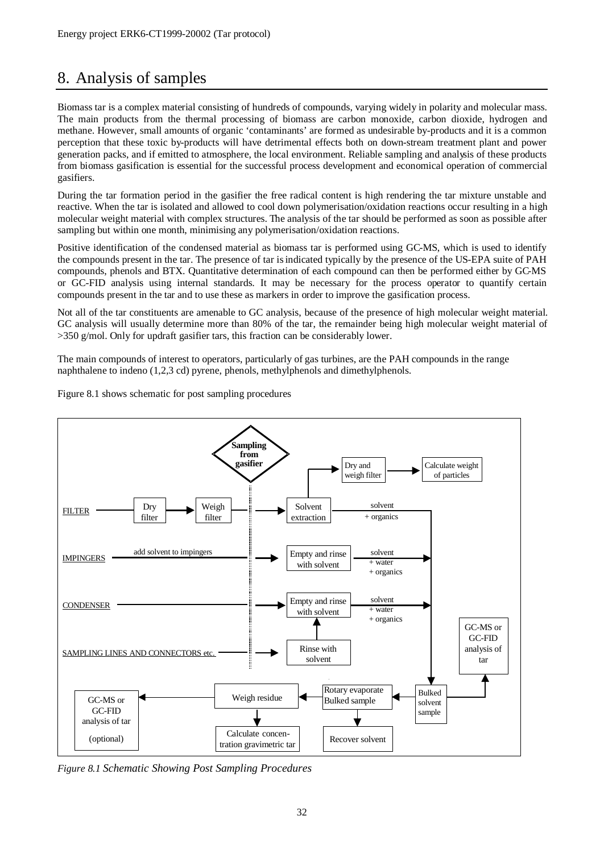## 8. Analysis of samples

Biomass tar is a complex material consisting of hundreds of compounds, varying widely in polarity and molecular mass. The main products from the thermal processing of biomass are carbon monoxide, carbon dioxide, hydrogen and methane. However, small amounts of organic 'contaminants' are formed as undesirable by-products and it is a common perception that these toxic by-products will have detrimental effects both on down-stream treatment plant and power generation packs, and if emitted to atmosphere, the local environment. Reliable sampling and analysis of these products from biomass gasification is essential for the successful process development and economical operation of commercial gasifiers.

During the tar formation period in the gasifier the free radical content is high rendering the tar mixture unstable and reactive. When the tar is isolated and allowed to cool down polymerisation/oxidation reactions occur resulting in a high molecular weight material with complex structures. The analysis of the tar should be performed as soon as possible after sampling but within one month, minimising any polymerisation/oxidation reactions.

Positive identification of the condensed material as biomass tar is performed using GC-MS, which is used to identify the compounds present in the tar. The presence of tar is indicated typically by the presence of the US-EPA suite of PAH compounds, phenols and BTX. Quantitative determination of each compound can then be performed either by GC-MS or GC-FID analysis using internal standards. It may be necessary for the process operator to quantify certain compounds present in the tar and to use these as markers in order to improve the gasification process.

Not all of the tar constituents are amenable to GC analysis, because of the presence of high molecular weight material. GC analysis will usually determine more than 80% of the tar, the remainder being high molecular weight material of  $>350$  g/mol. Only for updraft gasifier tars, this fraction can be considerably lower.

The main compounds of interest to operators, particularly of gas turbines, are the PAH compounds in the range naphthalene to indeno (1,2,3 cd) pyrene, phenols, methylphenols and dimethylphenols.

Figure 8.1 shows schematic for post sampling procedures



*Figure 8.1 Schematic Showing Post Sampling Procedures*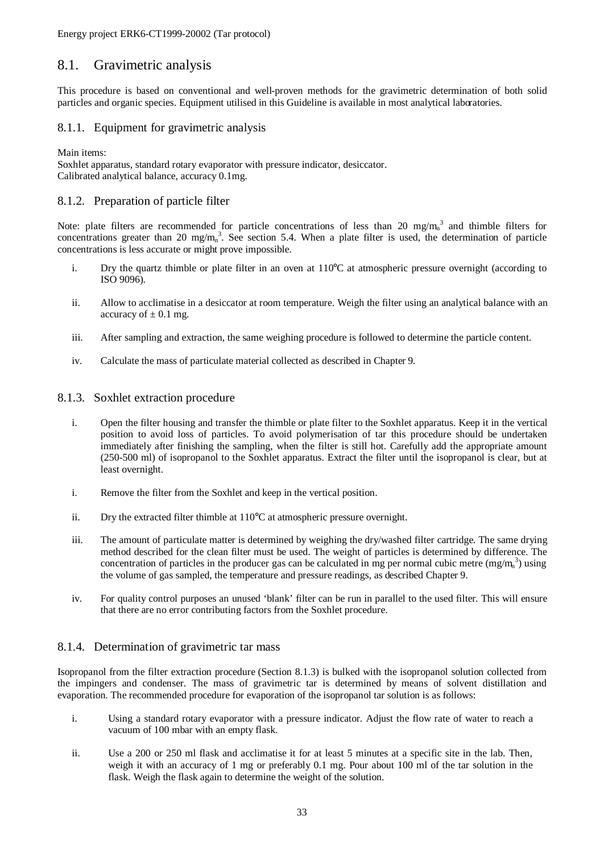### 8.1. Gravimetric analysis

This procedure is based on conventional and well-proven methods for the gravimetric determination of both solid particles and organic species. Equipment utilised in this Guideline is available in most analytical laboratories.

#### 8.1.1. Equipment for gravimetric analysis

Main items:

Soxhlet apparatus, standard rotary evaporator with pressure indicator, desiccator. Calibrated analytical balance, accuracy 0.1mg.

#### 8.1.2. Preparation of particle filter

Note: plate filters are recommended for particle concentrations of less than 20 mg/m<sub>n</sub><sup>3</sup> and thimble filters for concentrations greater than 20 mg/m<sub>n</sub><sup>3</sup>. See section 5.4. When a plate filter is used, the determination of particle concentrations is less accurate or might prove impossible.

- i. Dry the quartz thimble or plate filter in an oven at  $110^{\circ}$ C at atmospheric pressure overnight (according to ISO 9096).
- ii. Allow to acclimatise in a desiccator at room temperature. Weigh the filter using an analytical balance with an accuracy of  $\pm$  0.1 mg.
- iii. After sampling and extraction, the same weighing procedure is followed to determine the particle content.
- iv. Calculate the mass of particulate material collected as described in Chapter 9.

#### 8.1.3. Soxhlet extraction procedure

- i. Open the filter housing and transfer the thimble or plate filter to the Soxhlet apparatus. Keep it in the vertical position to avoid loss of particles. To avoid polymerisation of tar this procedure should be undertaken immediately after finishing the sampling, when the filter is still hot. Carefully add the appropriate amount (250-500 ml) of isopropanol to the Soxhlet apparatus. Extract the filter until the isopropanol is clear, but at least overnight.
- i. Remove the filter from the Soxhlet and keep in the vertical position.
- ii. Dry the extracted filter thimble at 110°C at atmospheric pressure overnight.
- iii. The amount of particulate matter is determined by weighing the dry/washed filter cartridge. The same drying method described for the clean filter must be used. The weight of particles is determined by difference. The concentration of particles in the producer gas can be calculated in mg per normal cubic metre  $(mg/m<sub>n</sub><sup>3</sup>)$  using the volume of gas sampled, the temperature and pressure readings, as described Chapter 9.
- iv. For quality control purposes an unused 'blank' filter can be run in parallel to the used filter. This will ensure that there are no error contributing factors from the Soxhlet procedure.

#### 8.1.4. Determination of gravimetric tar mass

Isopropanol from the filter extraction procedure (Section 8.1.3) is bulked with the isopropanol solution collected from the impingers and condenser. The mass of gravimetric tar is determined by means of solvent distillation and evaporation. The recommended procedure for evaporation of the isopropanol tar solution is as follows:

- i. Using a standard rotary evaporator with a pressure indicator. Adjust the flow rate of water to reach a vacuum of 100 mbar with an empty flask.
- ii. Use a 200 or 250 ml flask and acclimatise it for at least 5 minutes at a specific site in the lab. Then, weigh it with an accuracy of 1 mg or preferably 0.1 mg. Pour about 100 ml of the tar solution in the flask. Weigh the flask again to determine the weight of the solution.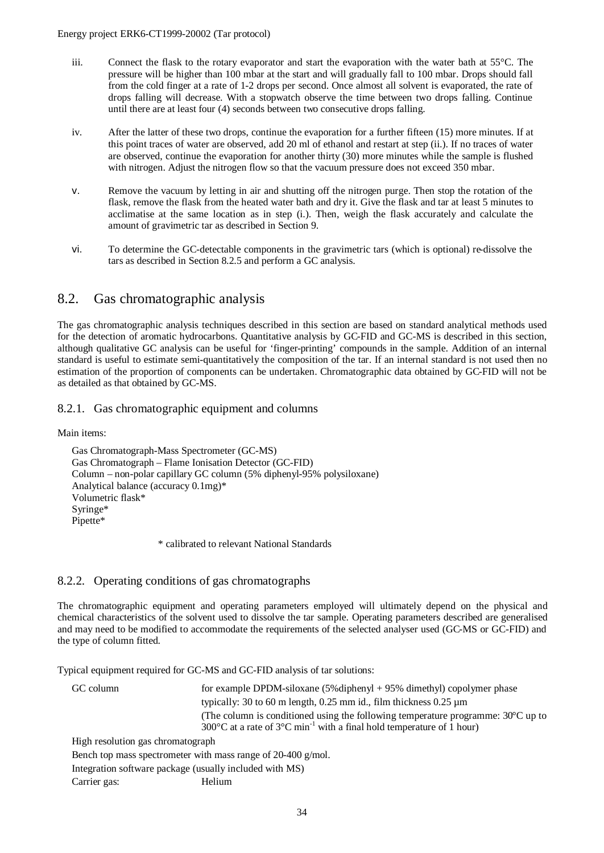- iii. Connect the flask to the rotary evaporator and start the evaporation with the water bath at 55°C. The pressure will be higher than 100 mbar at the start and will gradually fall to 100 mbar. Drops should fall from the cold finger at a rate of 1-2 drops per second. Once almost all solvent is evaporated, the rate of drops falling will decrease. With a stopwatch observe the time between two drops falling. Continue until there are at least four (4) seconds between two consecutive drops falling.
- iv. After the latter of these two drops, continue the evaporation for a further fifteen (15) more minutes. If at this point traces of water are observed, add 20 ml of ethanol and restart at step (ii.). If no traces of water are observed, continue the evaporation for another thirty (30) more minutes while the sample is flushed with nitrogen. Adjust the nitrogen flow so that the vacuum pressure does not exceed 350 mbar.
- v. Remove the vacuum by letting in air and shutting off the nitrogen purge. Then stop the rotation of the flask, remove the flask from the heated water bath and dry it. Give the flask and tar at least 5 minutes to acclimatise at the same location as in step (i.). Then, weigh the flask accurately and calculate the amount of gravimetric tar as described in Section 9.
- vi. To determine the GC-detectable components in the gravimetric tars (which is optional) re-dissolve the tars as described in Section 8.2.5 and perform a GC analysis.

#### 8.2. Gas chromatographic analysis

The gas chromatographic analysis techniques described in this section are based on standard analytical methods used for the detection of aromatic hydrocarbons. Quantitative analysis by GC-FID and GC-MS is described in this section, although qualitative GC analysis can be useful for 'finger-printing' compounds in the sample. Addition of an internal standard is useful to estimate semi-quantitatively the composition of the tar. If an internal standard is not used then no estimation of the proportion of components can be undertaken. Chromatographic data obtained by GC-FID will not be as detailed as that obtained by GC-MS.

#### 8.2.1. Gas chromatographic equipment and columns

Main items:

Gas Chromatograph-Mass Spectrometer (GC-MS) Gas Chromatograph – Flame Ionisation Detector (GC-FID) Column – non-polar capillary GC column (5% diphenyl-95% polysiloxane) Analytical balance (accuracy 0.1mg)\* Volumetric flask\* Syringe\* Pipette\*

\* calibrated to relevant National Standards

#### 8.2.2. Operating conditions of gas chromatographs

The chromatographic equipment and operating parameters employed will ultimately depend on the physical and chemical characteristics of the solvent used to dissolve the tar sample. Operating parameters described are generalised and may need to be modified to accommodate the requirements of the selected analyser used (GC-MS or GC-FID) and the type of column fitted.

Typical equipment required for GC-MS and GC-FID analysis of tar solutions:

GC column for example DPDM-siloxane (5%diphenyl + 95% dimethyl) copolymer phase typically: 30 to 60 m length, 0.25 mm id., film thickness 0.25 µm (The column is conditioned using the following temperature programme: 30°C up to 300 $^{\circ}$ C at a rate of 3 $^{\circ}$ C min<sup>-1</sup> with a final hold temperature of 1 hour) High resolution gas chromatograph

Bench top mass spectrometer with mass range of 20-400 g/mol.

Integration software package (usually included with MS)

Carrier gas: Helium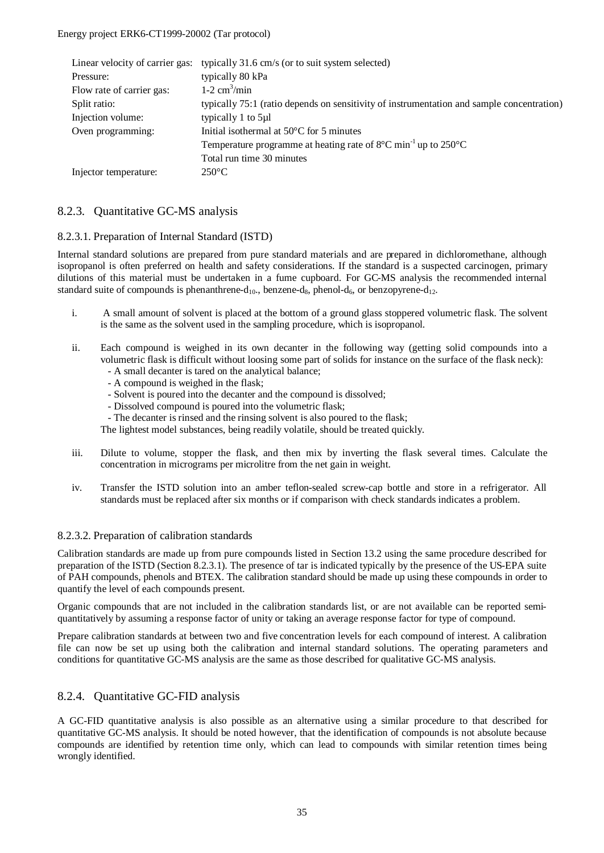|                           | Linear velocity of carrier gas: typically 31.6 cm/s (or to suit system selected)               |
|---------------------------|------------------------------------------------------------------------------------------------|
| Pressure:                 | typically 80 kPa                                                                               |
| Flow rate of carrier gas: | $1-2$ cm <sup>3</sup> /min                                                                     |
| Split ratio:              | typically 75:1 (ratio depends on sensitivity of instrumentation and sample concentration)      |
| Injection volume:         | typically 1 to 5µl                                                                             |
| Oven programming:         | Initial isothermal at $50^{\circ}$ C for 5 minutes                                             |
|                           | Temperature programme at heating rate of $8^{\circ}$ C min <sup>-1</sup> up to $250^{\circ}$ C |
|                           | Total run time 30 minutes                                                                      |
| Injector temperature:     | $250^{\circ}$ C                                                                                |

#### 8.2.3. Quantitative GC-MS analysis

#### 8.2.3.1. Preparation of Internal Standard (ISTD)

Internal standard solutions are prepared from pure standard materials and are prepared in dichloromethane, although isopropanol is often preferred on health and safety considerations. If the standard is a suspected carcinogen, primary dilutions of this material must be undertaken in a fume cupboard. For GC-MS analysis the recommended internal standard suite of compounds is phenanthrene- $d_{10}$ , benzene- $d_8$ , phenol- $d_6$ , or benzopyrene- $d_{12}$ .

- i. A small amount of solvent is placed at the bottom of a ground glass stoppered volumetric flask. The solvent is the same as the solvent used in the sampling procedure, which is isopropanol.
- ii. Each compound is weighed in its own decanter in the following way (getting solid compounds into a volumetric flask is difficult without loosing some part of solids for instance on the surface of the flask neck):
	- A small decanter is tared on the analytical balance;
	- A compound is weighed in the flask;
	- Solvent is poured into the decanter and the compound is dissolved;
	- Dissolved compound is poured into the volumetric flask;
	- The decanter is rinsed and the rinsing solvent is also poured to the flask;

The lightest model substances, being readily volatile, should be treated quickly.

- iii. Dilute to volume, stopper the flask, and then mix by inverting the flask several times. Calculate the concentration in micrograms per microlitre from the net gain in weight.
- iv. Transfer the ISTD solution into an amber teflon-sealed screw-cap bottle and store in a refrigerator. All standards must be replaced after six months or if comparison with check standards indicates a problem.

#### 8.2.3.2. Preparation of calibration standards

Calibration standards are made up from pure compounds listed in Section 13.2 using the same procedure described for preparation of the ISTD (Section 8.2.3.1). The presence of tar is indicated typically by the presence of the US-EPA suite of PAH compounds, phenols and BTEX. The calibration standard should be made up using these compounds in order to quantify the level of each compounds present.

Organic compounds that are not included in the calibration standards list, or are not available can be reported semiquantitatively by assuming a response factor of unity or taking an average response factor for type of compound.

Prepare calibration standards at between two and five concentration levels for each compound of interest. A calibration file can now be set up using both the calibration and internal standard solutions. The operating parameters and conditions for quantitative GC-MS analysis are the same as those described for qualitative GC-MS analysis.

#### 8.2.4. Quantitative GC-FID analysis

A GC-FID quantitative analysis is also possible as an alternative using a similar procedure to that described for quantitative GC-MS analysis. It should be noted however, that the identification of compounds is not absolute because compounds are identified by retention time only, which can lead to compounds with similar retention times being wrongly identified.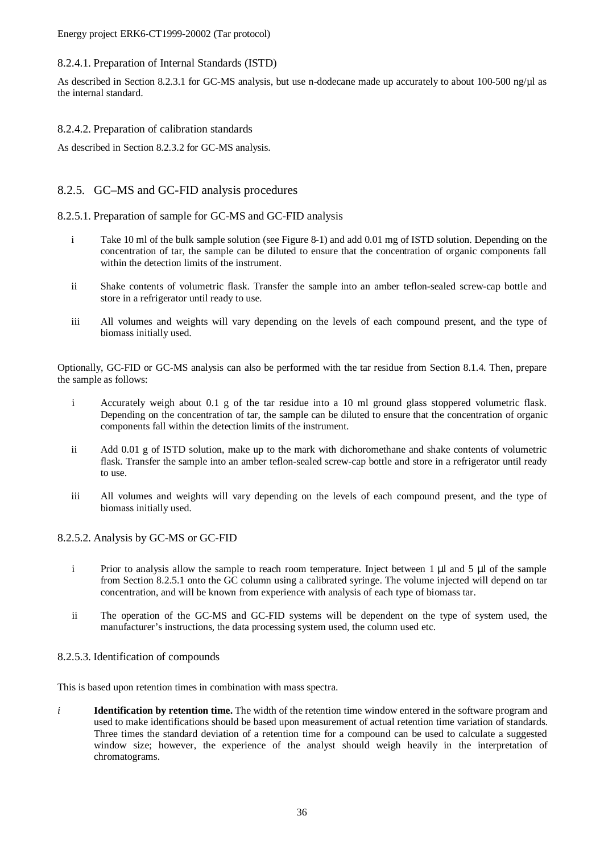Energy project ERK6-CT1999-20002 (Tar protocol)

#### 8.2.4.1. Preparation of Internal Standards (ISTD)

As described in Section 8.2.3.1 for GC-MS analysis, but use n-dodecane made up accurately to about 100-500 ng/µl as the internal standard.

#### 8.2.4.2. Preparation of calibration standards

As described in Section 8.2.3.2 for GC-MS analysis.

#### 8.2.5. GC–MS and GC-FID analysis procedures

#### 8.2.5.1. Preparation of sample for GC-MS and GC-FID analysis

- i Take 10 ml of the bulk sample solution (see Figure 8-1) and add 0.01 mg of ISTD solution. Depending on the concentration of tar, the sample can be diluted to ensure that the concentration of organic components fall within the detection limits of the instrument.
- ii Shake contents of volumetric flask. Transfer the sample into an amber teflon-sealed screw-cap bottle and store in a refrigerator until ready to use.
- iii All volumes and weights will vary depending on the levels of each compound present, and the type of biomass initially used.

Optionally, GC-FID or GC-MS analysis can also be performed with the tar residue from Section 8.1.4. Then, prepare the sample as follows:

- i Accurately weigh about 0.1 g of the tar residue into a 10 ml ground glass stoppered volumetric flask. Depending on the concentration of tar, the sample can be diluted to ensure that the concentration of organic components fall within the detection limits of the instrument.
- ii Add 0.01 g of ISTD solution, make up to the mark with dichoromethane and shake contents of volumetric flask. Transfer the sample into an amber teflon-sealed screw-cap bottle and store in a refrigerator until ready to use.
- iii All volumes and weights will vary depending on the levels of each compound present, and the type of biomass initially used.

#### 8.2.5.2. Analysis by GC-MS or GC-FID

- i Prior to analysis allow the sample to reach room temperature. Inject between 1 μl and 5 μl of the sample from Section 8.2.5.1 onto the GC column using a calibrated syringe. The volume injected will depend on tar concentration, and will be known from experience with analysis of each type of biomass tar.
- ii The operation of the GC-MS and GC-FID systems will be dependent on the type of system used, the manufacturer's instructions, the data processing system used, the column used etc.

#### 8.2.5.3. Identification of compounds

This is based upon retention times in combination with mass spectra.

*i* **Identification by retention time.** The width of the retention time window entered in the software program and used to make identifications should be based upon measurement of actual retention time variation of standards. Three times the standard deviation of a retention time for a compound can be used to calculate a suggested window size; however, the experience of the analyst should weigh heavily in the interpretation of chromatograms.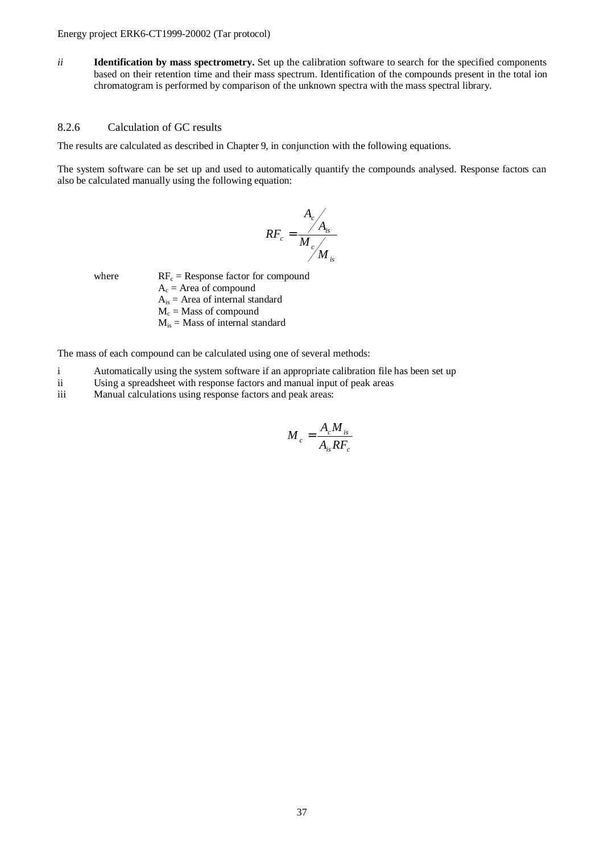*ii* **Identification by mass spectrometry.** Set up the calibration software to search for the specified components based on their retention time and their mass spectrum. Identification of the compounds present in the total ion chromatogram is performed by comparison of the unknown spectra with the mass spectral library.

#### 8.2.6 Calculation of GC results

The results are calculated as described in Chapter 9, in conjunction with the following equations.

The system software can be set up and used to automatically quantify the compounds analysed. Response factors can also be calculated manually using the following equation:

$$
RF_c = \frac{A_c}{M_c}
$$
  

$$
M_c
$$

where

 $RF_c =$  Response factor for compound  $A_c$  = Area of compound  $A_{is}$  = Area of internal standard  $M_c$  = Mass of compound

 $M_{is}$  = Mass of internal standard

The mass of each compound can be calculated using one of several methods:

- i Automatically using the system software if an appropriate calibration file has been set up
- ii Using a spreadsheet with response factors and manual input of peak areas
- iii Manual calculations using response factors and peak areas:

$$
M_c = \frac{A_c M_{is}}{A_{is} R F_c}
$$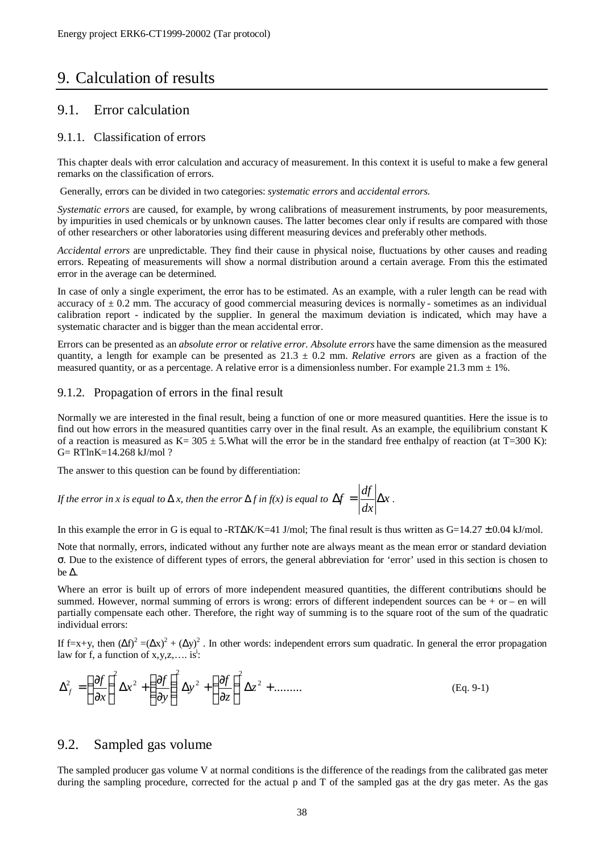## 9. Calculation of results

#### 9.1. Error calculation

#### 9.1.1. Classification of errors

This chapter deals with error calculation and accuracy of measurement. In this context it is useful to make a few general remarks on the classification of errors.

Generally, errors can be divided in two categories: *systematic errors* and *accidental errors*.

*Systematic errors* are caused, for example, by wrong calibrations of measurement instruments, by poor measurements, by impurities in used chemicals or by unknown causes. The latter becomes clear only if results are compared with those of other researchers or other laboratories using different measuring devices and preferably other methods.

*Accidental errors* are unpredictable. They find their cause in physical noise, fluctuations by other causes and reading errors. Repeating of measurements will show a normal distribution around a certain average. From this the estimated error in the average can be determined.

In case of only a single experiment, the error has to be estimated. As an example, with a ruler length can be read with accuracy of  $\pm$  0.2 mm. The accuracy of good commercial measuring devices is normally - sometimes as an individual calibration report - indicated by the supplier. In general the maximum deviation is indicated, which may have a systematic character and is bigger than the mean accidental error.

Errors can be presented as an *absolute error* or *relative error. Absolute errors* have the same dimension as the measured quantity, a length for example can be presented as  $21.3 \pm 0.2$  mm. *Relative errors* are given as a fraction of the measured quantity, or as a percentage. A relative error is a dimensionless number. For example 21.3 mm  $\pm$  1%.

#### 9.1.2. Propagation of errors in the final result

Normally we are interested in the final result, being a function of one or more measured quantities. Here the issue is to find out how errors in the measured quantities carry over in the final result. As an example, the equilibrium constant K of a reaction is measured as K=  $305 \pm 5$ . What will the error be in the standard free enthalpy of reaction (at T=300 K): G= RTlnK=14.268 kJ/mol ?

The answer to this question can be found by differentiation:

If the error in x is equal to D x, then the error D f in 
$$
f(x)
$$
 is equal to  $\Delta f = \left| \frac{df}{dx} \right| \Delta x$ .

In this example the error in G is equal to -RTΔK/K=41 J/mol; The final result is thus written as  $G=14.27 \pm 0.04$  kJ/mol.

Note that normally, errors, indicated without any further note are always meant as the mean error or standard deviation σ. Due to the existence of different types of errors, the general abbreviation for 'error' used in this section is chosen to be Δ.

Where an error is built up of errors of more independent measured quantities, the different contributions should be summed. However, normal summing of errors is wrong: errors of different independent sources can be + or – en will partially compensate each other. Therefore, the right way of summing is to the square root of the sum of the quadratic individual errors:

If f=x+y, then  $(\Delta f)^2 = (\Delta x)^2 + (\Delta y)^2$ . In other words: independent errors sum quadratic. In general the error propagation law for f, a function of  $x, y, z, \ldots$  is:

$$
\Delta_f^2 = \left(\frac{\partial f}{\partial x}\right)^2 \Delta x^2 + \left(\frac{\partial f}{\partial y}\right)^2 \Delta y^2 + \left(\frac{\partial f}{\partial z}\right)^2 \Delta z^2 + \dots \dots \dots \tag{Eq. 9-1}
$$

#### 9.2. Sampled gas volume

The sampled producer gas volume V at normal conditions is the difference of the readings from the calibrated gas meter during the sampling procedure, corrected for the actual p and T of the sampled gas at the dry gas meter. As the gas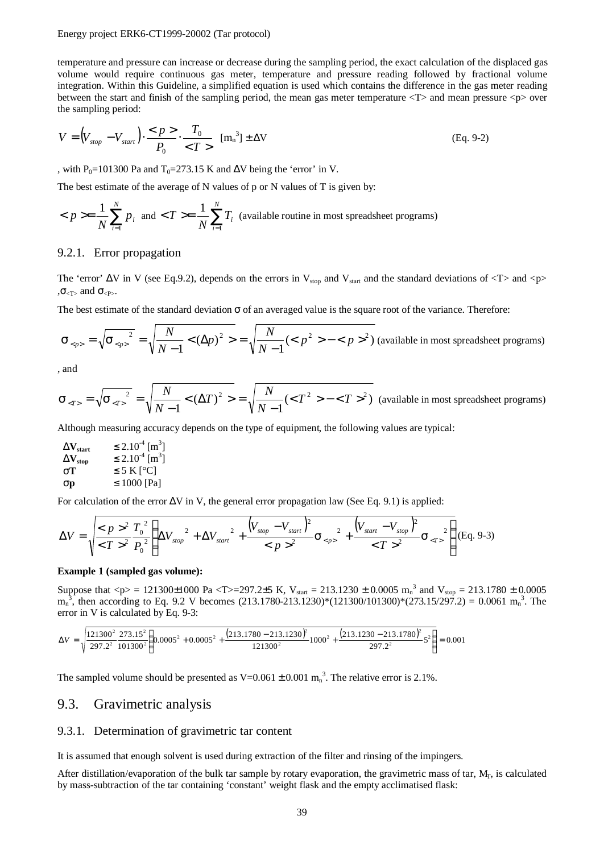temperature and pressure can increase or decrease during the sampling period, the exact calculation of the displaced gas volume would require continuous gas meter, temperature and pressure reading followed by fractional volume integration. Within this Guideline, a simplified equation is used which contains the difference in the gas meter reading between the start and finish of the sampling period, the mean gas meter temperature <T> and mean pressure <p> over the sampling period:

$$
V = \left(V_{stop} - V_{start}\right) \cdot \frac{}{P_0} \cdot \frac{T_0}{} \quad \text{[m_n}^3] \pm \Delta V \tag{Eq. 9-2}
$$

, with P<sub>0</sub>=101300 Pa and T<sub>0</sub>=273.15 K and  $\Delta V$  being the 'error' in V.

The best estimate of the average of N values of p or N values of T is given by:

$$
\langle p \rangle = \frac{1}{N} \sum_{i=1}^{N} p_i
$$
 and 
$$
\langle T \rangle = \frac{1}{N} \sum_{i=1}^{N} T_i
$$
 (available routine in most spreadsheet programs)

#### 9.2.1. Error propagation

The 'error'  $\Delta V$  in V (see Eq.9.2), depends on the errors in V<sub>stop</sub> and V<sub>start</sub> and the standard deviations of  $\langle T \rangle$  and  $\langle p \rangle$  $\sigma$ <sub><T></sub> and  $\sigma$ <sub><P></sub>.

The best estimate of the standard deviation  $\sigma$  of an averaged value is the square root of the variance. Therefore:

$$
S_{\langle p \rangle} = \sqrt{S_{\langle p \rangle}^2} = \sqrt{\frac{N}{N-1}} < (\Delta p)^2 > = \sqrt{\frac{N}{N-1}} (< p^2 > - < p >^2)
$$
 (available in most spreadsheet programs)

, and

$$
S_{\langle T \rangle} = \sqrt{S_{\langle T \rangle}^2} = \sqrt{\frac{N}{N-1} < (\Delta T)^2} = \sqrt{\frac{N}{N-1}( - ^2)}
$$
 (available in most spreadsheet programs)

Although measuring accuracy depends on the type of equipment, the following values are typical:

| $\rm DV_{\rm start}$                  | $\leq 2.10^{-4}$ [m <sup>3</sup> ] |
|---------------------------------------|------------------------------------|
| $\mathbf{D} \mathbf{V}_{\text{stop}}$ | $\leq 2.10^{-4}$ [m <sup>3</sup> ] |
| ST.                                   | $\leq$ 5 K [ <sup>o</sup> C]       |
| Sp                                    | $\leq 1000$ [Pa]                   |

For calculation of the error  $\Delta V$  in V, the general error propagation law (See Eq. 9.1) is applied:

$$
\Delta V = \sqrt{\frac{^2}{^2} \frac{T_0^2}{P_0^2}} \left( \Delta V_{stop}^2 + \Delta V_{start}^2 + \frac{(V_{stop} - V_{start})^2}{^2} S_{}^2 + \frac{(V_{start} - V_{stop})^2}{^2} S_{^2}^2 \right) (Eq. 9-3)
$$

#### **Example 1 (sampled gas volume):**

Suppose that  $\langle p \rangle = 121300 \pm 1000$  Pa  $\langle T \rangle = 297.2 \pm 5$  K, V<sub>start</sub> = 213.1230  $\pm$  0.0005 m<sub>n</sub><sup>3</sup> and V<sub>stop</sub> = 213.1780  $\pm$  0.0005  $m_n^3$ , then according to Eq. 9.2 V becomes (213.1780-213.1230)\*(121300/101300)\*(273.15/297.2) = 0.0061  $m_n^3$ . The error in V is calculated by Eq. 9-3:

$$
\Delta V = \sqrt{\frac{121300^2}{297.2^2} \frac{273.15^2}{101300^2} \left(0.0005^2 + 0.0005^2 + \frac{(213.1780 - 213.1230)^2}{121300^2} 1000^2 + \frac{(213.1230 - 213.1780)^2}{297.2^2} 5^2\right)} = 0.001
$$

The sampled volume should be presented as  $V=0.061 \pm 0.001 \text{ m}^3$ . The relative error is 2.1%.

#### 9.3. Gravimetric analysis

#### 9.3.1. Determination of gravimetric tar content

It is assumed that enough solvent is used during extraction of the filter and rinsing of the impingers.

After distillation/evaporation of the bulk tar sample by rotary evaporation, the gravimetric mass of tar,  $M_T$ , is calculated by mass-subtraction of the tar containing 'constant' weight flask and the empty acclimatised flask: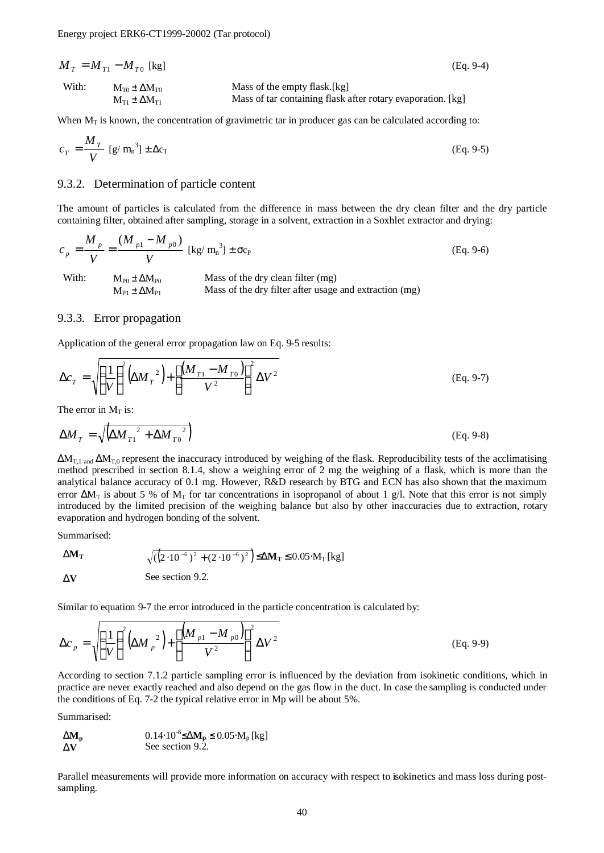$M_T = M_{T1} - M_{T0}$  [kg]  $(Eq. 9-4)$ With:  $M_{T0} \pm \Delta M_{T0}$  Mass of the empty flask.[kg]  $M_{T1} \pm \Delta M_{T1}$  Mass of tar containing flask after rotary evaporation. [kg]

When  $M_T$  is known, the concentration of gravimetric tar in producer gas can be calculated according to:

$$
c_T = \frac{M_T}{V} \left[ g / m_n^3 \right] \pm \Delta c_T \tag{Eq. 9-5}
$$

#### 9.3.2. Determination of particle content

The amount of particles is calculated from the difference in mass between the dry clean filter and the dry particle containing filter, obtained after sampling, storage in a solvent, extraction in a Soxhlet extractor and drying:

$$
c_p = \frac{M_p}{V} = \frac{(M_{p1} - M_{p0})}{V} \text{ [kg/mn3] } \pm \sigma c_P \qquad (Eq. 9-6)
$$
  
With:  $M_{p0} \pm \Delta M_{p0}$  Mass of the dry clean filter (mg)  
 $M_{p1} \pm \Delta M_{p1}$  Mass of the dry filter after usage and extraction (mg)

#### 9.3.3. Error propagation

Application of the general error propagation law on Eq. 9-5 results:

$$
\Delta c_T = \sqrt{\left(\frac{1}{V}\right)^2} \left(\Delta M_T^2\right) + \left[\frac{\left(M_{T1} - M_{T0}\right)}{V^2}\right]^2 \Delta V^2
$$
\n(Eq. 9-7)

The error in  $M_T$  is:

$$
\Delta M_T = \sqrt{\left(\Delta M_{T1}^2 + \Delta M_{T0}^2\right)}
$$
\n(Eq. 9-8)

 $\Delta M_{T,1}$  and  $\Delta M_{T,0}$  represent the inaccuracy introduced by weighing of the flask. Reproducibility tests of the acclimatising method prescribed in section 8.1.4, show a weighing error of 2 mg the weighing of a flask, which is more than the analytical balance accuracy of 0.1 mg. However, R&D research by BTG and ECN has also shown that the maximum error  $\Delta M_T$  is about 5 % of  $M_T$  for tar concentrations in isopropanol of about 1 g/l. Note that this error is not simply introduced by the limited precision of the weighing balance but also by other inaccuracies due to extraction, rotary evaporation and hydrogen bonding of the solvent.

Summarised:

$$
DM_{T} \qquad \qquad \sqrt{\left(\left(2 \cdot 10^{-6}\right)^{2} + \left(2 \cdot 10^{-6}\right)^{2}\right)} \leq DM_{T} \leq 0.05 \cdot M_{T} \text{ [kg]}
$$

D**V** See section 9.2.

Similar to equation 9-7 the error introduced in the particle concentration is calculated by:

$$
\Delta c_p = \sqrt{\left(\frac{1}{V}\right)^2 \left(\Delta M_p^2\right) + \left[\frac{\left(M_{p1} - M_{p0}\right)}{V^2}\right]^2 \Delta V^2}
$$
\n(Eq. 9-9)

According to section 7.1.2 particle sampling error is influenced by the deviation from isokinetic conditions, which in practice are never exactly reached and also depend on the gas flow in the duct. In case the sampling is conducted under the conditions of Eq. 7-2 the typical relative error in Mp will be about 5%.

Summarised:

**DM**<sub>p</sub>  $0.14 \cdot 10^{-6}$ ≤D**M**<sub>p</sub> ≤ 0.05⋅M<sub>p</sub> [kg] **DV** See section 9.2.

Parallel measurements will provide more information on accuracy with respect to isokinetics and mass loss during postsampling.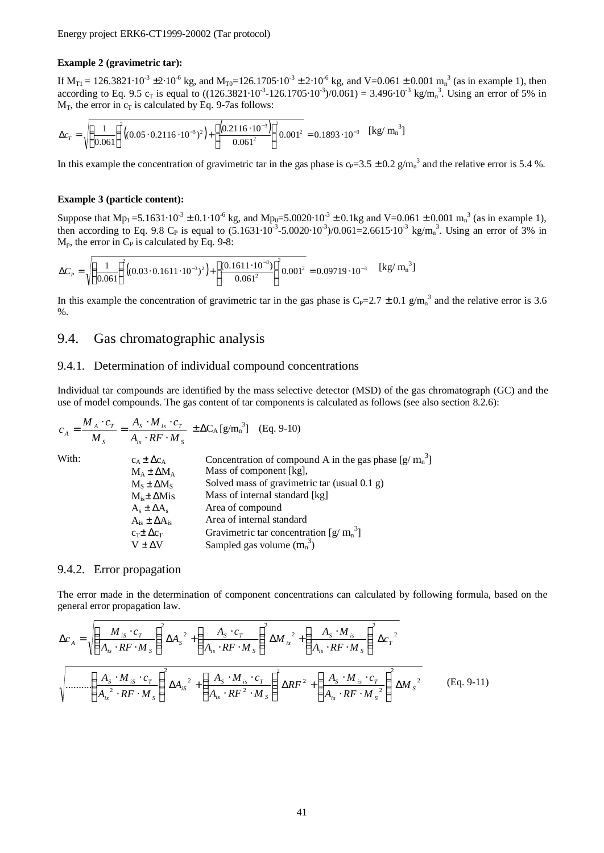#### **Example 2 (gravimetric tar):**

If  $M_{T1} = 126.3821 \cdot 10^{-3} \pm 2 \cdot 10^{-6}$  kg, and  $M_{T0} = 126.1705 \cdot 10^{-3} \pm 2 \cdot 10^{-6}$  kg, and V=0.061  $\pm$  0.001 m<sub>n</sub><sup>3</sup> (as in example 1), then according to Eq. 9.5 c<sub>T</sub> is equal to  $((126.3821 \cdot 10^{-3} - 126.1705 \cdot 10^{-3})/0.061) = 3.496 \cdot 10^{-3}$  kg/m<sub>n</sub><sup>3</sup>. Using an error of 5% in  $M_T$ , the error in  $c_T$  is calculated by Eq. 9-7as follows:

$$
\Delta c_T = \sqrt{\left(\frac{1}{0.061}\right)^2 \left((0.05 \cdot 0.2116 \cdot 10^{-3})^2\right) + \left[\frac{\left(0.2116 \cdot 10^{-3}\right)}{0.061^2}\right]^2} 0.001^2 = 0.1893 \cdot 10^{-3} \quad [\text{kg/m}_n^3]
$$

In this example the concentration of gravimetric tar in the gas phase is  $c_P = 3.5 \pm 0.2$  g/m<sub>n</sub><sup>3</sup> and the relative error is 5.4 %.

#### **Example 3 (particle content):**

Suppose that  $Mp_1 = 5.1631 \cdot 10^{-3} \pm 0.1 \cdot 10^{-6}$  kg, and  $Mp_0 = 5.0020 \cdot 10^{-3} \pm 0.1$  kg and V=0.061  $\pm$  0.001 m<sub>n</sub><sup>3</sup> (as in example 1), then according to Eq. 9.8 C<sub>P</sub> is equal to  $(5.1631 \cdot 10^{-3} \cdot 5.0020 \cdot 10^{-3})/0.061 = 2.6615 \cdot 10^{-3}$  kg/m<sub>n</sub><sup>3</sup>. Using an error of 3% in  $M_p$ , the error in  $C_p$  is calculated by Eq. 9-8:

$$
\Delta C_p = \sqrt{\left(\frac{1}{0.061}\right)^2 \left((0.03 \cdot 0.1611 \cdot 10^{-3})^2\right) + \left[\frac{(0.1611 \cdot 10^{-3})}{0.061^2}\right]^2} 0.001^2 = 0.09719 \cdot 10^{-3}
$$
 [kg/m<sub>n</sub><sup>3</sup>]

In this example the concentration of gravimetric tar in the gas phase is  $C_P = 2.7 \pm 0.1$  g/m<sub>n</sub><sup>3</sup> and the relative error is 3.6 %.

#### 9.4. Gas chromatographic analysis

#### 9.4.1. Determination of individual compound concentrations

Individual tar compounds are identified by the mass selective detector (MSD) of the gas chromatograph (GC) and the use of model compounds. The gas content of tar components is calculated as follows (see also section 8.2.6):

$$
c_A = \frac{M_A \cdot c_T}{M_S} = \frac{A_S \cdot M_{is} \cdot c_T}{A_{is} \cdot RF \cdot M_S} \pm \Delta C_A \left[g/m_n^3\right] \quad \text{(Eq. 9-10)}
$$

| With: | $c_A \pm \Delta c_A$       | Concentration of compound A in the gas phase $[g/m_n^3]$ |
|-------|----------------------------|----------------------------------------------------------|
|       | $M_A \pm \Delta M_A$       | Mass of component [kg],                                  |
|       | $M_s \pm \Delta M_s$       | Solved mass of gravimetric tar (usual 0.1 g)             |
|       | $Mis± \Delta Mis$          | Mass of internal standard [kg]                           |
|       | $A_s \pm \Delta A_s$       | Area of compound                                         |
|       | $A_{is} \pm \Delta A_{is}$ | Area of internal standard                                |
|       | $c_T \pm \Delta c_T$       | Gravimetric tar concentration $[g/m_n^3]$                |
|       | $V \pm \Delta V$           | Sampled gas volume $(m_n^3)$                             |

#### 9.4.2. Error propagation

The error made in the determination of component concentrations can calculated by following formula, based on the general error propagation law.

$$
\Delta c_A = \sqrt{\left(\frac{M_{is} \cdot c_r}{A_{is} \cdot RF \cdot M_s}\right)^2 \Delta A_s^2 + \left(\frac{A_s \cdot c_r}{A_{is} \cdot RF \cdot M_s}\right)^2 \Delta M_{is}^2 + \left(\frac{A_s \cdot M_{is}}{A_{is} \cdot RF \cdot M_s}\right)^2 \Delta c_r^2}
$$

$$
\sqrt{\dots \dots \left(\frac{A_s \cdot M_{is} \cdot c_r}{A_{is}^2 \cdot RF \cdot M_s}\right)^2 \Delta A_{is}^2 + \left(\frac{A_s \cdot M_{is} \cdot c_r}{A_{is} \cdot RF^2 \cdot M_s}\right)^2 \Delta RF^2 + \left(\frac{A_s \cdot M_{is} \cdot c_r}{A_{is} \cdot RF \cdot M_s^2}\right)^2 \Delta M_s^2}
$$
(Eq. 9-11)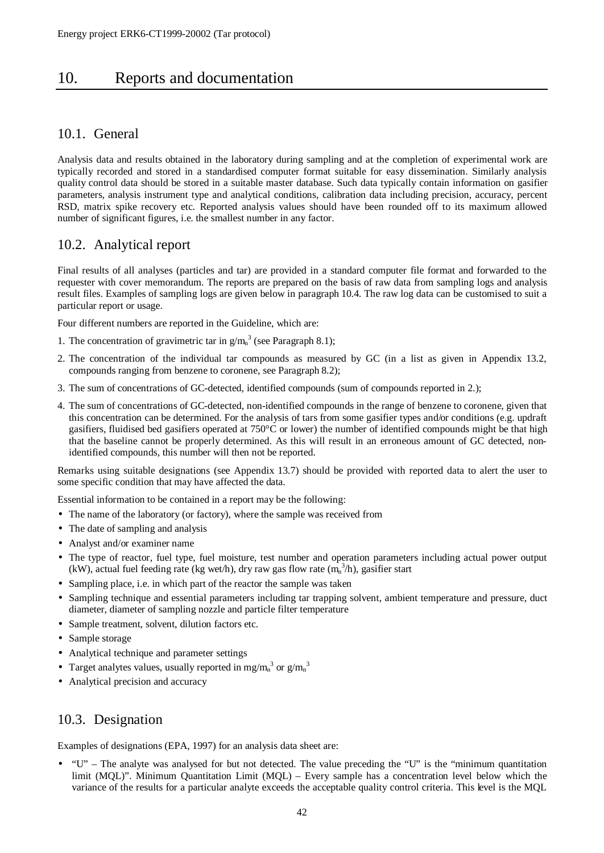## 10. Reports and documentation

### 10.1. General

Analysis data and results obtained in the laboratory during sampling and at the completion of experimental work are typically recorded and stored in a standardised computer format suitable for easy dissemination. Similarly analysis quality control data should be stored in a suitable master database. Such data typically contain information on gasifier parameters, analysis instrument type and analytical conditions, calibration data including precision, accuracy, percent RSD, matrix spike recovery etc. Reported analysis values should have been rounded off to its maximum allowed number of significant figures, i.e. the smallest number in any factor.

## 10.2. Analytical report

Final results of all analyses (particles and tar) are provided in a standard computer file format and forwarded to the requester with cover memorandum. The reports are prepared on the basis of raw data from sampling logs and analysis result files. Examples of sampling logs are given below in paragraph 10.4. The raw log data can be customised to suit a particular report or usage.

Four different numbers are reported in the Guideline, which are:

- 1. The concentration of gravimetric tar in  $g/m<sub>n</sub><sup>3</sup>$  (see Paragraph 8.1);
- 2. The concentration of the individual tar compounds as measured by GC (in a list as given in Appendix 13.2, compounds ranging from benzene to coronene, see Paragraph 8.2);
- 3. The sum of concentrations of GC-detected, identified compounds (sum of compounds reported in 2.);
- 4. The sum of concentrations of GC-detected, non-identified compounds in the range of benzene to coronene, given that this concentration can be determined. For the analysis of tars from some gasifier types and/or conditions (e.g. updraft gasifiers, fluidised bed gasifiers operated at 750°C or lower) the number of identified compounds might be that high that the baseline cannot be properly determined. As this will result in an erroneous amount of GC detected, nonidentified compounds, this number will then not be reported.

Remarks using suitable designations (see Appendix 13.7) should be provided with reported data to alert the user to some specific condition that may have affected the data.

Essential information to be contained in a report may be the following:

- The name of the laboratory (or factory), where the sample was received from
- The date of sampling and analysis
- Analyst and/or examiner name
- The type of reactor, fuel type, fuel moisture, test number and operation parameters including actual power output (kW), actual fuel feeding rate (kg wet/h), dry raw gas flow rate  $(m_n^3/h)$ , gasifier start
- Sampling place, i.e. in which part of the reactor the sample was taken
- Sampling technique and essential parameters including tar trapping solvent, ambient temperature and pressure, duct diameter, diameter of sampling nozzle and particle filter temperature
- Sample treatment, solvent, dilution factors etc.
- Sample storage
- Analytical technique and parameter settings
- Target analytes values, usually reported in mg/m<sub>n</sub><sup>3</sup> or  $g/m_n^3$
- Analytical precision and accuracy

## 10.3. Designation

Examples of designations (EPA, 1997) for an analysis data sheet are:

• "U" – The analyte was analysed for but not detected. The value preceding the "U" is the "minimum quantitation limit (MQL)". Minimum Quantitation Limit (MQL) – Every sample has a concentration level below which the variance of the results for a particular analyte exceeds the acceptable quality control criteria. This level is the MQL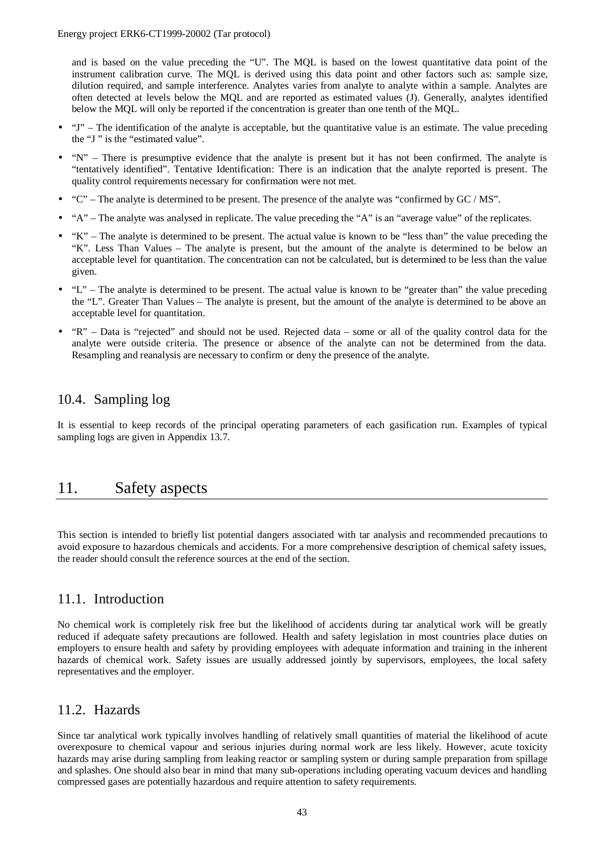and is based on the value preceding the "U". The MQL is based on the lowest quantitative data point of the instrument calibration curve. The MQL is derived using this data point and other factors such as: sample size, dilution required, and sample interference. Analytes varies from analyte to analyte within a sample. Analytes are often detected at levels below the MQL and are reported as estimated values (J). Generally, analytes identified below the MQL will only be reported if the concentration is greater than one tenth of the MQL.

- "J" The identification of the analyte is acceptable, but the quantitative value is an estimate. The value preceding the "J " is the "estimated value".
- "N" There is presumptive evidence that the analyte is present but it has not been confirmed. The analyte is "tentatively identified". Tentative Identification: There is an indication that the analyte reported is present. The quality control requirements necessary for confirmation were not met.
- $\degree$  The analyte is determined to be present. The presence of the analyte was "confirmed by GC / MS".
- "A" The analyte was analysed in replicate. The value preceding the "A" is an "average value" of the replicates.
- "K" The analyte is determined to be present. The actual value is known to be "less than" the value preceding the "K". Less Than Values – The analyte is present, but the amount of the analyte is determined to be below an acceptable level for quantitation. The concentration can not be calculated, but is determined to be less than the value given.
- "L" The analyte is determined to be present. The actual value is known to be "greater than" the value preceding the "L". Greater Than Values – The analyte is present, but the amount of the analyte is determined to be above an acceptable level for quantitation.
- "R" Data is "rejected" and should not be used. Rejected data some or all of the quality control data for the analyte were outside criteria. The presence or absence of the analyte can not be determined from the data. Resampling and reanalysis are necessary to confirm or deny the presence of the analyte.

## 10.4. Sampling log

It is essential to keep records of the principal operating parameters of each gasification run. Examples of typical sampling logs are given in Appendix 13.7.

## 11. Safety aspects

This section is intended to briefly list potential dangers associated with tar analysis and recommended precautions to avoid exposure to hazardous chemicals and accidents. For a more comprehensive description of chemical safety issues, the reader should consult the reference sources at the end of the section.

#### 11.1. Introduction

No chemical work is completely risk free but the likelihood of accidents during tar analytical work will be greatly reduced if adequate safety precautions are followed. Health and safety legislation in most countries place duties on employers to ensure health and safety by providing employees with adequate information and training in the inherent hazards of chemical work. Safety issues are usually addressed jointly by supervisors, employees, the local safety representatives and the employer.

#### 11.2. Hazards

Since tar analytical work typically involves handling of relatively small quantities of material the likelihood of acute overexposure to chemical vapour and serious injuries during normal work are less likely. However, acute toxicity hazards may arise during sampling from leaking reactor or sampling system or during sample preparation from spillage and splashes. One should also bear in mind that many sub-operations including operating vacuum devices and handling compressed gases are potentially hazardous and require attention to safety requirements.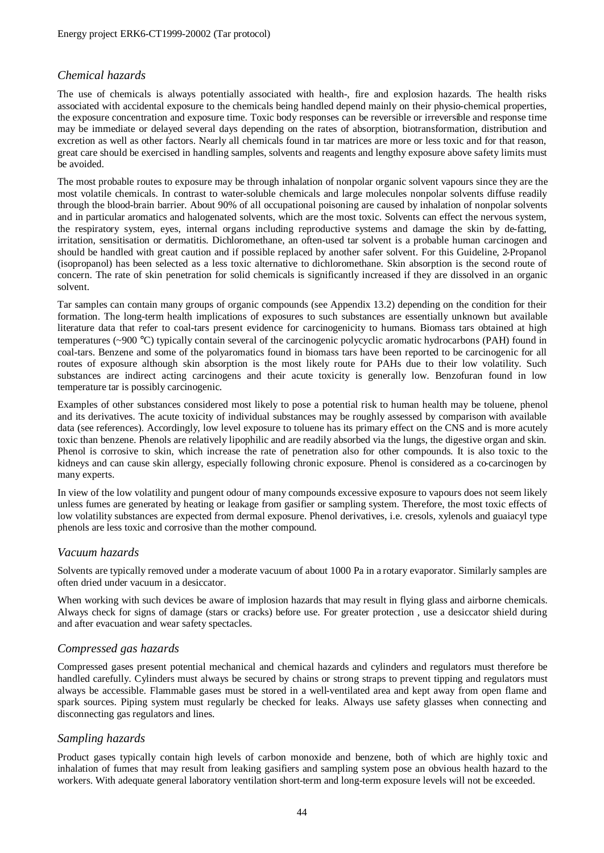#### *Chemical hazards*

The use of chemicals is always potentially associated with health-, fire and explosion hazards. The health risks associated with accidental exposure to the chemicals being handled depend mainly on their physio-chemical properties, the exposure concentration and exposure time. Toxic body responses can be reversible or irreversible and response time may be immediate or delayed several days depending on the rates of absorption, biotransformation, distribution and excretion as well as other factors. Nearly all chemicals found in tar matrices are more or less toxic and for that reason, great care should be exercised in handling samples, solvents and reagents and lengthy exposure above safety limits must be avoided.

The most probable routes to exposure may be through inhalation of nonpolar organic solvent vapours since they are the most volatile chemicals. In contrast to water-soluble chemicals and large molecules nonpolar solvents diffuse readily through the blood-brain barrier. About 90% of all occupational poisoning are caused by inhalation of nonpolar solvents and in particular aromatics and halogenated solvents, which are the most toxic. Solvents can effect the nervous system, the respiratory system, eyes, internal organs including reproductive systems and damage the skin by de-fatting, irritation, sensitisation or dermatitis. Dichloromethane, an often-used tar solvent is a probable human carcinogen and should be handled with great caution and if possible replaced by another safer solvent. For this Guideline, 2-Propanol (isopropanol) has been selected as a less toxic alternative to dichloromethane. Skin absorption is the second route of concern. The rate of skin penetration for solid chemicals is significantly increased if they are dissolved in an organic solvent.

Tar samples can contain many groups of organic compounds (see Appendix 13.2) depending on the condition for their formation. The long-term health implications of exposures to such substances are essentially unknown but available literature data that refer to coal-tars present evidence for carcinogenicity to humans. Biomass tars obtained at high temperatures (~900 °C) typically contain several of the carcinogenic polycyclic aromatic hydrocarbons (PAH) found in coal-tars. Benzene and some of the polyaromatics found in biomass tars have been reported to be carcinogenic for all routes of exposure although skin absorption is the most likely route for PAHs due to their low volatility. Such substances are indirect acting carcinogens and their acute toxicity is generally low. Benzofuran found in low temperature tar is possibly carcinogenic.

Examples of other substances considered most likely to pose a potential risk to human health may be toluene, phenol and its derivatives. The acute toxicity of individual substances may be roughly assessed by comparison with available data (see references). Accordingly, low level exposure to toluene has its primary effect on the CNS and is more acutely toxic than benzene. Phenols are relatively lipophilic and are readily absorbed via the lungs, the digestive organ and skin. Phenol is corrosive to skin, which increase the rate of penetration also for other compounds. It is also toxic to the kidneys and can cause skin allergy, especially following chronic exposure. Phenol is considered as a co-carcinogen by many experts.

In view of the low volatility and pungent odour of many compounds excessive exposure to vapours does not seem likely unless fumes are generated by heating or leakage from gasifier or sampling system. Therefore, the most toxic effects of low volatility substances are expected from dermal exposure. Phenol derivatives, i.e. cresols, xylenols and guaiacyl type phenols are less toxic and corrosive than the mother compound.

#### *Vacuum hazards*

Solvents are typically removed under a moderate vacuum of about 1000 Pa in a rotary evaporator. Similarly samples are often dried under vacuum in a desiccator.

When working with such devices be aware of implosion hazards that may result in flying glass and airborne chemicals. Always check for signs of damage (stars or cracks) before use. For greater protection , use a desiccator shield during and after evacuation and wear safety spectacles.

#### *Compressed gas hazards*

Compressed gases present potential mechanical and chemical hazards and cylinders and regulators must therefore be handled carefully. Cylinders must always be secured by chains or strong straps to prevent tipping and regulators must always be accessible. Flammable gases must be stored in a well-ventilated area and kept away from open flame and spark sources. Piping system must regularly be checked for leaks. Always use safety glasses when connecting and disconnecting gas regulators and lines.

#### *Sampling hazards*

Product gases typically contain high levels of carbon monoxide and benzene, both of which are highly toxic and inhalation of fumes that may result from leaking gasifiers and sampling system pose an obvious health hazard to the workers. With adequate general laboratory ventilation short-term and long-term exposure levels will not be exceeded.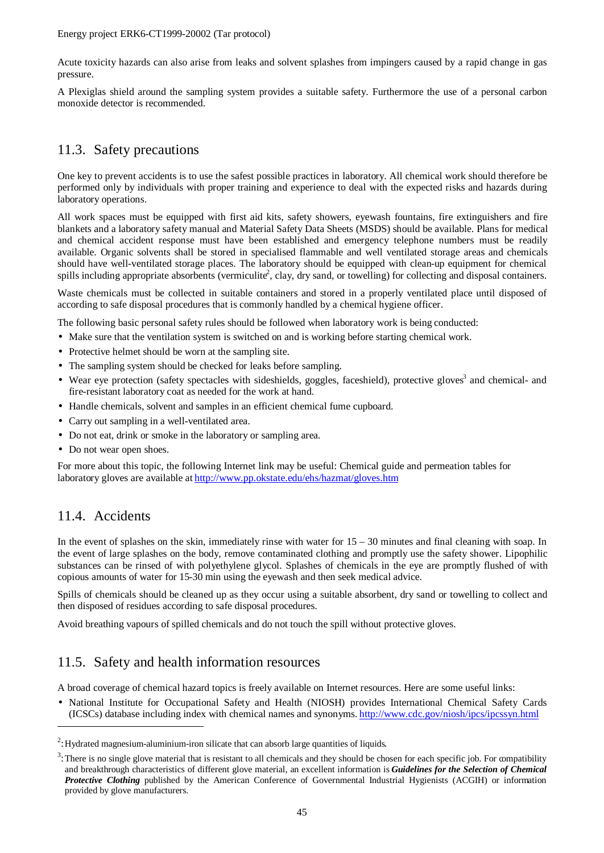Acute toxicity hazards can also arise from leaks and solvent splashes from impingers caused by a rapid change in gas pressure.

A Plexiglas shield around the sampling system provides a suitable safety. Furthermore the use of a personal carbon monoxide detector is recommended.

## 11.3. Safety precautions

One key to prevent accidents is to use the safest possible practices in laboratory. All chemical work should therefore be performed only by individuals with proper training and experience to deal with the expected risks and hazards during laboratory operations.

All work spaces must be equipped with first aid kits, safety showers, eyewash fountains, fire extinguishers and fire blankets and a laboratory safety manual and Material Safety Data Sheets (MSDS) should be available. Plans for medical and chemical accident response must have been established and emergency telephone numbers must be readily available. Organic solvents shall be stored in specialised flammable and well ventilated storage areas and chemicals should have well-ventilated storage places. The laboratory should be equipped with clean-up equipment for chemical spills including appropriate absorbents (vermiculite<sup>2</sup>, clay, dry sand, or towelling) for collecting and disposal containers.

Waste chemicals must be collected in suitable containers and stored in a properly ventilated place until disposed of according to safe disposal procedures that is commonly handled by a chemical hygiene officer.

The following basic personal safety rules should be followed when laboratory work is being conducted:

- Make sure that the ventilation system is switched on and is working before starting chemical work.
- Protective helmet should be worn at the sampling site.
- The sampling system should be checked for leaks before sampling.
- Wear eye protection (safety spectacles with sideshields, goggles, faceshield), protective gloves<sup>3</sup> and chemical- and fire-resistant laboratory coat as needed for the work at hand.
- Handle chemicals, solvent and samples in an efficient chemical fume cupboard.
- Carry out sampling in a well-ventilated area.
- Do not eat, drink or smoke in the laboratory or sampling area.
- Do not wear open shoes.

For more about this topic, the following Internet link may be useful: Chemical guide and permeation tables for laboratory gloves are available at http://www.pp.okstate.edu/ehs/hazmat/gloves.htm

## 11.4. Accidents

 $\overline{\phantom{a}}$ 

In the event of splashes on the skin, immediately rinse with water for  $15 - 30$  minutes and final cleaning with soap. In the event of large splashes on the body, remove contaminated clothing and promptly use the safety shower. Lipophilic substances can be rinsed of with polyethylene glycol. Splashes of chemicals in the eye are promptly flushed of with copious amounts of water for 15-30 min using the eyewash and then seek medical advice.

Spills of chemicals should be cleaned up as they occur using a suitable absorbent, dry sand or towelling to collect and then disposed of residues according to safe disposal procedures.

Avoid breathing vapours of spilled chemicals and do not touch the spill without protective gloves.

#### 11.5. Safety and health information resources

A broad coverage of chemical hazard topics is freely available on Internet resources. Here are some useful links:

• National Institute for Occupational Safety and Health (NIOSH) provides International Chemical Safety Cards (ICSCs) database including index with chemical names and synonyms. http://www.cdc.gov/niosh/ipcs/ipcssyn.html

 $2$ : Hydrated magnesium-aluminium-iron silicate that can absorb large quantities of liquids.

 $3$ : There is no single glove material that is resistant to all chemicals and they should be chosen for each specific job. For compatibility and breakthrough characteristics of different glove material, an excellent information is *Guidelines for the Selection of Chemical Protective Clothing* published by the American Conference of Governmental Industrial Hygienists (ACGIH) or information provided by glove manufacturers.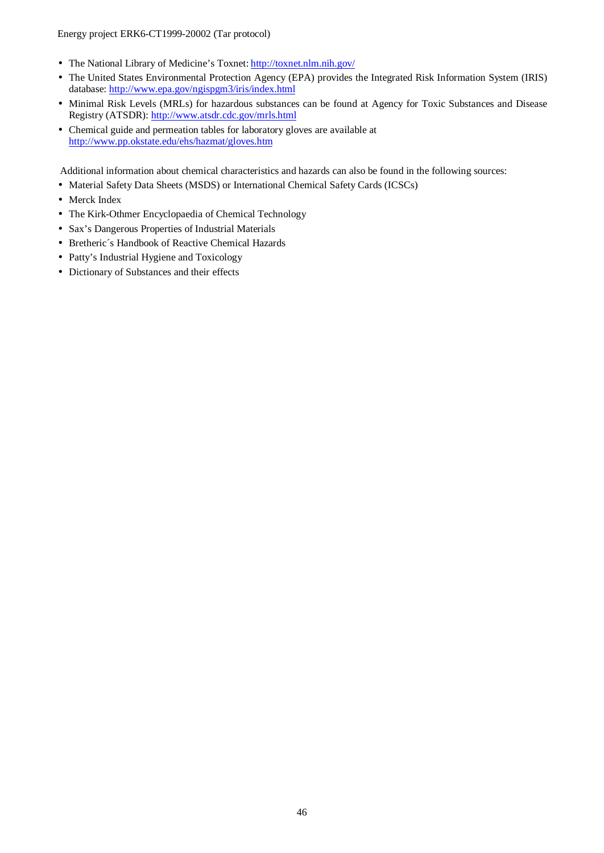Energy project ERK6-CT1999-20002 (Tar protocol)

- The National Library of Medicine's Toxnet: http://toxnet.nlm.nih.gov/
- The United States Environmental Protection Agency (EPA) provides the Integrated Risk Information System (IRIS) database: http://www.epa.gov/ngispgm3/iris/index.html
- Minimal Risk Levels (MRLs) for hazardous substances can be found at Agency for Toxic Substances and Disease Registry (ATSDR): http://www.atsdr.cdc.gov/mrls.html
- Chemical guide and permeation tables for laboratory gloves are available at http://www.pp.okstate.edu/ehs/hazmat/gloves.htm

Additional information about chemical characteristics and hazards can also be found in the following sources:

- Material Safety Data Sheets (MSDS) or International Chemical Safety Cards (ICSCs)
- Merck Index
- The Kirk-Othmer Encyclopaedia of Chemical Technology
- Sax's Dangerous Properties of Industrial Materials
- Bretheric´s Handbook of Reactive Chemical Hazards
- Patty's Industrial Hygiene and Toxicology
- Dictionary of Substances and their effects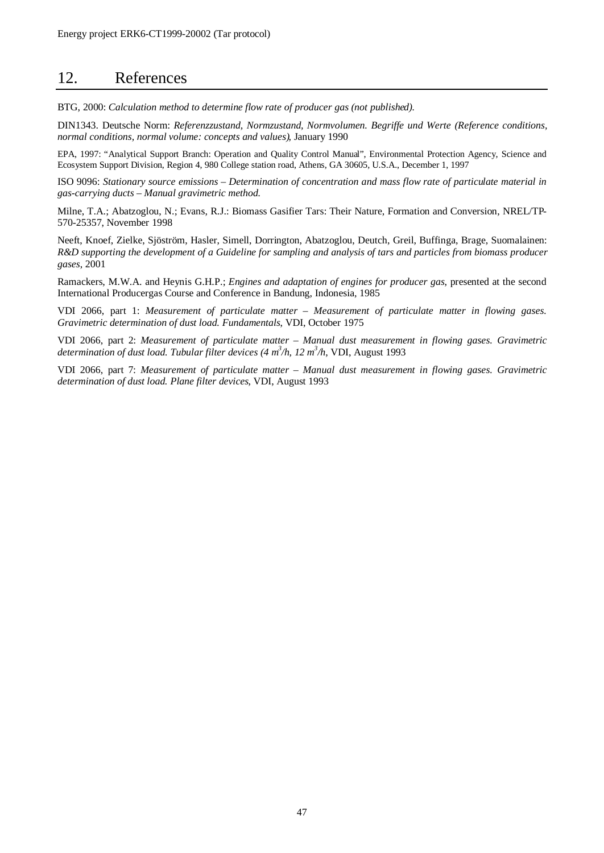## 12. References

BTG, 2000: *Calculation method to determine flow rate of producer gas (not published).*

DIN1343. Deutsche Norm: *Referenzzustand, Normzustand, Normvolumen. Begriffe und Werte (Reference conditions, normal conditions, normal volume: concepts and values)*, January 1990

EPA, 1997: "Analytical Support Branch: Operation and Quality Control Manual", Environmental Protection Agency, Science and Ecosystem Support Division, Region 4, 980 College station road, Athens, GA 30605, U.S.A., December 1, 1997

ISO 9096: *Stationary source emissions – Determination of concentration and mass flow rate of particulate material in gas-carrying ducts – Manual gravimetric method.*

Milne, T.A.; Abatzoglou, N.; Evans, R.J.: Biomass Gasifier Tars: Their Nature, Formation and Conversion, NREL/TP-570-25357, November 1998

Neeft, Knoef, Zielke, Sjöström, Hasler, Simell, Dorrington, Abatzoglou, Deutch, Greil, Buffinga, Brage, Suomalainen: *R&D supporting the development of a Guideline for sampling and analysis of tars and particles from biomass producer gases*, 2001

Ramackers, M.W.A. and Heynis G.H.P.; *Engines and adaptation of engines for producer gas*, presented at the second International Producergas Course and Conference in Bandung, Indonesia, 1985

VDI 2066, part 1: *Measurement of particulate matter – Measurement of particulate matter in flowing gases. Gravimetric determination of dust load. Fundamentals*, VDI, October 1975

VDI 2066, part 2: *Measurement of particulate matter – Manual dust measurement in flowing gases. Gravimetric determination of dust load. Tubular filter devices (4 m<sup>3</sup> /h, 12 m<sup>3</sup> /h*, VDI, August 1993

VDI 2066, part 7: *Measurement of particulate matter – Manual dust measurement in flowing gases. Gravimetric determination of dust load. Plane filter devices*, VDI, August 1993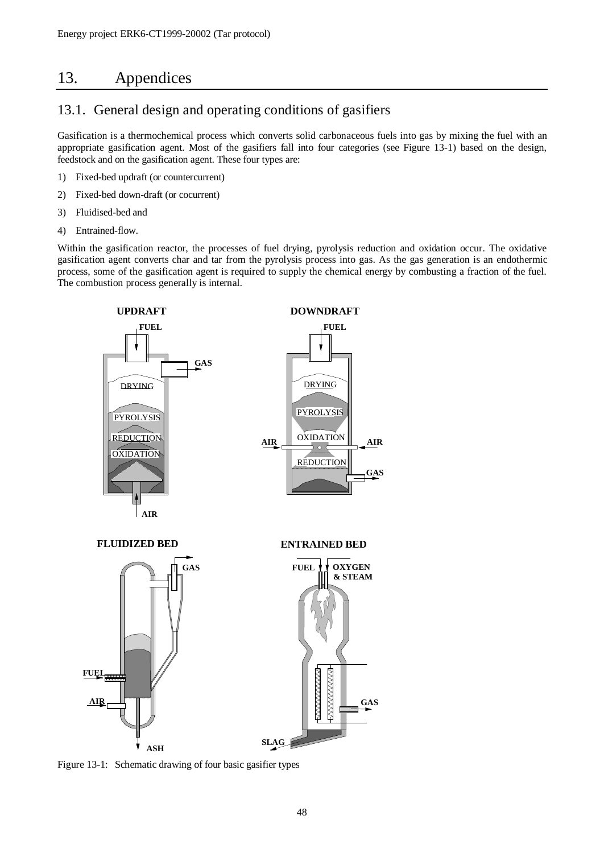## 13. Appendices

## 13.1. General design and operating conditions of gasifiers

Gasification is a thermochemical process which converts solid carbonaceous fuels into gas by mixing the fuel with an appropriate gasification agent. Most of the gasifiers fall into four categories (see Figure 13-1) based on the design, feedstock and on the gasification agent. These four types are:

- 1) Fixed-bed updraft (or countercurrent)
- 2) Fixed-bed down-draft (or cocurrent)
- 3) Fluidised-bed and
- 4) Entrained-flow.

Within the gasification reactor, the processes of fuel drying, pyrolysis reduction and oxidation occur. The oxidative gasification agent converts char and tar from the pyrolysis process into gas. As the gas generation is an endothermic process, some of the gasification agent is required to supply the chemical energy by combusting a fraction of the fuel. The combustion process generally is internal.



Figure 13-1: Schematic drawing of four basic gasifier types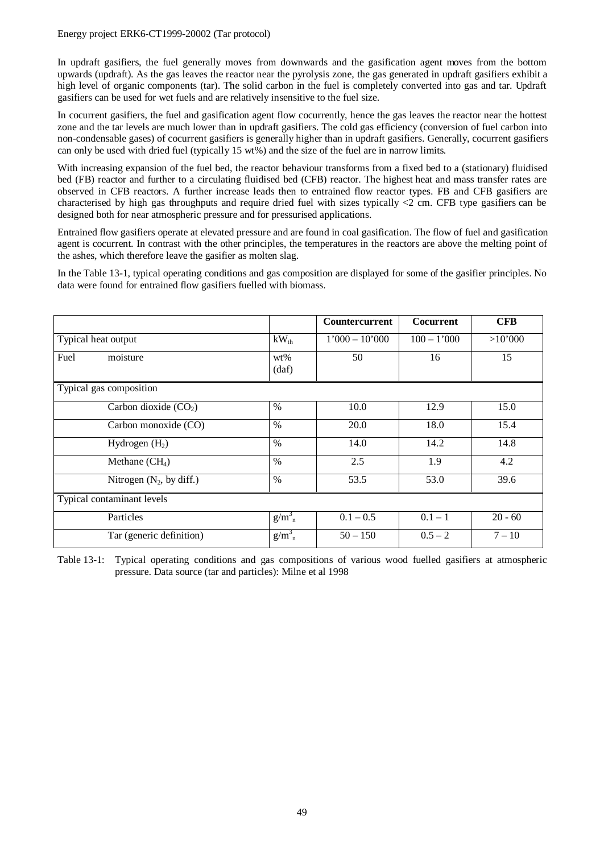In updraft gasifiers, the fuel generally moves from downwards and the gasification agent moves from the bottom upwards (updraft). As the gas leaves the reactor near the pyrolysis zone, the gas generated in updraft gasifiers exhibit a high level of organic components (tar). The solid carbon in the fuel is completely converted into gas and tar. Updraft gasifiers can be used for wet fuels and are relatively insensitive to the fuel size.

In cocurrent gasifiers, the fuel and gasification agent flow cocurrently, hence the gas leaves the reactor near the hottest zone and the tar levels are much lower than in updraft gasifiers. The cold gas efficiency (conversion of fuel carbon into non-condensable gases) of cocurrent gasifiers is generally higher than in updraft gasifiers. Generally, cocurrent gasifiers can only be used with dried fuel (typically 15 wt%) and the size of the fuel are in narrow limits.

With increasing expansion of the fuel bed, the reactor behaviour transforms from a fixed bed to a (stationary) fluidised bed (FB) reactor and further to a circulating fluidised bed (CFB) reactor. The highest heat and mass transfer rates are observed in CFB reactors. A further increase leads then to entrained flow reactor types. FB and CFB gasifiers are characterised by high gas throughputs and require dried fuel with sizes typically <2 cm. CFB type gasifiers can be designed both for near atmospheric pressure and for pressurised applications.

Entrained flow gasifiers operate at elevated pressure and are found in coal gasification. The flow of fuel and gasification agent is cocurrent. In contrast with the other principles, the temperatures in the reactors are above the melting point of the ashes, which therefore leave the gasifier as molten slag.

In the Table 13-1, typical operating conditions and gas composition are displayed for some of the gasifier principles. No data were found for entrained flow gasifiers fuelled with biomass.

|                     |                            |                 | <b>Countercurrent</b> | <b>Cocurrent</b> | <b>CFB</b> |
|---------------------|----------------------------|-----------------|-----------------------|------------------|------------|
| Typical heat output |                            | $kW_{th}$       | $1'000 - 10'000$      | $100 - 1'000$    | >10'000    |
| Fuel                | moisture                   | $wt\%$<br>(daf) | 50                    | 16               | 15         |
|                     | Typical gas composition    |                 |                       |                  |            |
|                     | Carbon dioxide $(CO2)$     | $\%$            | 10.0                  | 12.9             | 15.0       |
|                     | Carbon monoxide (CO)       | $\%$            | 20.0                  | 18.0             | 15.4       |
|                     | Hydrogen $(H2)$            | $\%$            | 14.0                  | 14.2             | 14.8       |
|                     | Methane $(CH_4)$           | $\%$            | 2.5                   | 1.9              | 4.2        |
|                     | Nitrogen $(N_2, by diff.)$ | $\%$            | 53.5                  | 53.0             | 39.6       |
|                     | Typical contaminant levels |                 |                       |                  |            |
|                     | Particles                  | $g/m_n^3$       | $0.1 - 0.5$           | $0.1 - 1$        | $20 - 60$  |
|                     | Tar (generic definition)   | $g/m_n^3$       | $50 - 150$            | $0.5 - 2$        | $7 - 10$   |

Table 13-1: Typical operating conditions and gas compositions of various wood fuelled gasifiers at atmospheric pressure. Data source (tar and particles): Milne et al 1998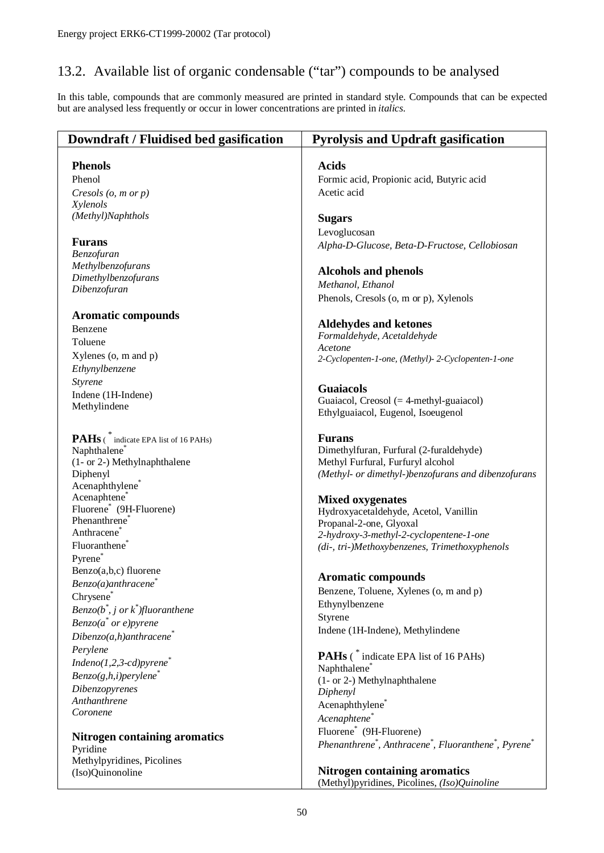## 13.2. Available list of organic condensable ("tar") compounds to be analysed

In this table, compounds that are commonly measured are printed in standard style. Compounds that can be expected but are analysed less frequently or occur in lower concentrations are printed in *italics.*

| Downdraft / Fluidised bed gasification              | <b>Pyrolysis and Updraft gasification</b>                                                |
|-----------------------------------------------------|------------------------------------------------------------------------------------------|
| <b>Phenols</b>                                      | <b>Acids</b>                                                                             |
| Phenol                                              | Formic acid, Propionic acid, Butyric acid                                                |
| Cresols $(o, m \text{ or } p)$                      | Acetic acid                                                                              |
| Xylenols                                            |                                                                                          |
| (Methyl)Naphthols                                   | <b>Sugars</b>                                                                            |
|                                                     | Levoglucosan                                                                             |
| <b>Furans</b>                                       | Alpha-D-Glucose, Beta-D-Fructose, Cellobiosan                                            |
| Benzofuran                                          |                                                                                          |
| Methylbenzofurans                                   | <b>Alcohols and phenols</b>                                                              |
| Dimethylbenzofurans                                 | Methanol, Ethanol                                                                        |
| Dibenzofuran                                        | Phenols, Cresols (o, m or p), Xylenols                                                   |
|                                                     |                                                                                          |
| <b>Aromatic compounds</b>                           | <b>Aldehydes and ketones</b>                                                             |
| Benzene                                             | Formaldehyde, Acetaldehyde                                                               |
| Toluene                                             | Acetone                                                                                  |
| $X$ ylenes (o, m and p)                             | 2-Cyclopenten-1-one, (Methyl)-2-Cyclopenten-1-one                                        |
| Ethynylbenzene                                      |                                                                                          |
| Styrene                                             | <b>Guaiacols</b>                                                                         |
| Indene (1H-Indene)                                  | Guaiacol, Creosol $(= 4$ -methyl-guaiacol)                                               |
| Methylindene                                        | Ethylguaiacol, Eugenol, Isoeugenol                                                       |
|                                                     |                                                                                          |
| <b>PAHs</b> (* indicate EPA list of 16 PAHs)        | <b>Furans</b>                                                                            |
| Naphthalene <sup>®</sup>                            | Dimethylfuran, Furfural (2-furaldehyde)                                                  |
| (1- or 2-) Methylnaphthalene                        | Methyl Furfural, Furfuryl alcohol                                                        |
| Diphenyl                                            | (Methyl- or dimethyl-)benzofurans and dibenzofurans                                      |
| Acenaphthylene <sup>®</sup>                         |                                                                                          |
| Acenaphtene*<br>Fluorene <sup>*</sup> (9H-Fluorene) | <b>Mixed oxygenates</b>                                                                  |
| Phenanthrene <sup>®</sup>                           | Hydroxyacetaldehyde, Acetol, Vanillin                                                    |
| Anthracene <sup>®</sup>                             | Propanal-2-one, Glyoxal                                                                  |
| Fluoranthene <sup>®</sup>                           | 2-hydroxy-3-methyl-2-cyclopentene-1-one<br>(di-, tri-)Methoxybenzenes, Trimethoxyphenols |
| Pyrene*                                             |                                                                                          |
| Benzo(a,b,c) fluorene                               |                                                                                          |
| Benzo(a)anthracene                                  | Aromatic compounds                                                                       |
| Chrysene                                            | Benzene, Toluene, Xylenes (o, m and p)                                                   |
| Benzo( $b^*$ , j or $k^*$ )fluoranthene             | Ethynylbenzene                                                                           |
| $Benzo(a^* or e)pyrene$                             | Styrene                                                                                  |
| $Dibenzo(a,h)$ anthracene <sup>*</sup>              | Indene (1H-Indene), Methylindene                                                         |
| Perylene                                            |                                                                                          |
| $Indeno(1,2,3-cd)pyrene^*$                          | <b>PAHs</b> (* indicate EPA list of 16 PAHs)                                             |
| $Benzo(g,h,i)$ perylene                             | Naphthalene <sup>*</sup>                                                                 |
| Dibenzopyrenes                                      | (1- or 2-) Methylnaphthalene                                                             |
| Anthanthrene                                        | Diphenyl                                                                                 |
| Coronene                                            | Acenaphthylene <sup>*</sup>                                                              |
|                                                     | Acenaphtene*                                                                             |
| <b>Nitrogen containing aromatics</b>                | Fluorene <sup>*</sup> (9H-Fluorene)                                                      |
| Pyridine                                            | Phenanthrene*, Anthracene*, Fluoranthene*, Pyrene*                                       |
| Methylpyridines, Picolines                          |                                                                                          |
| (Iso)Quinonoline                                    | <b>Nitrogen containing aromatics</b>                                                     |
|                                                     | (Methyl)pyridines, Picolines, (Iso)Quinoline                                             |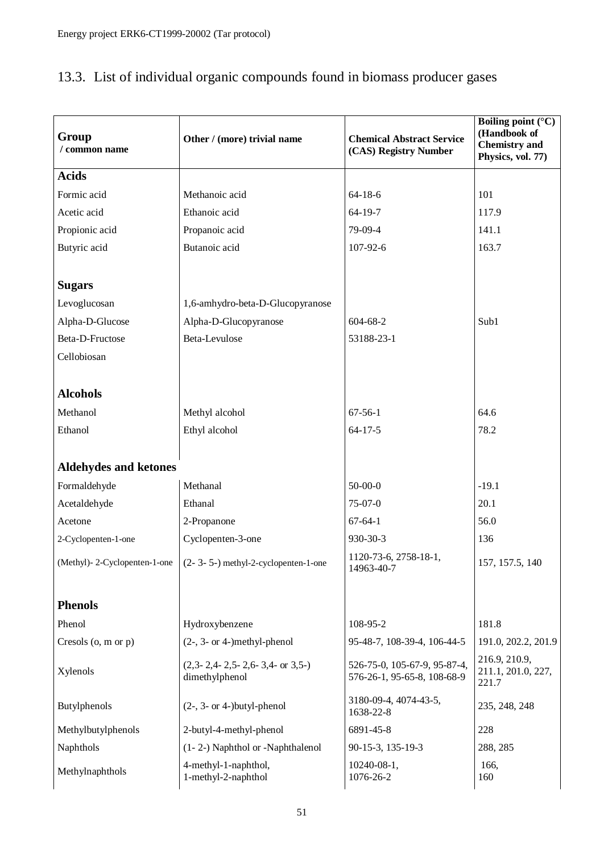| Group<br>Other / (more) trivial name<br>/ common name |                                                    | <b>Chemical Abstract Service</b><br>(CAS) Registry Number   | <b>Boiling point (°C)</b><br>(Handbook of<br><b>Chemistry</b> and<br>Physics, vol. 77) |
|-------------------------------------------------------|----------------------------------------------------|-------------------------------------------------------------|----------------------------------------------------------------------------------------|
| <b>Acids</b>                                          |                                                    |                                                             |                                                                                        |
| Formic acid                                           | Methanoic acid                                     | $64 - 18 - 6$                                               | 101                                                                                    |
| Acetic acid                                           | Ethanoic acid                                      | 64-19-7                                                     | 117.9                                                                                  |
| Propionic acid                                        | Propanoic acid                                     | 79-09-4                                                     | 141.1                                                                                  |
| Butyric acid                                          | Butanoic acid                                      | 107-92-6                                                    | 163.7                                                                                  |
| <b>Sugars</b>                                         |                                                    |                                                             |                                                                                        |
| Levoglucosan                                          | 1,6-amhydro-beta-D-Glucopyranose                   |                                                             |                                                                                        |
| Alpha-D-Glucose                                       | Alpha-D-Glucopyranose                              | 604-68-2                                                    | Sub1                                                                                   |
| Beta-D-Fructose                                       | Beta-Levulose                                      | 53188-23-1                                                  |                                                                                        |
| Cellobiosan                                           |                                                    |                                                             |                                                                                        |
|                                                       |                                                    |                                                             |                                                                                        |
| <b>Alcohols</b>                                       |                                                    |                                                             |                                                                                        |
| Methanol                                              | Methyl alcohol                                     | $67 - 56 - 1$                                               | 64.6                                                                                   |
| Ethanol                                               | Ethyl alcohol                                      | $64 - 17 - 5$                                               | 78.2                                                                                   |
|                                                       |                                                    |                                                             |                                                                                        |
| <b>Aldehydes and ketones</b>                          |                                                    |                                                             |                                                                                        |
| Formaldehyde                                          | Methanal                                           | $50-00-0$                                                   | $-19.1$                                                                                |
| Acetaldehyde                                          | Ethanal                                            | $75-07-0$                                                   | 20.1                                                                                   |
| Acetone                                               | 2-Propanone                                        | $67 - 64 - 1$                                               | 56.0                                                                                   |
| 2-Cyclopenten-1-one                                   | Cyclopenten-3-one                                  | 930-30-3                                                    | 136                                                                                    |
| (Methyl)-2-Cyclopenten-1-one                          | (2- 3- 5-) methyl-2-cyclopenten-1-one              | 1120-73-6, 2758-18-1,<br>14963-40-7                         | 157, 157.5, 140                                                                        |
| <b>Phenols</b>                                        |                                                    |                                                             |                                                                                        |
| Phenol                                                | Hydroxybenzene                                     | 108-95-2                                                    | 181.8                                                                                  |
| Cresols $(o, m \text{ or } p)$                        | $(2-, 3-$ or 4-)methyl-phenol                      | 95-48-7, 108-39-4, 106-44-5                                 | 191.0, 202.2, 201.9                                                                    |
| Xylenols                                              | $(2,3-2,4-2,5-2,6-3,4-$ or 3,5-)<br>dimethylphenol | 526-75-0, 105-67-9, 95-87-4,<br>576-26-1, 95-65-8, 108-68-9 | 216.9, 210.9,<br>211.1, 201.0, 227,<br>221.7                                           |
| $(2-, 3-$ or 4-)butyl-phenol<br>Butylphenols          |                                                    | 3180-09-4, 4074-43-5,<br>1638-22-8                          | 235, 248, 248                                                                          |
| Methylbutylphenols                                    | 2-butyl-4-methyl-phenol                            | 6891-45-8                                                   | 228                                                                                    |
| Naphthols                                             | (1-2-) Naphthol or -Naphthalenol                   | 90-15-3, 135-19-3                                           | 288, 285                                                                               |
| Methylnaphthols                                       | 4-methyl-1-naphthol,<br>1-methyl-2-naphthol        | $10240 - 08 - 1$ ,<br>1076-26-2                             | 166,<br>160                                                                            |

## 13.3. List of individual organic compounds found in biomass producer gases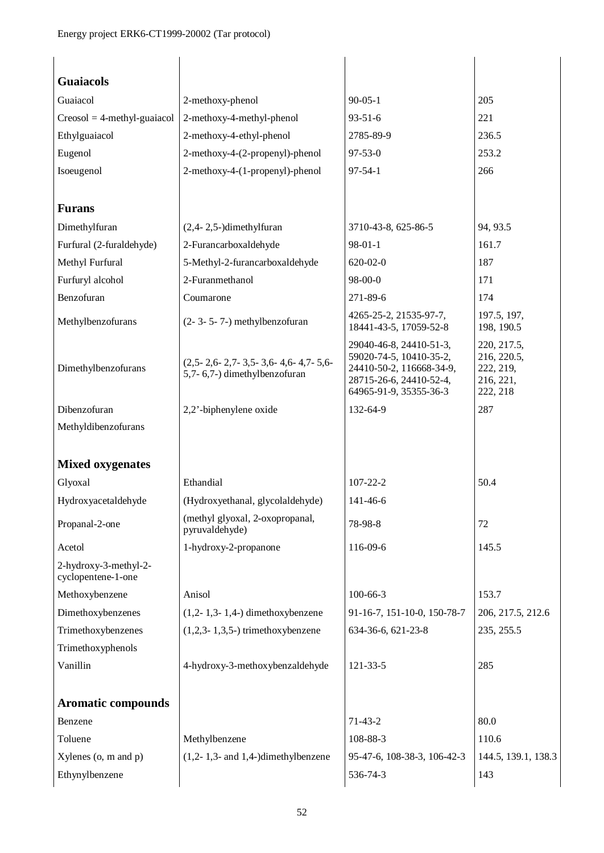| <b>Guaiacols</b>                            |                                                                     |                                                                                                                                     |                                                                  |
|---------------------------------------------|---------------------------------------------------------------------|-------------------------------------------------------------------------------------------------------------------------------------|------------------------------------------------------------------|
| Guaiacol                                    | 2-methoxy-phenol                                                    | $90 - 05 - 1$                                                                                                                       | 205                                                              |
| $C$ reosol = 4-methyl-guaiacol              | 2-methoxy-4-methyl-phenol                                           | $93 - 51 - 6$                                                                                                                       | 221                                                              |
| Ethylguaiacol                               | 2-methoxy-4-ethyl-phenol                                            | 2785-89-9                                                                                                                           | 236.5                                                            |
| Eugenol                                     | 2-methoxy-4-(2-propenyl)-phenol                                     | $97 - 53 - 0$                                                                                                                       | 253.2                                                            |
| Isoeugenol                                  | 2-methoxy-4-(1-propenyl)-phenol                                     | $97 - 54 - 1$                                                                                                                       | 266                                                              |
|                                             |                                                                     |                                                                                                                                     |                                                                  |
| <b>Furans</b>                               |                                                                     |                                                                                                                                     |                                                                  |
| Dimethylfuran                               | $(2,4-2,5-)$ dimethylfuran                                          | 3710-43-8, 625-86-5                                                                                                                 | 94, 93.5                                                         |
| Furfural (2-furaldehyde)                    | 2-Furancarboxaldehyde                                               | $98-01-1$                                                                                                                           | 161.7                                                            |
| Methyl Furfural                             | 5-Methyl-2-furancarboxaldehyde                                      | $620 - 02 - 0$                                                                                                                      | 187                                                              |
| Furfuryl alcohol                            | 2-Furanmethanol                                                     | 98-00-0                                                                                                                             | 171                                                              |
| Benzofuran                                  | Coumarone                                                           | 271-89-6                                                                                                                            | 174                                                              |
| Methylbenzofurans                           | $(2 - 3 - 5 - 7)$ methylbenzofuran                                  | 4265-25-2, 21535-97-7,<br>18441-43-5, 17059-52-8                                                                                    | 197.5, 197,<br>198, 190.5                                        |
| Dimethylbenzofurans                         | $(2,5-2,6-2,7-3,5-3,6-4,6-4,7-5,6-$<br>5,7-6,7-) dimethylbenzofuran | 29040-46-8, 24410-51-3,<br>59020-74-5, 10410-35-2,<br>24410-50-2, 116668-34-9,<br>28715-26-6, 24410-52-4,<br>64965-91-9, 35355-36-3 | 220, 217.5,<br>216, 220.5,<br>222, 219,<br>216, 221,<br>222, 218 |
| Dibenzofuran                                | 2,2'-biphenylene oxide                                              | 132-64-9                                                                                                                            | 287                                                              |
| Methyldibenzofurans                         |                                                                     |                                                                                                                                     |                                                                  |
|                                             |                                                                     |                                                                                                                                     |                                                                  |
| <b>Mixed oxygenates</b>                     |                                                                     |                                                                                                                                     |                                                                  |
| Glyoxal                                     | Ethandial                                                           | 107-22-2                                                                                                                            | 50.4                                                             |
| Hydroxyacetaldehyde                         | (Hydroxyethanal, glycolaldehyde)                                    | 141-46-6                                                                                                                            |                                                                  |
| Propanal-2-one                              | (methyl glyoxal, 2-oxopropanal,<br>pyruvaldehyde)                   | 78-98-8                                                                                                                             | 72                                                               |
| Acetol                                      | 1-hydroxy-2-propanone                                               | 116-09-6                                                                                                                            | 145.5                                                            |
| 2-hydroxy-3-methyl-2-<br>cyclopentene-1-one |                                                                     |                                                                                                                                     |                                                                  |
| Methoxybenzene                              | Anisol                                                              | $100 - 66 - 3$                                                                                                                      | 153.7                                                            |
| Dimethoxybenzenes                           | $(1,2-1,3-1,4-)$ dimethoxybenzene                                   | 91-16-7, 151-10-0, 150-78-7                                                                                                         | 206, 217.5, 212.6                                                |
| Trimethoxybenzenes                          | $(1,2,3-1,3,5)$ trimethoxybenzene                                   | 634-36-6, 621-23-8                                                                                                                  | 235, 255.5                                                       |
| Trimethoxyphenols                           |                                                                     |                                                                                                                                     |                                                                  |
| Vanillin                                    | 4-hydroxy-3-methoxybenzaldehyde                                     | 121-33-5                                                                                                                            | 285                                                              |
| <b>Aromatic compounds</b>                   |                                                                     |                                                                                                                                     |                                                                  |
| Benzene                                     |                                                                     | $71-43-2$                                                                                                                           | 80.0                                                             |
| Toluene                                     | Methylbenzene                                                       | 108-88-3                                                                                                                            | 110.6                                                            |
| Xylenes (o, m and p)                        | $(1,2-1,3-$ and 1,4-)dimethylbenzene                                | 95-47-6, 108-38-3, 106-42-3                                                                                                         | 144.5, 139.1, 138.3                                              |
| Ethynylbenzene                              |                                                                     | 536-74-3                                                                                                                            | 143                                                              |
|                                             |                                                                     |                                                                                                                                     |                                                                  |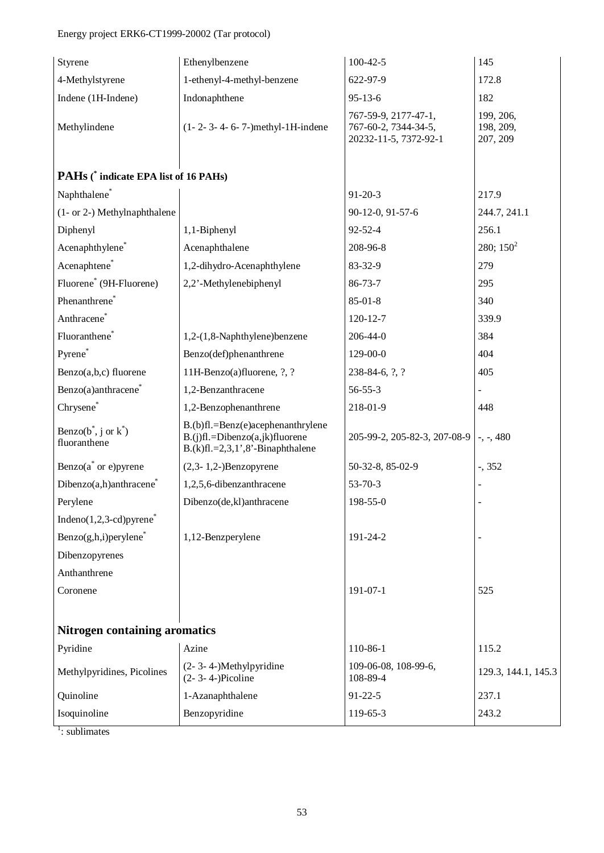## Energy project ERK6-CT1999-20002 (Tar protocol)

| Styrene                                     | Ethenylbenzene                                                                                                 | $100-42-5$                                                            | 145                                |
|---------------------------------------------|----------------------------------------------------------------------------------------------------------------|-----------------------------------------------------------------------|------------------------------------|
| 4-Methylstyrene                             | 1-ethenyl-4-methyl-benzene                                                                                     | 622-97-9                                                              | 172.8                              |
| Indene (1H-Indene)                          | Indonaphthene                                                                                                  | $95 - 13 - 6$                                                         | 182                                |
| Methylindene                                | (1-2-3-4-6-7-)methyl-1H-indene                                                                                 | 767-59-9, 2177-47-1,<br>767-60-2, 7344-34-5,<br>20232-11-5, 7372-92-1 | 199, 206,<br>198, 209,<br>207, 209 |
| PAHs (* indicate EPA list of 16 PAHs)       |                                                                                                                |                                                                       |                                    |
| Naphthalene*                                |                                                                                                                | $91 - 20 - 3$                                                         | 217.9                              |
| (1- or 2-) Methylnaphthalene                |                                                                                                                | 90-12-0, 91-57-6                                                      | 244.7, 241.1                       |
| Diphenyl                                    | 1,1-Biphenyl                                                                                                   | $92 - 52 - 4$                                                         | 256.1                              |
| Acenaphthylene*                             | Acenaphthalene                                                                                                 | 208-96-8                                                              | 280; $150^2$                       |
| Acenaphtene*                                | 1,2-dihydro-Acenaphthylene                                                                                     | 83-32-9                                                               | 279                                |
| Fluorene <sup>*</sup> (9H-Fluorene)         | 2,2'-Methylenebiphenyl                                                                                         | $86 - 73 - 7$                                                         | 295                                |
| Phenanthrene <sup>*</sup>                   |                                                                                                                | $85 - 01 - 8$                                                         | 340                                |
| Anthracene <sup>*</sup>                     |                                                                                                                | 120-12-7                                                              | 339.9                              |
| Fluoranthene <sup>*</sup>                   | 1,2-(1,8-Naphthylene)benzene                                                                                   | 206-44-0                                                              | 384                                |
| Pyrene*                                     | Benzo(def)phenanthrene                                                                                         | 129-00-0                                                              | 404                                |
| Benzo(a,b,c) fluorene                       | 11H-Benzo(a)fluorene, ?, ?                                                                                     | 238-84-6, ?, ?                                                        | 405                                |
| Benzo(a)anthracene <sup>*</sup>             | 1,2-Benzanthracene                                                                                             | $56 - 55 - 3$                                                         |                                    |
| Chrysene*                                   | 1,2-Benzophenanthrene                                                                                          | 218-01-9                                                              | 448                                |
| Benzo( $b^*$ , j or $k^*$ )<br>fluoranthene | B.(b)fl.=Benz(e)acephenanthrylene<br>$B.(j)fl.=Dibenzo(a,jk)fluorene$<br>$B.(k)fl. = 2,3,1',8'$ -Binaphthalene | 205-99-2, 205-82-3, 207-08-9                                          | $-$ , $-$ , 480                    |
| Benzo $(a^*$ or e) pyrene                   | $(2,3-1,2-)$ Benzopyrene                                                                                       | 50-32-8, 85-02-9                                                      | $-$ , 352                          |
| Dibenzo(a,h)anthracene <sup>*</sup>         | 1,2,5,6-dibenzanthracene                                                                                       | $53 - 70 - 3$                                                         |                                    |
| Perylene                                    | Dibenzo(de,kl)anthracene                                                                                       | 198-55-0                                                              |                                    |
| Indeno $(1,2,3$ -cd)pyrene <sup>*</sup>     |                                                                                                                |                                                                       |                                    |
| $Benzo(g,h,i)$ per ylene*                   | 1,12-Benzperylene                                                                                              | 191-24-2                                                              |                                    |
| Dibenzopyrenes                              |                                                                                                                |                                                                       |                                    |
| Anthanthrene                                |                                                                                                                |                                                                       |                                    |
| Coronene                                    |                                                                                                                | 191-07-1                                                              | 525                                |
|                                             |                                                                                                                |                                                                       |                                    |
| <b>Nitrogen containing aromatics</b>        |                                                                                                                |                                                                       |                                    |
| Pyridine                                    | Azine                                                                                                          | 110-86-1                                                              | 115.2                              |
| Methylpyridines, Picolines                  | (2-3-4-)Methylpyridine<br>$(2 - 3 - 4)$ Picoline                                                               | 109-06-08, 108-99-6,<br>108-89-4                                      | 129.3, 144.1, 145.3                |
| Quinoline                                   | 1-Azanaphthalene                                                                                               | $91 - 22 - 5$                                                         | 237.1                              |
| Isoquinoline                                | Benzopyridine                                                                                                  | 119-65-3                                                              | 243.2                              |

<sup>1</sup>: sublimates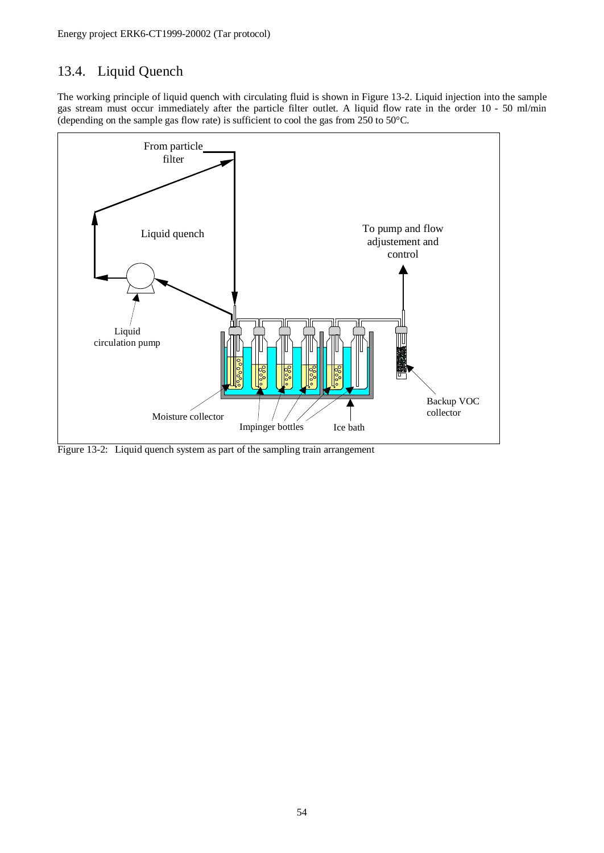## 13.4. Liquid Quench

The working principle of liquid quench with circulating fluid is shown in Figure 13-2. Liquid injection into the sample gas stream must occur immediately after the particle filter outlet. A liquid flow rate in the order 10 - 50 ml/min (depending on the sample gas flow rate) is sufficient to cool the gas from 250 to 50°C.



Figure 13-2: Liquid quench system as part of the sampling train arrangement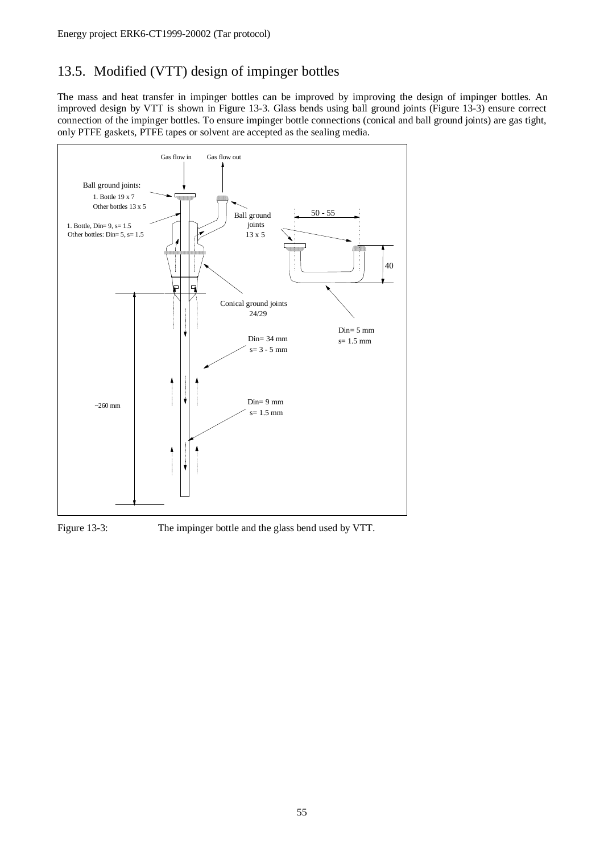## 13.5. Modified (VTT) design of impinger bottles

The mass and heat transfer in impinger bottles can be improved by improving the design of impinger bottles. An improved design by VTT is shown in Figure 13-3. Glass bends using ball ground joints (Figure 13-3) ensure correct connection of the impinger bottles. To ensure impinger bottle connections (conical and ball ground joints) are gas tight, only PTFE gaskets, PTFE tapes or solvent are accepted as the sealing media.



Figure 13-3: The impinger bottle and the glass bend used by VTT.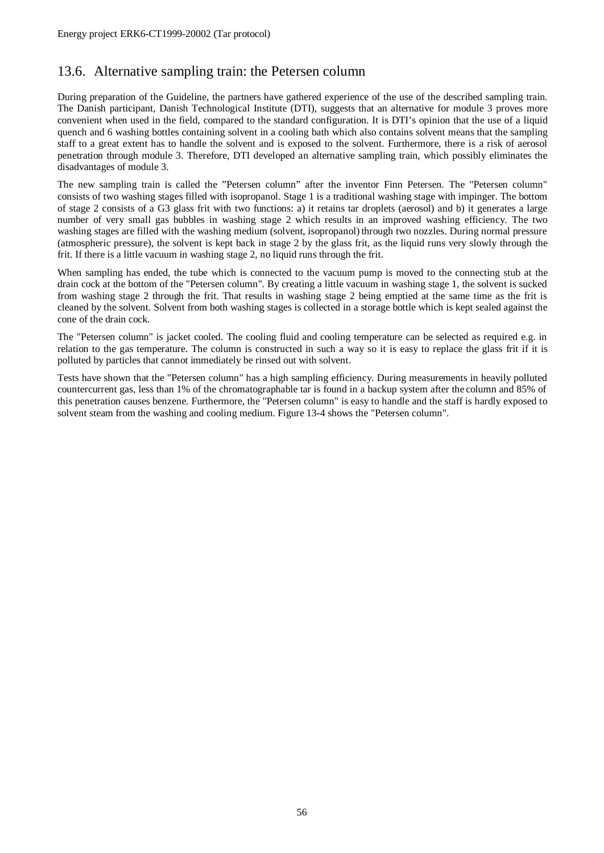## 13.6. Alternative sampling train: the Petersen column

During preparation of the Guideline, the partners have gathered experience of the use of the described sampling train. The Danish participant, Danish Technological Institute (DTI), suggests that an alternative for module 3 proves more convenient when used in the field, compared to the standard configuration. It is DTI's opinion that the use of a liquid quench and 6 washing bottles containing solvent in a cooling bath which also contains solvent means that the sampling staff to a great extent has to handle the solvent and is exposed to the solvent. Furthermore, there is a risk of aerosol penetration through module 3. Therefore, DTI developed an alternative sampling train, which possibly eliminates the disadvantages of module 3.

The new sampling train is called the "Petersen column" after the inventor Finn Petersen. The "Petersen column" consists of two washing stages filled with isopropanol. Stage 1 is a traditional washing stage with impinger. The bottom of stage 2 consists of a G3 glass frit with two functions: a) it retains tar droplets (aerosol) and b) it generates a large number of very small gas bubbles in washing stage 2 which results in an improved washing efficiency. The two washing stages are filled with the washing medium (solvent, isopropanol) through two nozzles. During normal pressure (atmospheric pressure), the solvent is kept back in stage 2 by the glass frit, as the liquid runs very slowly through the frit. If there is a little vacuum in washing stage 2, no liquid runs through the frit.

When sampling has ended, the tube which is connected to the vacuum pump is moved to the connecting stub at the drain cock at the bottom of the "Petersen column". By creating a little vacuum in washing stage 1, the solvent is sucked from washing stage 2 through the frit. That results in washing stage 2 being emptied at the same time as the frit is cleaned by the solvent. Solvent from both washing stages is collected in a storage bottle which is kept sealed against the cone of the drain cock.

The "Petersen column" is jacket cooled. The cooling fluid and cooling temperature can be selected as required e.g. in relation to the gas temperature. The column is constructed in such a way so it is easy to replace the glass frit if it is polluted by particles that cannot immediately be rinsed out with solvent.

Tests have shown that the "Petersen column" has a high sampling efficiency. During measurements in heavily polluted countercurrent gas, less than 1% of the chromatographable tar is found in a backup system after the column and 85% of this penetration causes benzene. Furthermore, the "Petersen column" is easy to handle and the staff is hardly exposed to solvent steam from the washing and cooling medium. Figure 13-4 shows the "Petersen column".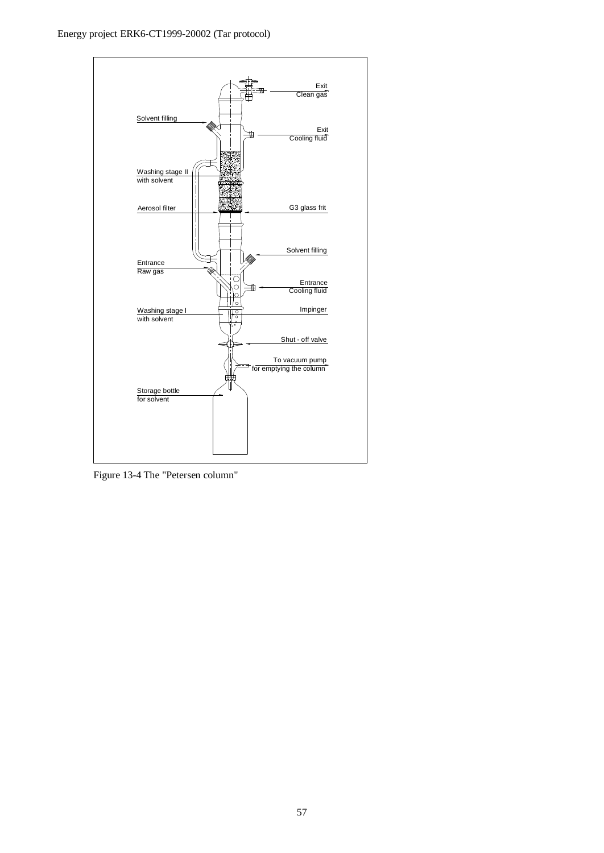

Figure 13-4 The "Petersen column"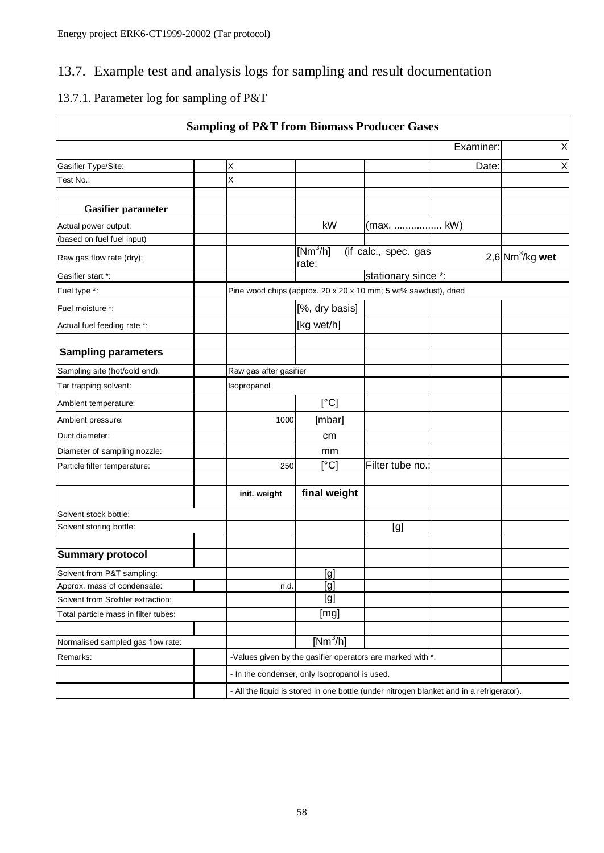## 13.7. Example test and analysis logs for sampling and result documentation

## 13.7.1. Parameter log for sampling of P&T

|                                                                                          | <b>Sampling of P&amp;T from Biomass Producer Gases</b> |                                                                              |                                                                 |           |   |  |  |
|------------------------------------------------------------------------------------------|--------------------------------------------------------|------------------------------------------------------------------------------|-----------------------------------------------------------------|-----------|---|--|--|
|                                                                                          |                                                        |                                                                              |                                                                 | Examiner: | X |  |  |
| Gasifier Type/Site:                                                                      | Χ                                                      |                                                                              |                                                                 | Date:     | X |  |  |
| Test No.:                                                                                | X                                                      |                                                                              |                                                                 |           |   |  |  |
|                                                                                          |                                                        |                                                                              |                                                                 |           |   |  |  |
| <b>Gasifier parameter</b>                                                                |                                                        |                                                                              |                                                                 |           |   |  |  |
| Actual power output:                                                                     |                                                        | kW<br>(max.  kW)                                                             |                                                                 |           |   |  |  |
| (based on fuel fuel input)                                                               |                                                        |                                                                              |                                                                 |           |   |  |  |
| Raw gas flow rate (dry):                                                                 |                                                        | $[Nm^3/h]$<br>(if calc., spec. gas<br>$2,6$ Nm <sup>3</sup> /kg wet<br>rate: |                                                                 |           |   |  |  |
| Gasifier start *:                                                                        |                                                        |                                                                              |                                                                 |           |   |  |  |
| Fuel type *:                                                                             |                                                        |                                                                              | Pine wood chips (approx. 20 x 20 x 10 mm; 5 wt% sawdust), dried |           |   |  |  |
| Fuel moisture *:                                                                         |                                                        | [%, dry basis]                                                               |                                                                 |           |   |  |  |
| Actual fuel feeding rate *:                                                              |                                                        | [kg wet/h]                                                                   |                                                                 |           |   |  |  |
|                                                                                          |                                                        |                                                                              |                                                                 |           |   |  |  |
| <b>Sampling parameters</b>                                                               |                                                        |                                                                              |                                                                 |           |   |  |  |
| Sampling site (hot/cold end):                                                            | Raw gas after gasifier                                 |                                                                              |                                                                 |           |   |  |  |
| Tar trapping solvent:                                                                    | Isopropanol                                            |                                                                              |                                                                 |           |   |  |  |
| Ambient temperature:                                                                     |                                                        | [°C]                                                                         |                                                                 |           |   |  |  |
| Ambient pressure:                                                                        | 1000                                                   | [mbar]                                                                       |                                                                 |           |   |  |  |
| Duct diameter:                                                                           |                                                        | cm                                                                           |                                                                 |           |   |  |  |
| Diameter of sampling nozzle:                                                             |                                                        | mm                                                                           |                                                                 |           |   |  |  |
| Particle filter temperature:                                                             | 250                                                    | $\lceil$ °C]                                                                 | Filter tube no.:                                                |           |   |  |  |
|                                                                                          |                                                        |                                                                              |                                                                 |           |   |  |  |
|                                                                                          | init. weight                                           | final weight                                                                 |                                                                 |           |   |  |  |
| Solvent stock bottle:                                                                    |                                                        |                                                                              |                                                                 |           |   |  |  |
| Solvent storing bottle:                                                                  |                                                        |                                                                              | [g]                                                             |           |   |  |  |
|                                                                                          |                                                        |                                                                              |                                                                 |           |   |  |  |
| <b>Summary protocol</b>                                                                  |                                                        |                                                                              |                                                                 |           |   |  |  |
| Solvent from P&T sampling:                                                               |                                                        | <u>[g]</u>                                                                   |                                                                 |           |   |  |  |
| Approx. mass of condensate:                                                              | n.d.                                                   | [g]                                                                          |                                                                 |           |   |  |  |
| Solvent from Soxhlet extraction:                                                         |                                                        | [g]                                                                          |                                                                 |           |   |  |  |
| Total particle mass in filter tubes:                                                     |                                                        | [mg]                                                                         |                                                                 |           |   |  |  |
|                                                                                          |                                                        |                                                                              |                                                                 |           |   |  |  |
| Normalised sampled gas flow rate:                                                        |                                                        | $[Nm^3/h]$                                                                   |                                                                 |           |   |  |  |
| Remarks:                                                                                 |                                                        | -Values given by the gasifier operators are marked with *.                   |                                                                 |           |   |  |  |
|                                                                                          |                                                        | - In the condenser, only Isopropanol is used.                                |                                                                 |           |   |  |  |
| - All the liquid is stored in one bottle (under nitrogen blanket and in a refrigerator). |                                                        |                                                                              |                                                                 |           |   |  |  |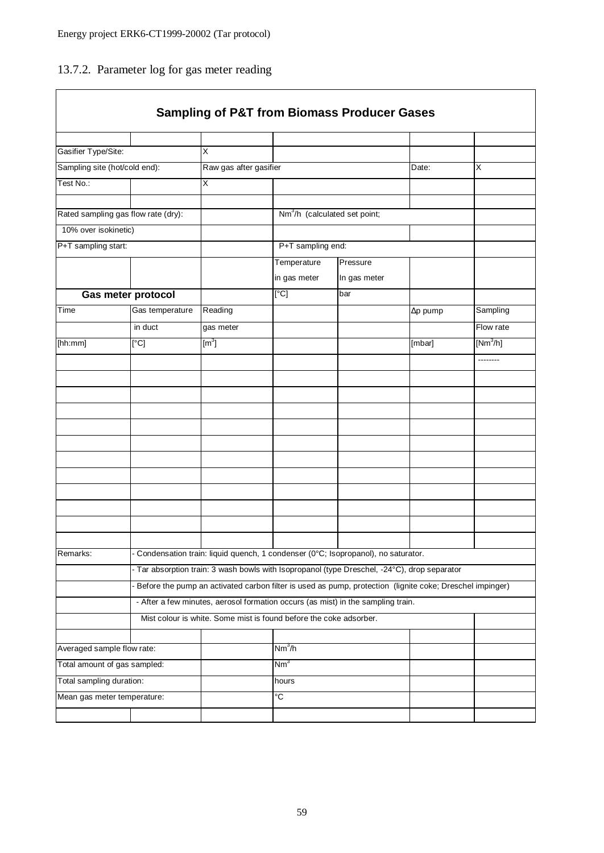## 13.7.2. Parameter log for gas meter reading

|                               |                                     |                                                                                                          |                    | <b>Sampling of P&amp;T from Biomass Producer Gases</b> |                 |            |  |  |  |  |
|-------------------------------|-------------------------------------|----------------------------------------------------------------------------------------------------------|--------------------|--------------------------------------------------------|-----------------|------------|--|--|--|--|
|                               |                                     |                                                                                                          |                    |                                                        |                 |            |  |  |  |  |
| Gasifier Type/Site:           |                                     | X                                                                                                        |                    |                                                        |                 |            |  |  |  |  |
| Sampling site (hot/cold end): |                                     | Raw gas after gasifier                                                                                   |                    |                                                        | Date:           | X          |  |  |  |  |
| Test No.:                     |                                     | X                                                                                                        |                    |                                                        |                 |            |  |  |  |  |
|                               |                                     |                                                                                                          |                    |                                                        |                 |            |  |  |  |  |
|                               | Rated sampling gas flow rate (dry): |                                                                                                          |                    | Nm <sup>3</sup> /h (calculated set point;              |                 |            |  |  |  |  |
| 10% over isokinetic)          |                                     |                                                                                                          |                    |                                                        |                 |            |  |  |  |  |
| P+T sampling start:           |                                     |                                                                                                          |                    | P+T sampling end:                                      |                 |            |  |  |  |  |
|                               |                                     |                                                                                                          | Temperature        | Pressure                                               |                 |            |  |  |  |  |
|                               |                                     |                                                                                                          | in gas meter       | In gas meter                                           |                 |            |  |  |  |  |
|                               | <b>Gas meter protocol</b>           |                                                                                                          | [°C]               | bar                                                    |                 |            |  |  |  |  |
| Time                          | Gas temperature                     | Reading                                                                                                  |                    |                                                        | $\Delta p$ pump | Sampling   |  |  |  |  |
|                               | in duct                             | gas meter                                                                                                |                    |                                                        |                 | Flow rate  |  |  |  |  |
| [hh:mm]                       | [°C]                                | $\textsf{[m}^3\textsf{]}$                                                                                |                    |                                                        | [mbar]          | $[Nm^3/h]$ |  |  |  |  |
|                               |                                     |                                                                                                          |                    |                                                        |                 | --------   |  |  |  |  |
|                               |                                     |                                                                                                          |                    |                                                        |                 |            |  |  |  |  |
|                               |                                     |                                                                                                          |                    |                                                        |                 |            |  |  |  |  |
|                               |                                     |                                                                                                          |                    |                                                        |                 |            |  |  |  |  |
|                               |                                     |                                                                                                          |                    |                                                        |                 |            |  |  |  |  |
|                               |                                     |                                                                                                          |                    |                                                        |                 |            |  |  |  |  |
|                               |                                     |                                                                                                          |                    |                                                        |                 |            |  |  |  |  |
|                               |                                     |                                                                                                          |                    |                                                        |                 |            |  |  |  |  |
|                               |                                     |                                                                                                          |                    |                                                        |                 |            |  |  |  |  |
|                               |                                     |                                                                                                          |                    |                                                        |                 |            |  |  |  |  |
|                               |                                     |                                                                                                          |                    |                                                        |                 |            |  |  |  |  |
|                               |                                     |                                                                                                          |                    |                                                        |                 |            |  |  |  |  |
| Remarks:                      |                                     | - Condensation train: liquid quench, 1 condenser (0°C; Isopropanol), no saturator.                       |                    |                                                        |                 |            |  |  |  |  |
|                               |                                     | - Tar absorption train: 3 wash bowls with Isopropanol (type Dreschel, -24°C), drop separator             |                    |                                                        |                 |            |  |  |  |  |
|                               |                                     | Before the pump an activated carbon filter is used as pump, protection (lignite coke; Dreschel impinger) |                    |                                                        |                 |            |  |  |  |  |
|                               |                                     | - After a few minutes, aerosol formation occurs (as mist) in the sampling train.                         |                    |                                                        |                 |            |  |  |  |  |
|                               |                                     | Mist colour is white. Some mist is found before the coke adsorber.                                       |                    |                                                        |                 |            |  |  |  |  |
|                               |                                     |                                                                                                          |                    |                                                        |                 |            |  |  |  |  |
| Averaged sample flow rate:    |                                     |                                                                                                          | Nm <sup>3</sup> /h |                                                        |                 |            |  |  |  |  |
| Total amount of gas sampled:  |                                     |                                                                                                          | Nm <sup>3</sup>    |                                                        |                 |            |  |  |  |  |
| Total sampling duration:      |                                     |                                                                                                          | hours              |                                                        |                 |            |  |  |  |  |
| Mean gas meter temperature:   |                                     |                                                                                                          | °C                 |                                                        |                 |            |  |  |  |  |
|                               |                                     |                                                                                                          |                    |                                                        |                 |            |  |  |  |  |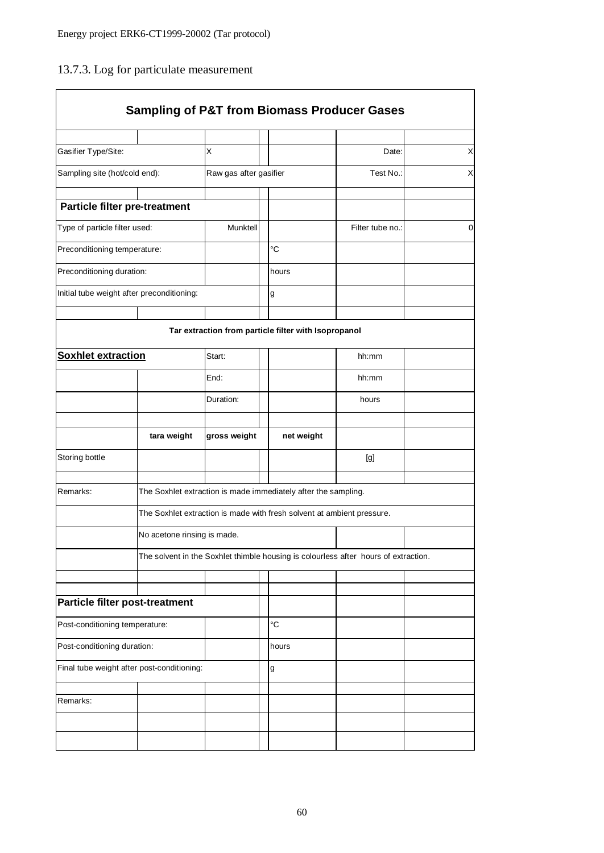## 13.7.3. Log for particulate measurement

|                                            |                                            |                        |                                                                | <b>Sampling of P&amp;T from Biomass Producer Gases</b>                              |                  |   |
|--------------------------------------------|--------------------------------------------|------------------------|----------------------------------------------------------------|-------------------------------------------------------------------------------------|------------------|---|
|                                            |                                            |                        |                                                                |                                                                                     |                  |   |
| Gasifier Type/Site:                        |                                            | X                      |                                                                |                                                                                     | Date:            | Χ |
| Sampling site (hot/cold end):              |                                            | Raw gas after gasifier |                                                                | Test No.:                                                                           | X                |   |
| Particle filter pre-treatment              |                                            |                        |                                                                |                                                                                     |                  |   |
| Type of particle filter used:              |                                            | Munktell               |                                                                |                                                                                     | Filter tube no.: | 0 |
|                                            | Preconditioning temperature:               |                        |                                                                | °C                                                                                  |                  |   |
| Preconditioning duration:                  |                                            |                        |                                                                | hours                                                                               |                  |   |
| Initial tube weight after preconditioning: |                                            |                        |                                                                | g                                                                                   |                  |   |
|                                            |                                            |                        |                                                                |                                                                                     |                  |   |
|                                            |                                            |                        |                                                                | Tar extraction from particle filter with Isopropanol                                |                  |   |
| <b>Soxhlet extraction</b>                  |                                            | Start:                 |                                                                |                                                                                     | hh:mm            |   |
|                                            |                                            | End:                   |                                                                |                                                                                     | hh:mm            |   |
|                                            |                                            | Duration:              |                                                                |                                                                                     | hours            |   |
|                                            |                                            |                        |                                                                |                                                                                     |                  |   |
|                                            | tara weight                                | gross weight           |                                                                | net weight                                                                          |                  |   |
| Storing bottle                             |                                            |                        |                                                                |                                                                                     | [g]              |   |
|                                            |                                            |                        |                                                                |                                                                                     |                  |   |
| Remarks:                                   |                                            |                        | The Soxhlet extraction is made immediately after the sampling. |                                                                                     |                  |   |
|                                            |                                            |                        |                                                                | The Soxhlet extraction is made with fresh solvent at ambient pressure.              |                  |   |
|                                            | No acetone rinsing is made.                |                        |                                                                |                                                                                     |                  |   |
|                                            |                                            |                        |                                                                | The solvent in the Soxhlet thimble housing is colourless after hours of extraction. |                  |   |
|                                            |                                            |                        |                                                                |                                                                                     |                  |   |
| Particle filter post-treatment             |                                            |                        |                                                                |                                                                                     |                  |   |
| Post-conditioning temperature:             |                                            |                        |                                                                | °C                                                                                  |                  |   |
| Post-conditioning duration:                |                                            |                        |                                                                | hours                                                                               |                  |   |
|                                            | Final tube weight after post-conditioning: |                        |                                                                | g                                                                                   |                  |   |
|                                            |                                            |                        |                                                                |                                                                                     |                  |   |
| Remarks:                                   |                                            |                        |                                                                |                                                                                     |                  |   |
|                                            |                                            |                        |                                                                |                                                                                     |                  |   |
|                                            |                                            |                        |                                                                |                                                                                     |                  |   |